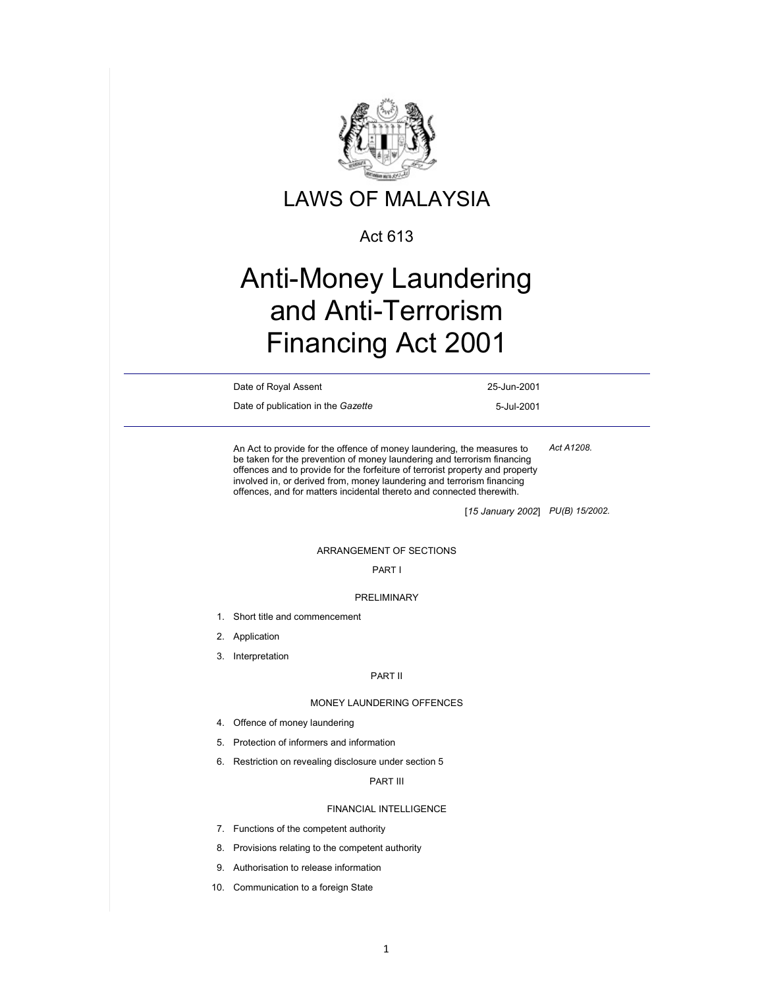

### Act 613

# Anti-Money Laundering and Anti-Terrorism Financing Act 2001

Date of Royal Assent 25-Jun-2001

Date of publication in the *Gazette* 5-Jul-2001

An Act to provide for the offence of money laundering, the measures to be taken for the prevention of money laundering and terrorism financing offences and to provide for the forfeiture of terrorist property and property involved in, or derived from, money laundering and terrorism financing offences, and for matters incidental thereto and connected therewith. *Act A1208.* 

[*15 January 2002*] *PU(B) 15/2002.* 

#### ARRANGEMENT OF SECTIONS

#### PART I

#### PRELIMINARY

- 1. Short title and commencement
- 2. Application
- 3. Interpretation

#### PART II

#### MONEY LAUNDERING OFFENCES

- 4. Offence of money laundering
- 5. Protection of informers and information
- 6. Restriction on revealing disclosure under section 5

#### PART III

### FINANCIAL INTELLIGENCE

- 7. Functions of the competent authority
- 8. Provisions relating to the competent authority
- 9. Authorisation to release information
- 10. Communication to a foreign State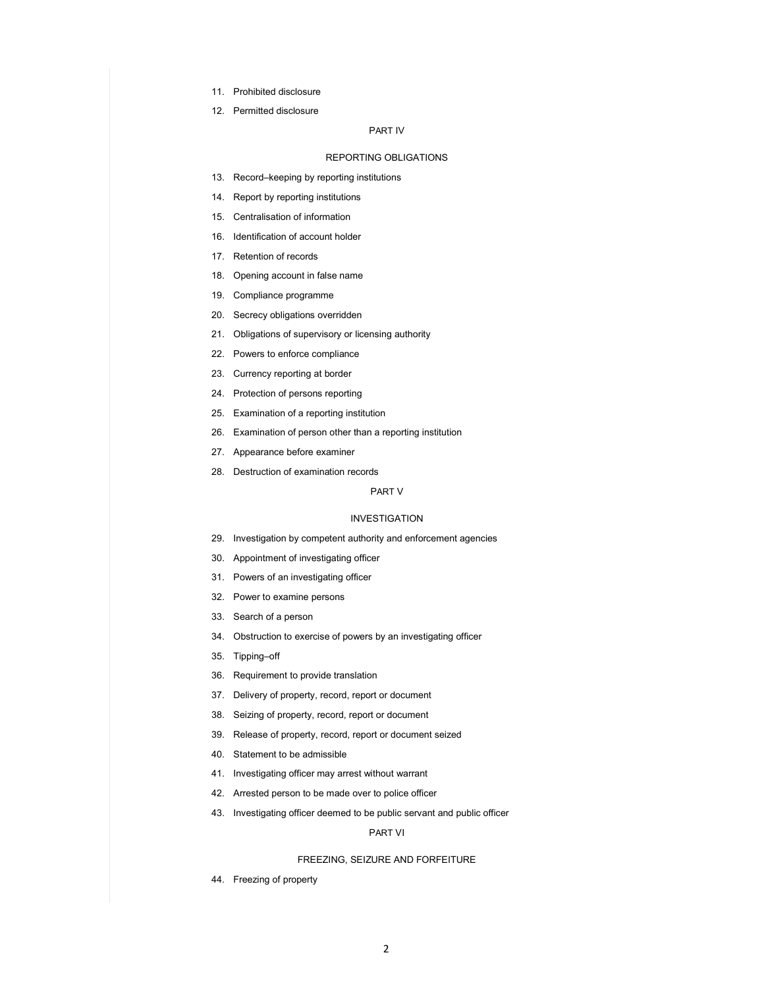- 11. Prohibited disclosure
- 12. Permitted disclosure

#### PART IV

#### REPORTING OBLIGATIONS

- 13. Record–keeping by reporting institutions
- 14. Report by reporting institutions
- 15. Centralisation of information
- 16. Identification of account holder
- 17. Retention of records
- 18. Opening account in false name
- 19. Compliance programme
- 20. Secrecy obligations overridden
- 21. Obligations of supervisory or licensing authority
- 22. Powers to enforce compliance
- 23. Currency reporting at border
- 24. Protection of persons reporting
- 25. Examination of a reporting institution
- 26. Examination of person other than a reporting institution
- 27. Appearance before examiner
- 28. Destruction of examination records

#### PART V

#### INVESTIGATION

- 29. Investigation by competent authority and enforcement agencies
- 30. Appointment of investigating officer
- 31. Powers of an investigating officer
- 32. Power to examine persons
- 33. Search of a person
- 34. Obstruction to exercise of powers by an investigating officer
- 35. Tipping–off
- 36. Requirement to provide translation
- 37. Delivery of property, record, report or document
- 38. Seizing of property, record, report or document
- 39. Release of property, record, report or document seized
- 40. Statement to be admissible
- 41. Investigating officer may arrest without warrant
- 42. Arrested person to be made over to police officer
- 43. Investigating officer deemed to be public servant and public officer

#### PART VI

#### FREEZING, SEIZURE AND FORFEITURE

44. Freezing of property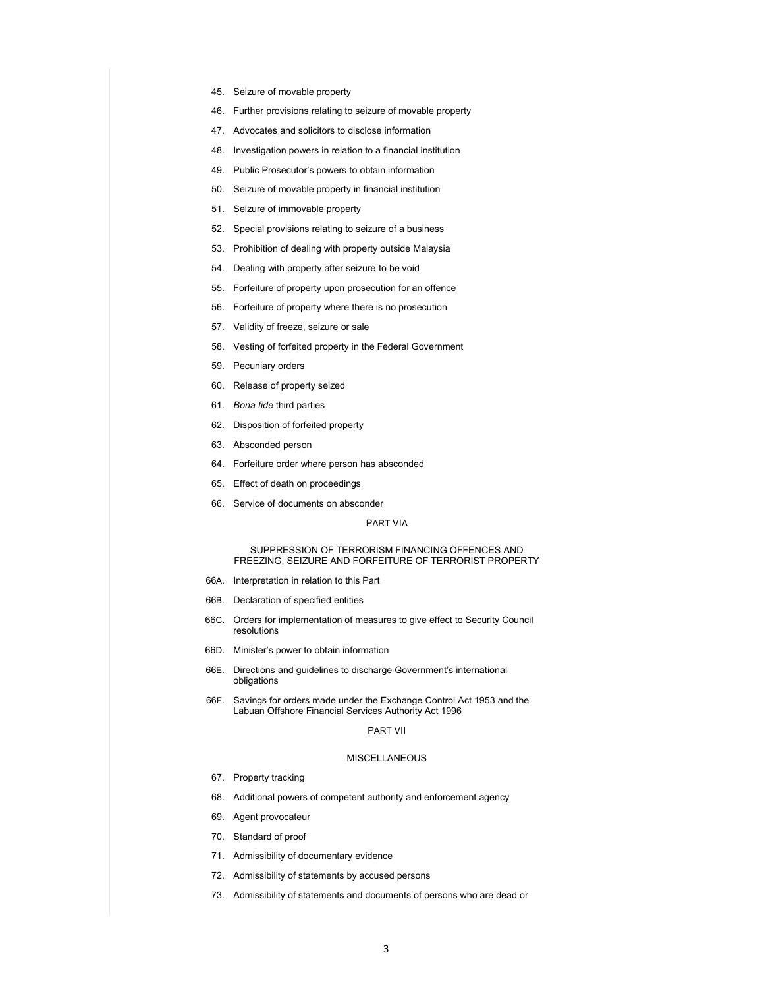- 45. Seizure of movable property
- 46. Further provisions relating to seizure of movable property
- 47. Advocates and solicitors to disclose information
- 48. Investigation powers in relation to a financial institution
- 49. Public Prosecutor's powers to obtain information
- 50. Seizure of movable property in financial institution
- 51. Seizure of immovable property
- 52. Special provisions relating to seizure of a business
- 53. Prohibition of dealing with property outside Malaysia
- 54. Dealing with property after seizure to be void
- 55. Forfeiture of property upon prosecution for an offence
- 56. Forfeiture of property where there is no prosecution
- 57. Validity of freeze, seizure or sale
- 58. Vesting of forfeited property in the Federal Government
- 59. Pecuniary orders
- 60. Release of property seized
- 61. *Bona fide* third parties
- 62. Disposition of forfeited property
- 63. Absconded person
- 64. Forfeiture order where person has absconded
- 65. Effect of death on proceedings
- 66. Service of documents on absconder

#### PART VIA

#### SUPPRESSION OF TERRORISM FINANCING OFFENCES AND FREEZING, SEIZURE AND FORFEITURE OF TERRORIST PROPERTY

- 66A. Interpretation in relation to this Part
- 66B. Declaration of specified entities
- 66C. Orders for implementation of measures to give effect to Security Council resolutions
- 66D. Minister's power to obtain information
- 66E. Directions and guidelines to discharge Government's international obligations
- 66F. Savings for orders made under the Exchange Control Act 1953 and the Labuan Offshore Financial Services Authority Act 1996

#### PART VII

#### **MISCELLANEOUS**

- 67. Property tracking
- 68. Additional powers of competent authority and enforcement agency
- 69. Agent provocateur
- 70. Standard of proof
- 71. Admissibility of documentary evidence
- 72. Admissibility of statements by accused persons
- 73. Admissibility of statements and documents of persons who are dead or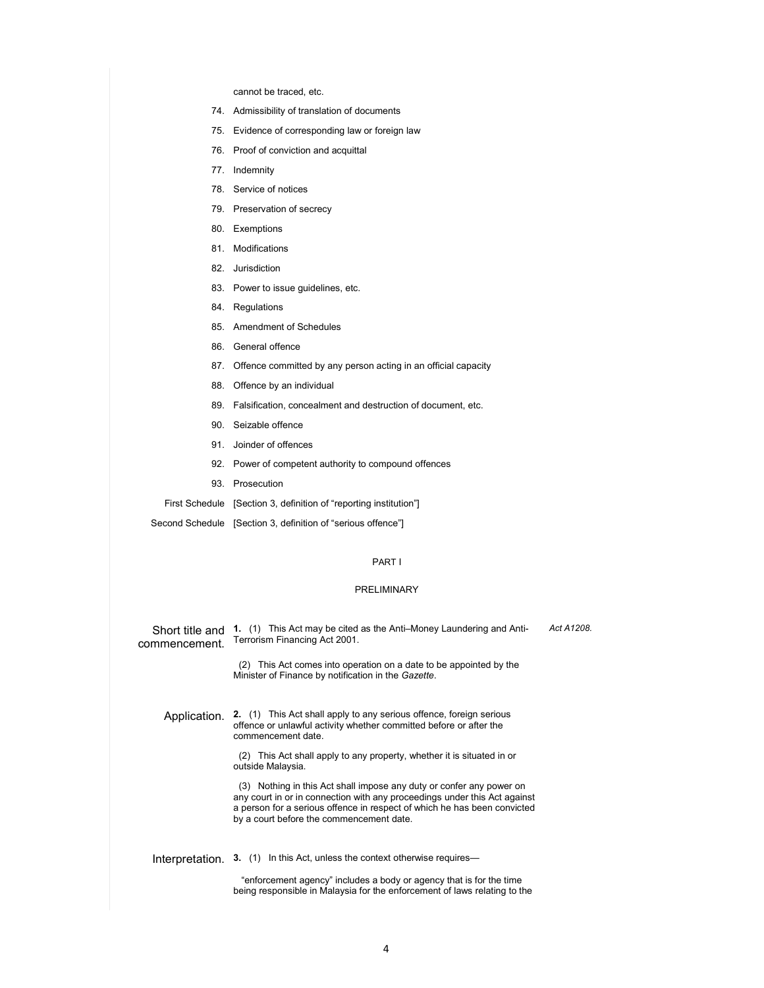cannot be traced, etc.

- 74. Admissibility of translation of documents
- 75. Evidence of corresponding law or foreign law
- 76. Proof of conviction and acquittal
- 77. Indemnity
- 78. Service of notices
- 79. Preservation of secrecy
- 80. Exemptions
- 81. Modifications
- 82. Jurisdiction
- 83. Power to issue guidelines, etc.
- 84. Regulations
- 85. Amendment of Schedules
- 86. General offence
- 87. Offence committed by any person acting in an official capacity
- 88. Offence by an individual
- 89. Falsification, concealment and destruction of document, etc.
- 90. Seizable offence
- 91. Joinder of offences
- 92. Power of competent authority to compound offences
- 93. Prosecution
- First Schedule [Section 3, definition of "reporting institution"]

Second Schedule [Section 3, definition of "serious offence"]

#### PART I

#### PRELIMINARY

Short title and 1. (1) This Act may be cited as the Anti–Money Laundering and Anticommencement. Terrorism Financing Act 2001.

*Act A1208.* 

 (2) This Act comes into operation on a date to be appointed by the Minister of Finance by notification in the *Gazette*.

Application. **2.** (1) This Act shall apply to any serious offence, foreign serious offence or unlawful activity whether committed before or after the commencement date.

> (2) This Act shall apply to any property, whether it is situated in or outside Malaysia.

 (3) Nothing in this Act shall impose any duty or confer any power on any court in or in connection with any proceedings under this Act against a person for a serious offence in respect of which he has been convicted by a court before the commencement date.

Interpretation. **3.** (1) In this Act, unless the context otherwise requires—

 "enforcement agency" includes a body or agency that is for the time being responsible in Malaysia for the enforcement of laws relating to the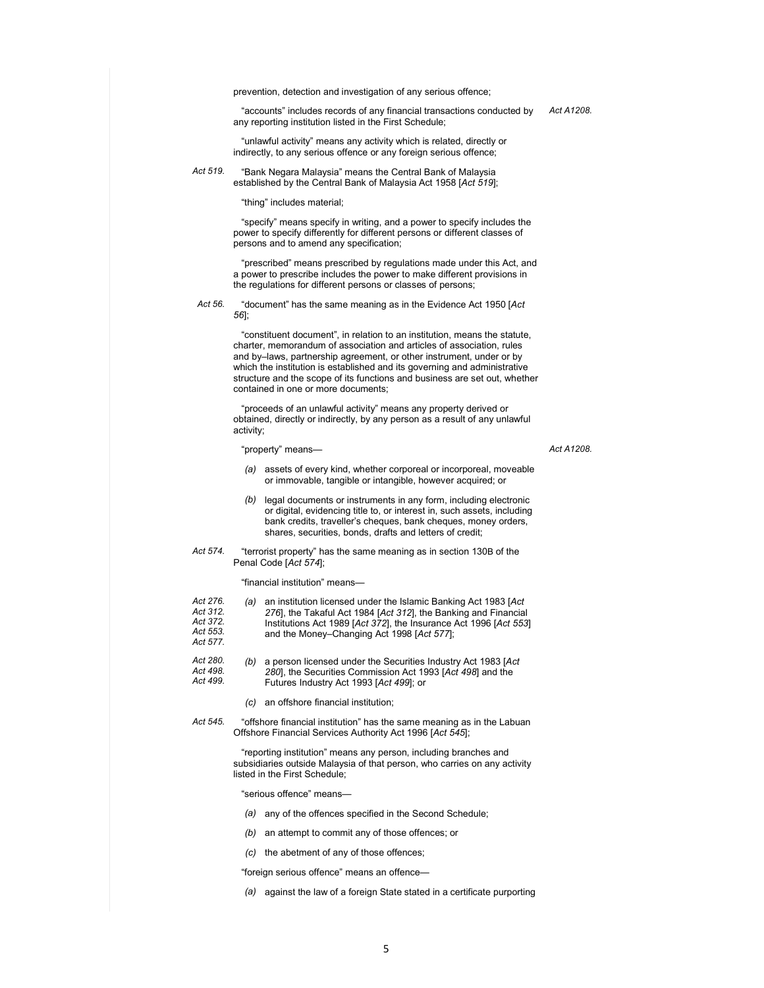prevention, detection and investigation of any serious offence;

 "accounts" includes records of any financial transactions conducted by *Act A1208.*  any reporting institution listed in the First Schedule;

 "unlawful activity" means any activity which is related, directly or indirectly, to any serious offence or any foreign serious offence;

*Act 519.* "Bank Negara Malaysia" means the Central Bank of Malaysia established by the Central Bank of Malaysia Act 1958 [*Act 519*];

"thing" includes material;

 "specify" means specify in writing, and a power to specify includes the power to specify differently for different persons or different classes of persons and to amend any specification;

 "prescribed" means prescribed by regulations made under this Act, and a power to prescribe includes the power to make different provisions in the regulations for different persons or classes of persons;

*Act 56.* "document" has the same meaning as in the Evidence Act 1950 [*Act 56*];

> "constituent document", in relation to an institution, means the statute, charter, memorandum of association and articles of association, rules and by–laws, partnership agreement, or other instrument, under or by which the institution is established and its governing and administrative structure and the scope of its functions and business are set out, whether contained in one or more documents;

 "proceeds of an unlawful activity" means any property derived or obtained, directly or indirectly, by any person as a result of any unlawful activity;

"property" means— *Act A1208.* 

- *(a)* assets of every kind, whether corporeal or incorporeal, moveable or immovable, tangible or intangible, however acquired; or
- *(b)* legal documents or instruments in any form, including electronic or digital, evidencing title to, or interest in, such assets, including bank credits, traveller's cheques, bank cheques, money orders, shares, securities, bonds, drafts and letters of credit;
- *Act 574.* "terrorist property" has the same meaning as in section 130B of the Penal Code [*Act 574*];

"financial institution" means—

| Act 276.<br>Act 312.<br>Act 372.<br>Act 553.<br>Act 577. | (a) | an institution licensed under the Islamic Banking Act 1983 [Act<br>276], the Takaful Act 1984 [Act 312], the Banking and Financial<br>Institutions Act 1989 [Act 372], the Insurance Act 1996 [Act 553]<br>and the Money-Changing Act 1998 [Act 577]: |
|----------------------------------------------------------|-----|-------------------------------------------------------------------------------------------------------------------------------------------------------------------------------------------------------------------------------------------------------|
| Act 280.                                                 | (b) | a person licensed under the Securities Industry Act 1983 [Act]                                                                                                                                                                                        |

- *Act 498. Act 499. (b)* a person licensed under the Securities Industry Act 1983 [*Act 280*], the Securities Commission Act 1993 [*Act 498*] and the Futures Industry Act 1993 [*Act 499*]; or
	- *(c)* an offshore financial institution;
- *Act 545.* "offshore financial institution" has the same meaning as in the Labuan Offshore Financial Services Authority Act 1996 [*Act 545*];

 "reporting institution" means any person, including branches and subsidiaries outside Malaysia of that person, who carries on any activity listed in the First Schedule;

"serious offence" means—

- *(a)* any of the offences specified in the Second Schedule;
- *(b)* an attempt to commit any of those offences; or
- *(c)* the abetment of any of those offences;

"foreign serious offence" means an offence—

*(a)* against the law of a foreign State stated in a certificate purporting

5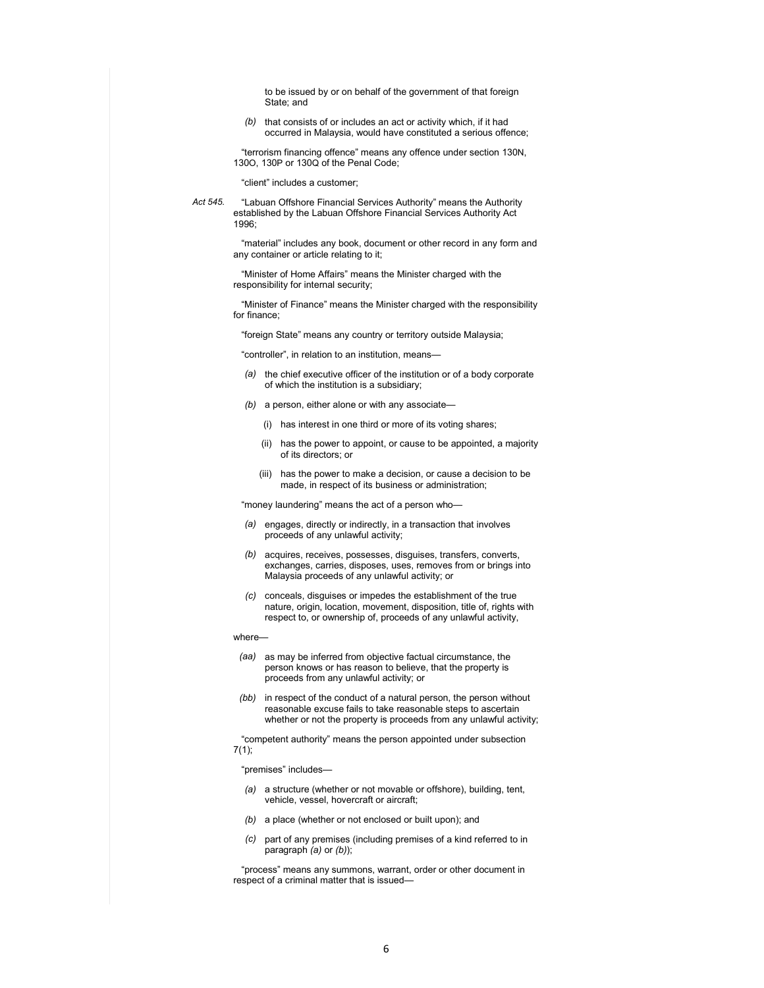to be issued by or on behalf of the government of that foreign State; and

*(b)* that consists of or includes an act or activity which, if it had occurred in Malaysia, would have constituted a serious offence;

 "terrorism financing offence" means any offence under section 130N, 130O, 130P or 130Q of the Penal Code;

"client" includes a customer;

*Act 545.* "Labuan Offshore Financial Services Authority" means the Authority established by the Labuan Offshore Financial Services Authority Act 1996;

> "material" includes any book, document or other record in any form and any container or article relating to it;

 "Minister of Home Affairs" means the Minister charged with the responsibility for internal security;

 "Minister of Finance" means the Minister charged with the responsibility for finance;

"foreign State" means any country or territory outside Malaysia;

"controller", in relation to an institution, means—

- *(a)* the chief executive officer of the institution or of a body corporate of which the institution is a subsidiary;
- *(b)* a person, either alone or with any associate—
	- (i) has interest in one third or more of its voting shares;
	- (ii) has the power to appoint, or cause to be appointed, a majority of its directors; or
	- (iii) has the power to make a decision, or cause a decision to be made, in respect of its business or administration;

"money laundering" means the act of a person who—

- *(a)* engages, directly or indirectly, in a transaction that involves proceeds of any unlawful activity;
- *(b)* acquires, receives, possesses, disguises, transfers, converts, exchanges, carries, disposes, uses, removes from or brings into Malaysia proceeds of any unlawful activity; or
- *(c)* conceals, disguises or impedes the establishment of the true nature, origin, location, movement, disposition, title of, rights with respect to, or ownership of, proceeds of any unlawful activity,

#### where—

- *(aa)* as may be inferred from objective factual circumstance, the person knows or has reason to believe, that the property is proceeds from any unlawful activity; or
- *(bb)* in respect of the conduct of a natural person, the person without reasonable excuse fails to take reasonable steps to ascertain whether or not the property is proceeds from any unlawful activity;

 "competent authority" means the person appointed under subsection  $7(1);$ 

#### "premises" includes—

- *(a)* a structure (whether or not movable or offshore), building, tent, vehicle, vessel, hovercraft or aircraft;
- *(b)* a place (whether or not enclosed or built upon); and
- *(c)* part of any premises (including premises of a kind referred to in paragraph *(a)* or *(b)*);

 "process" means any summons, warrant, order or other document in respect of a criminal matter that is issued—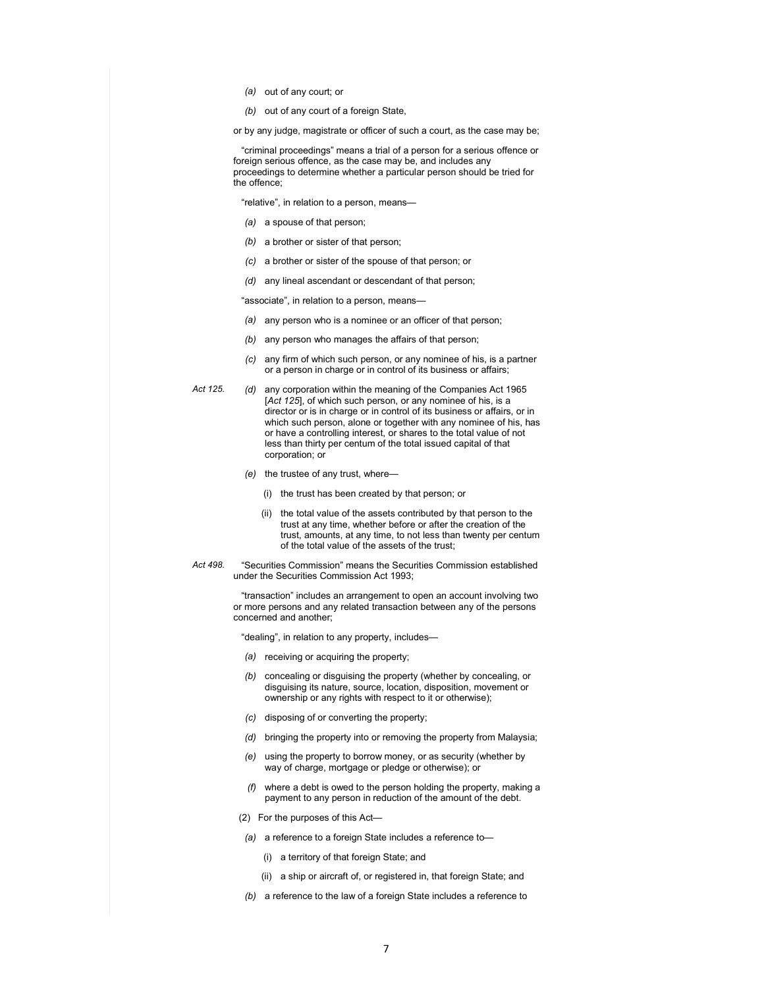- *(a)* out of any court; or
- *(b)* out of any court of a foreign State,
- or by any judge, magistrate or officer of such a court, as the case may be;

 "criminal proceedings" means a trial of a person for a serious offence or foreign serious offence, as the case may be, and includes any proceedings to determine whether a particular person should be tried for the offence;

"relative", in relation to a person, means—

- *(a)* a spouse of that person;
- *(b)* a brother or sister of that person;
- *(c)* a brother or sister of the spouse of that person; or
- *(d)* any lineal ascendant or descendant of that person;

"associate", in relation to a person, means—

- *(a)* any person who is a nominee or an officer of that person;
- *(b)* any person who manages the affairs of that person;
- *(c)* any firm of which such person, or any nominee of his, is a partner or a person in charge or in control of its business or affairs;
- 

*Act 125. (d)* any corporation within the meaning of the Companies Act 1965 [*Act 125*], of which such person, or any nominee of his, is a director or is in charge or in control of its business or affairs, or in which such person, alone or together with any nominee of his, has or have a controlling interest, or shares to the total value of not less than thirty per centum of the total issued capital of that corporation; or

- *(e)* the trustee of any trust, where—
	- (i) the trust has been created by that person; or
	- (ii) the total value of the assets contributed by that person to the trust at any time, whether before or after the creation of the trust, amounts, at any time, to not less than twenty per centum of the total value of the assets of the trust;
- 
- *Act 498.* "Securities Commission" means the Securities Commission established under the Securities Commission Act 1993;

 "transaction" includes an arrangement to open an account involving two or more persons and any related transaction between any of the persons concerned and another;

"dealing", in relation to any property, includes—

- *(a)* receiving or acquiring the property;
- *(b)* concealing or disguising the property (whether by concealing, or disguising its nature, source, location, disposition, movement or ownership or any rights with respect to it or otherwise);
- *(c)* disposing of or converting the property;
- *(d)* bringing the property into or removing the property from Malaysia;
- *(e)* using the property to borrow money, or as security (whether by way of charge, mortgage or pledge or otherwise); or
- *(f)* where a debt is owed to the person holding the property, making a payment to any person in reduction of the amount of the debt.
- (2) For the purposes of this Act—
- *(a)* a reference to a foreign State includes a reference to—
	- (i) a territory of that foreign State; and
	- (ii) a ship or aircraft of, or registered in, that foreign State; and
- *(b)* a reference to the law of a foreign State includes a reference to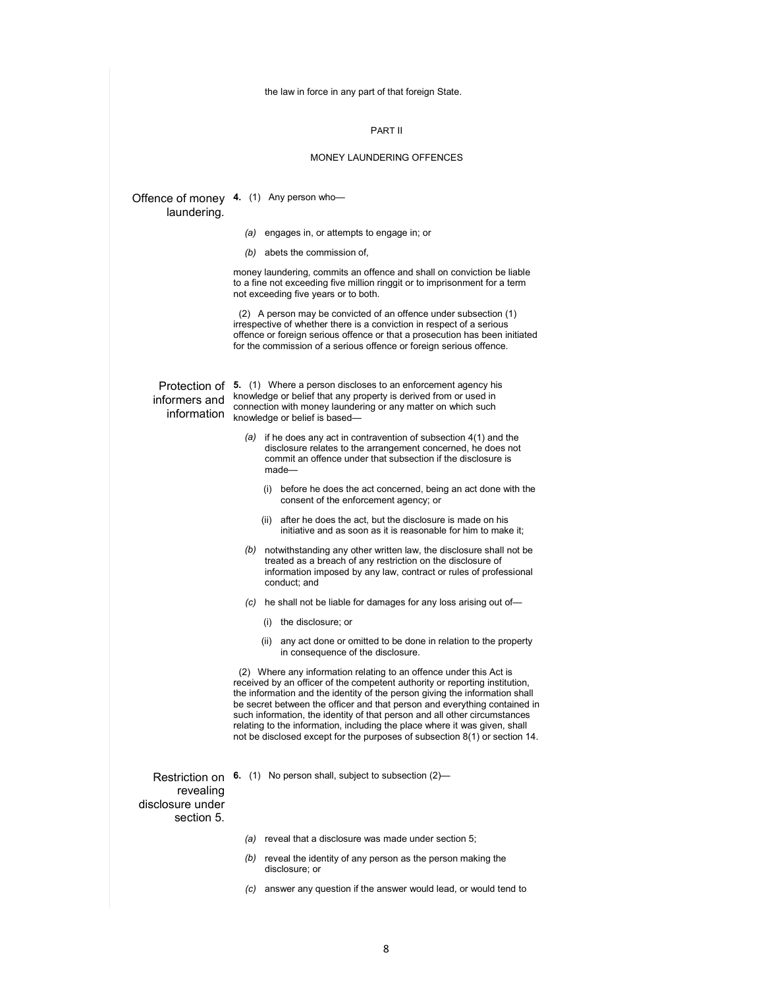the law in force in any part of that foreign State.

#### PART II

#### MONEY LAUNDERING OFFENCES

#### Offence of money **4.** (1) Any person who laundering.

- *(a)* engages in, or attempts to engage in; or
- *(b)* abets the commission of,

money laundering, commits an offence and shall on conviction be liable to a fine not exceeding five million ringgit or to imprisonment for a term not exceeding five years or to both.

 (2) A person may be convicted of an offence under subsection (1) irrespective of whether there is a conviction in respect of a serious offence or foreign serious offence or that a prosecution has been initiated for the commission of a serious offence or foreign serious offence.

### informers and information

Protection of **5.** (1) Where a person discloses to an enforcement agency his knowledge or belief that any property is derived from or used in connection with money laundering or any matter on which such knowledge or belief is based—

- *(a)* if he does any act in contravention of subsection 4(1) and the disclosure relates to the arrangement concerned, he does not commit an offence under that subsection if the disclosure is made—
	- (i) before he does the act concerned, being an act done with the consent of the enforcement agency; or
	- (ii) after he does the act, but the disclosure is made on his initiative and as soon as it is reasonable for him to make it;
- *(b)* notwithstanding any other written law, the disclosure shall not be treated as a breach of any restriction on the disclosure of information imposed by any law, contract or rules of professional conduct; and
- *(c)* he shall not be liable for damages for any loss arising out of—
	- (i) the disclosure; or
	- (ii) any act done or omitted to be done in relation to the property in consequence of the disclosure.

 (2) Where any information relating to an offence under this Act is received by an officer of the competent authority or reporting institution, the information and the identity of the person giving the information shall be secret between the officer and that person and everything contained in such information, the identity of that person and all other circumstances relating to the information, including the place where it was given, shall not be disclosed except for the purposes of subsection 8(1) or section 14.

revealing disclosure under section 5.

Restriction on **6.** (1) No person shall, subject to subsection (2)—

*(a)* reveal that a disclosure was made under section 5;

- *(b)* reveal the identity of any person as the person making the disclosure; or
- *(c)* answer any question if the answer would lead, or would tend to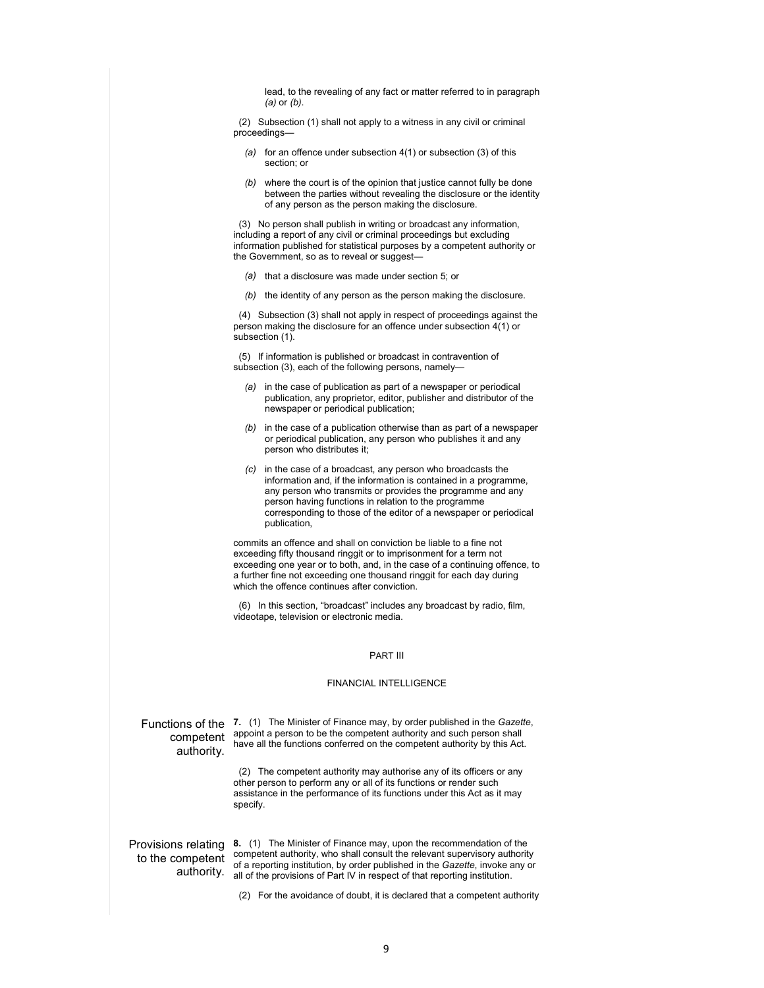lead, to the revealing of any fact or matter referred to in paragraph *(a)* or *(b)*.

 (2) Subsection (1) shall not apply to a witness in any civil or criminal proceedings—

- *(a)* for an offence under subsection 4(1) or subsection (3) of this section; or
- *(b)* where the court is of the opinion that justice cannot fully be done between the parties without revealing the disclosure or the identity of any person as the person making the disclosure.

 (3) No person shall publish in writing or broadcast any information, including a report of any civil or criminal proceedings but excluding information published for statistical purposes by a competent authority or the Government, so as to reveal or suggest—

- *(a)* that a disclosure was made under section 5; or
- *(b)* the identity of any person as the person making the disclosure.

 (4) Subsection (3) shall not apply in respect of proceedings against the person making the disclosure for an offence under subsection 4(1) or subsection (1).

 (5) If information is published or broadcast in contravention of subsection (3), each of the following persons, namely-

- *(a)* in the case of publication as part of a newspaper or periodical publication, any proprietor, editor, publisher and distributor of the newspaper or periodical publication;
- *(b)* in the case of a publication otherwise than as part of a newspaper or periodical publication, any person who publishes it and any person who distributes it;
- *(c)* in the case of a broadcast, any person who broadcasts the information and, if the information is contained in a programme, any person who transmits or provides the programme and any person having functions in relation to the programme corresponding to those of the editor of a newspaper or periodical publication,

commits an offence and shall on conviction be liable to a fine not exceeding fifty thousand ringgit or to imprisonment for a term not exceeding one year or to both, and, in the case of a continuing offence, to a further fine not exceeding one thousand ringgit for each day during which the offence continues after conviction.

 (6) In this section, "broadcast" includes any broadcast by radio, film, videotape, television or electronic media.

#### PART III

#### FINANCIAL INTELLIGENCE

competent authority.

Functions of the **7.** (1) The Minister of Finance may, by order published in the *Gazette*, appoint a person to be the competent authority and such person shall have all the functions conferred on the competent authority by this Act.

> (2) The competent authority may authorise any of its officers or any other person to perform any or all of its functions or render such assistance in the performance of its functions under this Act as it may specify.

Provisions relating **8.** (1) The Minister of Finance may, upon the recommendation of the to the competent competent authority, who shall consult the relevant supervisory authority authority. all of the provisions of Part IV in respect of that reporting institution. of a reporting institution, by order published in the *Gazette*, invoke any or

(2) For the avoidance of doubt, it is declared that a competent authority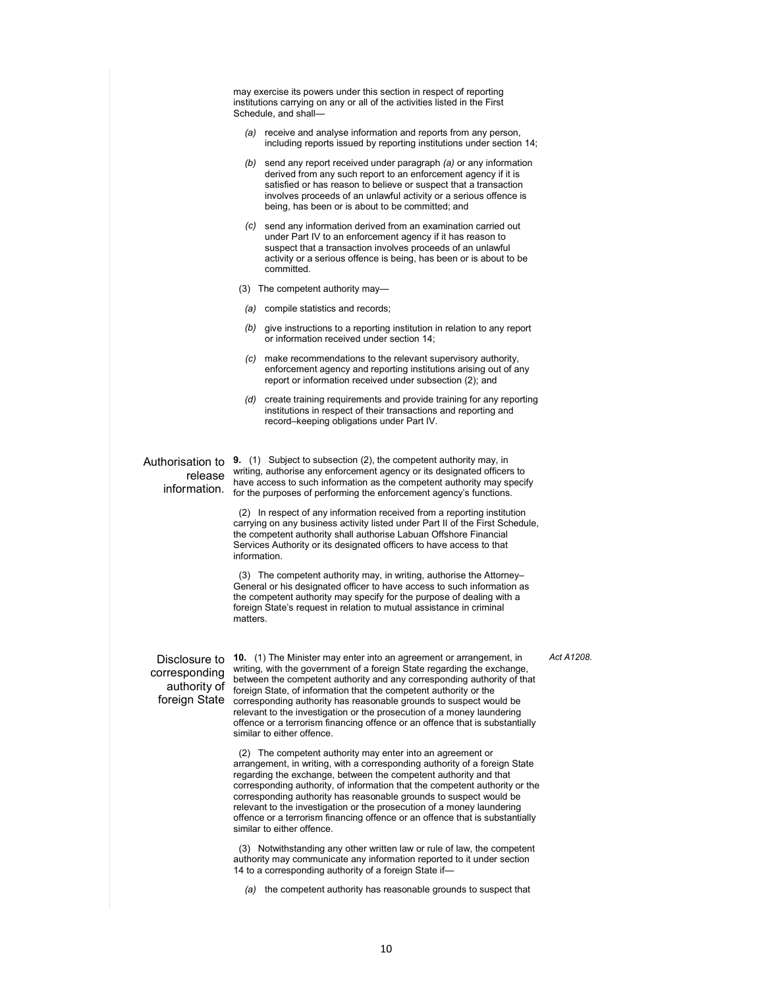may exercise its powers under this section in respect of reporting institutions carrying on any or all of the activities listed in the First Schedule, and shall—

- *(a)* receive and analyse information and reports from any person, including reports issued by reporting institutions under section 14;
- *(b)* send any report received under paragraph *(a)* or any information derived from any such report to an enforcement agency if it is satisfied or has reason to believe or suspect that a transaction involves proceeds of an unlawful activity or a serious offence is being, has been or is about to be committed; and
- *(c)* send any information derived from an examination carried out under Part IV to an enforcement agency if it has reason to suspect that a transaction involves proceeds of an unlawful activity or a serious offence is being, has been or is about to be committed.
- (3) The competent authority may—
- *(a)* compile statistics and records;
- *(b)* give instructions to a reporting institution in relation to any report or information received under section 14;
- *(c)* make recommendations to the relevant supervisory authority, enforcement agency and reporting institutions arising out of any report or information received under subsection (2); and
- *(d)* create training requirements and provide training for any reporting institutions in respect of their transactions and reporting and record–keeping obligations under Part IV.

# release

Authorisation to **9.** (1) Subject to subsection (2), the competent authority may, in information. for the purposes of performing the enforcement agency's functions. writing, authorise any enforcement agency or its designated officers to have access to such information as the competent authority may specify

> (2) In respect of any information received from a reporting institution carrying on any business activity listed under Part II of the First Schedule, the competent authority shall authorise Labuan Offshore Financial Services Authority or its designated officers to have access to that information.

 (3) The competent authority may, in writing, authorise the Attorney– General or his designated officer to have access to such information as the competent authority may specify for the purpose of dealing with a foreign State's request in relation to mutual assistance in criminal matters.

corresponding

Disclosure to **10.** (1) The Minister may enter into an agreement or arrangement, in authority of **foreign** State, of information that the competent authority or the foreign State corresponding authority has reasonable grounds to suspect would be writing, with the government of a foreign State regarding the exchange, between the competent authority and any corresponding authority of that relevant to the investigation or the prosecution of a money laundering offence or a terrorism financing offence or an offence that is substantially similar to either offence.

> (2) The competent authority may enter into an agreement or arrangement, in writing, with a corresponding authority of a foreign State regarding the exchange, between the competent authority and that corresponding authority, of information that the competent authority or the corresponding authority has reasonable grounds to suspect would be relevant to the investigation or the prosecution of a money laundering offence or a terrorism financing offence or an offence that is substantially similar to either offence.

 (3) Notwithstanding any other written law or rule of law, the competent authority may communicate any information reported to it under section 14 to a corresponding authority of a foreign State if—

*(a)* the competent authority has reasonable grounds to suspect that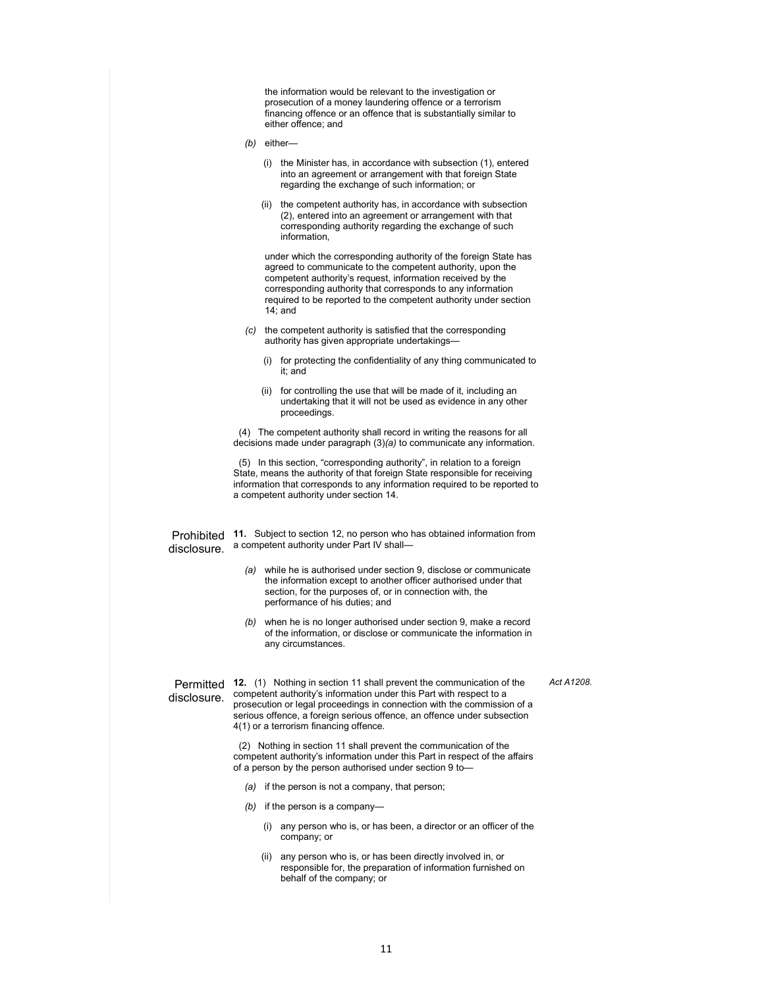the information would be relevant to the investigation or prosecution of a money laundering offence or a terrorism financing offence or an offence that is substantially similar to either offence; and

- *(b)* either—
	- (i) the Minister has, in accordance with subsection (1), entered into an agreement or arrangement with that foreign State regarding the exchange of such information; or
	- (ii) the competent authority has, in accordance with subsection (2), entered into an agreement or arrangement with that corresponding authority regarding the exchange of such information,

under which the corresponding authority of the foreign State has agreed to communicate to the competent authority, upon the competent authority's request, information received by the corresponding authority that corresponds to any information required to be reported to the competent authority under section 14; and

- *(c)* the competent authority is satisfied that the corresponding authority has given appropriate undertakings—
	- (i) for protecting the confidentiality of any thing communicated to it; and
	- (ii) for controlling the use that will be made of it, including an undertaking that it will not be used as evidence in any other proceedings.

 (4) The competent authority shall record in writing the reasons for all decisions made under paragraph (3)*(a)* to communicate any information.

 (5) In this section, "corresponding authority", in relation to a foreign State, means the authority of that foreign State responsible for receiving information that corresponds to any information required to be reported to a competent authority under section 14.

disclosure.

Prohibited **11.** Subject to section 12, no person who has obtained information from a competent authority under Part IV shall—

- *(a)* while he is authorised under section 9, disclose or communicate the information except to another officer authorised under that section, for the purposes of, or in connection with, the performance of his duties; and
- *(b)* when he is no longer authorised under section 9, make a record of the information, or disclose or communicate the information in any circumstances.

*Act A1208.* 

disclosure.

Permitted **12.** (1) Nothing in section 11 shall prevent the communication of the competent authority's information under this Part with respect to a prosecution or legal proceedings in connection with the commission of a serious offence, a foreign serious offence, an offence under subsection 4(1) or a terrorism financing offence.

> (2) Nothing in section 11 shall prevent the communication of the competent authority's information under this Part in respect of the affairs of a person by the person authorised under section 9 to-

- *(a)* if the person is not a company, that person;
- *(b)* if the person is a company—
	- (i) any person who is, or has been, a director or an officer of the company; or
	- (ii) any person who is, or has been directly involved in, or responsible for, the preparation of information furnished on behalf of the company; or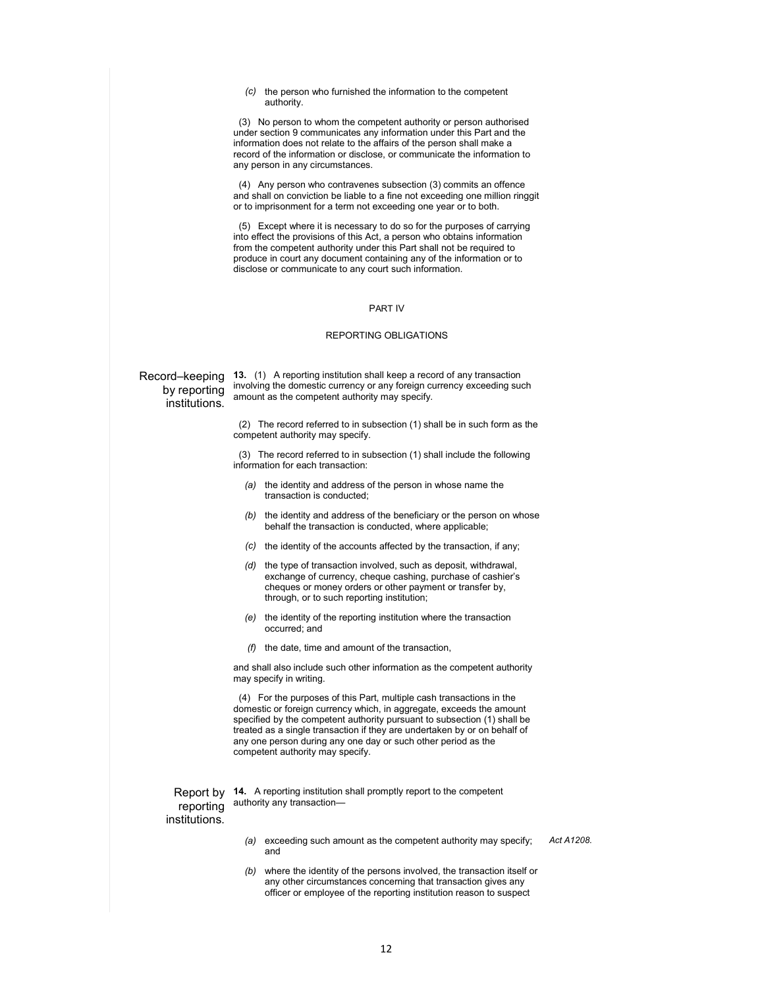*(c)* the person who furnished the information to the competent authority.

 (3) No person to whom the competent authority or person authorised under section 9 communicates any information under this Part and the information does not relate to the affairs of the person shall make a record of the information or disclose, or communicate the information to any person in any circumstances.

 (4) Any person who contravenes subsection (3) commits an offence and shall on conviction be liable to a fine not exceeding one million ringgit or to imprisonment for a term not exceeding one year or to both.

 (5) Except where it is necessary to do so for the purposes of carrying into effect the provisions of this Act, a person who obtains information from the competent authority under this Part shall not be required to produce in court any document containing any of the information or to disclose or communicate to any court such information.

#### PART IV

#### REPORTING OBLIGATIONS

#### Record–keeping by reporting institutions.

**13.** (1) A reporting institution shall keep a record of any transaction involving the domestic currency or any foreign currency exceeding such amount as the competent authority may specify.

 (2) The record referred to in subsection (1) shall be in such form as the competent authority may specify.

 (3) The record referred to in subsection (1) shall include the following information for each transaction:

- *(a)* the identity and address of the person in whose name the transaction is conducted;
- *(b)* the identity and address of the beneficiary or the person on whose behalf the transaction is conducted, where applicable;
- *(c)* the identity of the accounts affected by the transaction, if any;
- *(d)* the type of transaction involved, such as deposit, withdrawal, exchange of currency, cheque cashing, purchase of cashier's cheques or money orders or other payment or transfer by, through, or to such reporting institution;
- *(e)* the identity of the reporting institution where the transaction occurred; and
- *(f)* the date, time and amount of the transaction,

and shall also include such other information as the competent authority may specify in writing.

 (4) For the purposes of this Part, multiple cash transactions in the domestic or foreign currency which, in aggregate, exceeds the amount specified by the competent authority pursuant to subsection (1) shall be treated as a single transaction if they are undertaken by or on behalf of any one person during any one day or such other period as the competent authority may specify.

reporting

Report by **14.** A reporting institution shall promptly report to the competent authority any transaction—

#### institutions.

- *(a)* exceeding such amount as the competent authority may specify; and
- *(b)* where the identity of the persons involved, the transaction itself or any other circumstances concerning that transaction gives any officer or employee of the reporting institution reason to suspect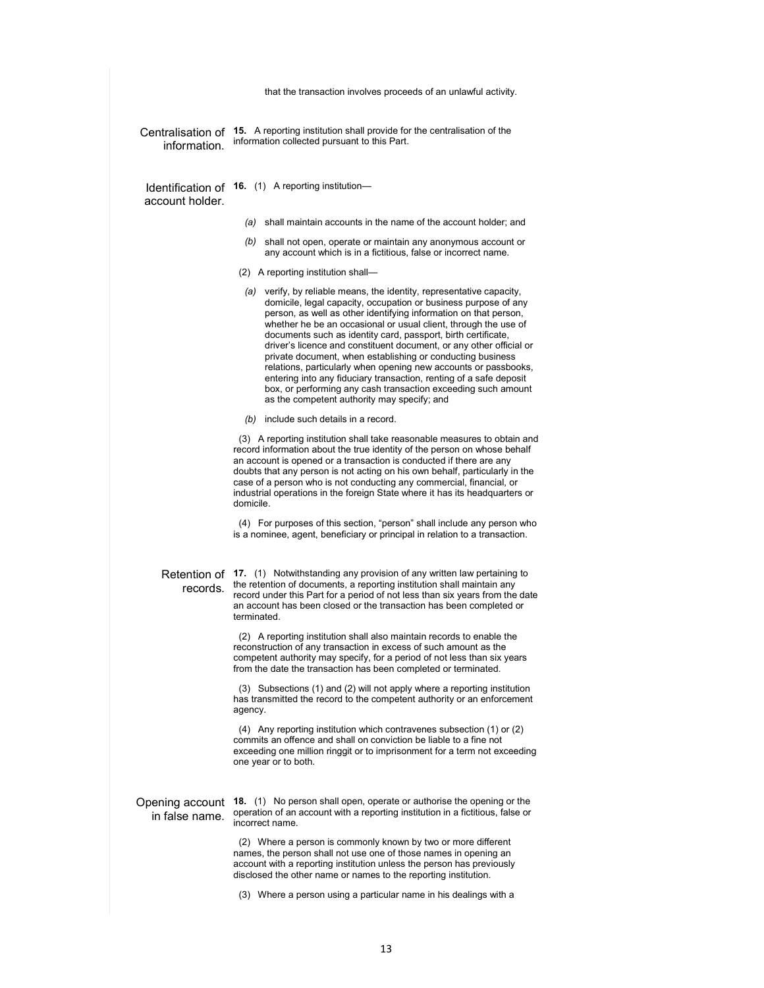|                                   | that the transaction involves proceeds of an unlawful activity.                                                                                                                                                                                                                                                                                                                                                                                                                                                                                                                                                                                                                                                                                |
|-----------------------------------|------------------------------------------------------------------------------------------------------------------------------------------------------------------------------------------------------------------------------------------------------------------------------------------------------------------------------------------------------------------------------------------------------------------------------------------------------------------------------------------------------------------------------------------------------------------------------------------------------------------------------------------------------------------------------------------------------------------------------------------------|
| information.                      | Centralisation of 15. A reporting institution shall provide for the centralisation of the<br>information collected pursuant to this Part.                                                                                                                                                                                                                                                                                                                                                                                                                                                                                                                                                                                                      |
| account holder.                   | Identification of 16. (1) A reporting institution-                                                                                                                                                                                                                                                                                                                                                                                                                                                                                                                                                                                                                                                                                             |
|                                   | (a) shall maintain accounts in the name of the account holder; and                                                                                                                                                                                                                                                                                                                                                                                                                                                                                                                                                                                                                                                                             |
|                                   | (b) shall not open, operate or maintain any anonymous account or<br>any account which is in a fictitious, false or incorrect name.                                                                                                                                                                                                                                                                                                                                                                                                                                                                                                                                                                                                             |
|                                   | (2) A reporting institution shall-                                                                                                                                                                                                                                                                                                                                                                                                                                                                                                                                                                                                                                                                                                             |
|                                   | (a) verify, by reliable means, the identity, representative capacity,<br>domicile, legal capacity, occupation or business purpose of any<br>person, as well as other identifying information on that person,<br>whether he be an occasional or usual client, through the use of<br>documents such as identity card, passport, birth certificate,<br>driver's licence and constituent document, or any other official or<br>private document, when establishing or conducting business<br>relations, particularly when opening new accounts or passbooks,<br>entering into any fiduciary transaction, renting of a safe deposit<br>box, or performing any cash transaction exceeding such amount<br>as the competent authority may specify; and |
|                                   | $(b)$ include such details in a record.                                                                                                                                                                                                                                                                                                                                                                                                                                                                                                                                                                                                                                                                                                        |
|                                   | (3) A reporting institution shall take reasonable measures to obtain and<br>record information about the true identity of the person on whose behalf<br>an account is opened or a transaction is conducted if there are any<br>doubts that any person is not acting on his own behalf, particularly in the<br>case of a person who is not conducting any commercial, financial, or<br>industrial operations in the foreign State where it has its headquarters or<br>domicile.                                                                                                                                                                                                                                                                 |
|                                   | (4) For purposes of this section, "person" shall include any person who<br>is a nominee, agent, beneficiary or principal in relation to a transaction.                                                                                                                                                                                                                                                                                                                                                                                                                                                                                                                                                                                         |
| records.                          | Retention of 17. (1) Notwithstanding any provision of any written law pertaining to<br>the retention of documents, a reporting institution shall maintain any<br>record under this Part for a period of not less than six years from the date<br>an account has been closed or the transaction has been completed or<br>terminated.                                                                                                                                                                                                                                                                                                                                                                                                            |
|                                   | (2) A reporting institution shall also maintain records to enable the<br>reconstruction of any transaction in excess of such amount as the<br>competent authority may specify, for a period of not less than six years<br>from the date the transaction has been completed or terminated.                                                                                                                                                                                                                                                                                                                                                                                                                                                      |
|                                   | (3) Subsections (1) and (2) will not apply where a reporting institution<br>has transmitted the record to the competent authority or an enforcement<br>agency.                                                                                                                                                                                                                                                                                                                                                                                                                                                                                                                                                                                 |
|                                   | (4) Any reporting institution which contravenes subsection (1) or (2)<br>commits an offence and shall on conviction be liable to a fine not<br>exceeding one million ringgit or to imprisonment for a term not exceeding<br>one year or to both.                                                                                                                                                                                                                                                                                                                                                                                                                                                                                               |
| Opening account<br>in false name. | <b>18.</b> (1) No person shall open, operate or authorise the opening or the<br>operation of an account with a reporting institution in a fictitious, false or<br>incorrect name.                                                                                                                                                                                                                                                                                                                                                                                                                                                                                                                                                              |
|                                   | (2) Where a person is commonly known by two or more different<br>names, the person shall not use one of those names in opening an<br>account with a reporting institution unless the person has previously<br>disclosed the other name or names to the reporting institution.                                                                                                                                                                                                                                                                                                                                                                                                                                                                  |
|                                   | (3) Where a person using a particular name in his dealings with a                                                                                                                                                                                                                                                                                                                                                                                                                                                                                                                                                                                                                                                                              |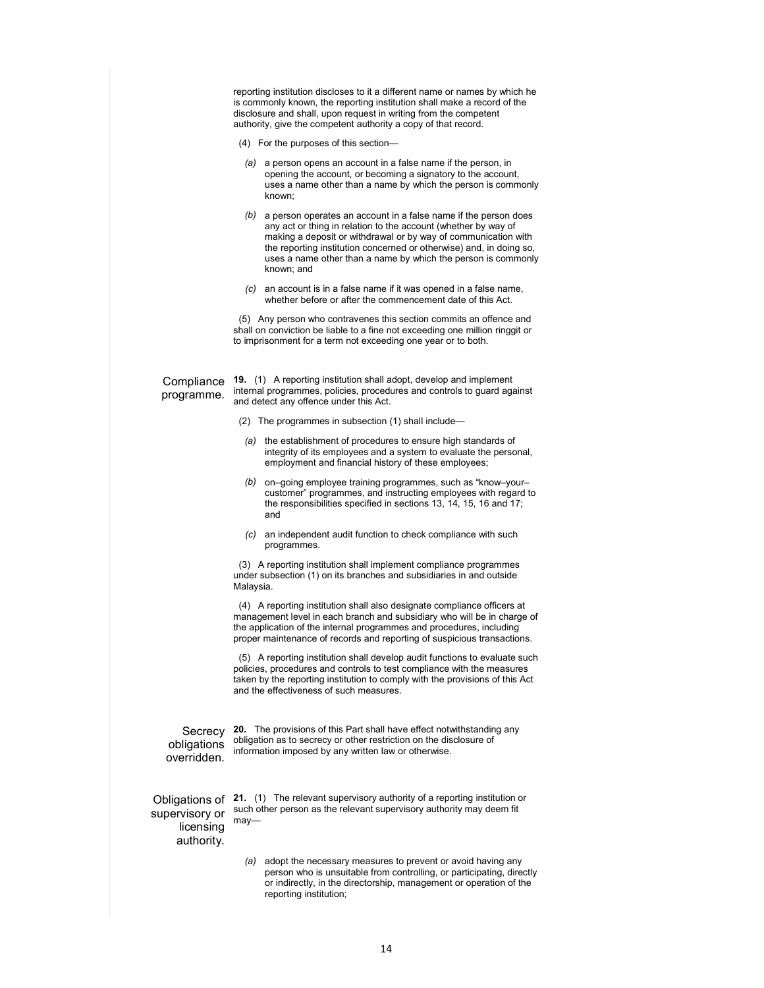reporting institution discloses to it a different name or names by which he is commonly known, the reporting institution shall make a record of the disclosure and shall, upon request in writing from the competent authority, give the competent authority a copy of that record. (4) For the purposes of this section— *(a)* a person opens an account in a false name if the person, in opening the account, or becoming a signatory to the account, uses a name other than a name by which the person is commonly known; *(b)* a person operates an account in a false name if the person does any act or thing in relation to the account (whether by way of making a deposit or withdrawal or by way of communication with the reporting institution concerned or otherwise) and, in doing so, uses a name other than a name by which the person is commonly known; and *(c)* an account is in a false name if it was opened in a false name, whether before or after the commencement date of this Act. (5) Any person who contravenes this section commits an offence and shall on conviction be liable to a fine not exceeding one million ringgit or to imprisonment for a term not exceeding one year or to both. **Compliance** programme. **19.** (1) A reporting institution shall adopt, develop and implement internal programmes, policies, procedures and controls to guard against and detect any offence under this Act. (2) The programmes in subsection (1) shall include— *(a)* the establishment of procedures to ensure high standards of integrity of its employees and a system to evaluate the personal, employment and financial history of these employees; *(b)* on–going employee training programmes, such as "know–your– customer" programmes, and instructing employees with regard to the responsibilities specified in sections 13, 14, 15, 16 and 17; and *(c)* an independent audit function to check compliance with such programmes. (3) A reporting institution shall implement compliance programmes under subsection (1) on its branches and subsidiaries in and outside Malaysia. (4) A reporting institution shall also designate compliance officers at management level in each branch and subsidiary who will be in charge of the application of the internal programmes and procedures, including proper maintenance of records and reporting of suspicious transactions. (5) A reporting institution shall develop audit functions to evaluate such policies, procedures and controls to test compliance with the measures taken by the reporting institution to comply with the provisions of this Act and the effectiveness of such measures. Secrecy obligations overridden. **20.** The provisions of this Part shall have effect notwithstanding any obligation as to secrecy or other restriction on the disclosure of information imposed by any written law or otherwise. Obligations of **21.** (1) The relevant supervisory authority of a reporting institution or supervisory or licensing authority. such other person as the relevant supervisory authority may deem fit may— *(a)* adopt the necessary measures to prevent or avoid having any person who is unsuitable from controlling, or participating, directly or indirectly, in the directorship, management or operation of the reporting institution;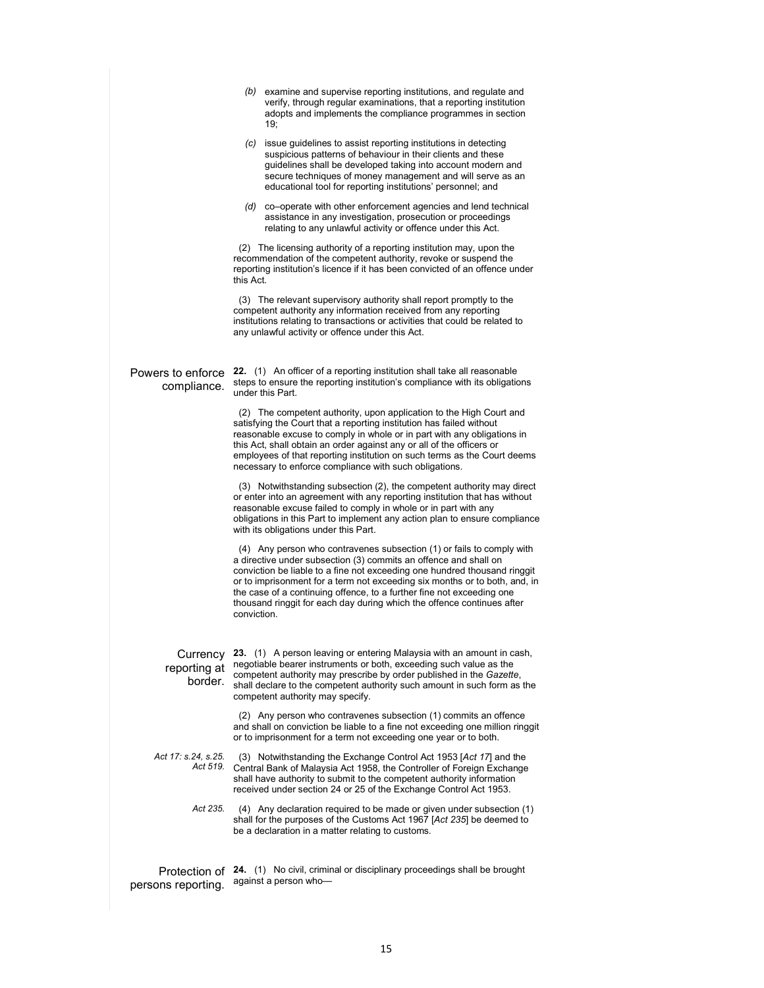|                                     | (b) examine and supervise reporting institutions, and regulate and<br>verify, through regular examinations, that a reporting institution<br>adopts and implements the compliance programmes in section<br>19;                                                                                                                                                                                                                                                          |
|-------------------------------------|------------------------------------------------------------------------------------------------------------------------------------------------------------------------------------------------------------------------------------------------------------------------------------------------------------------------------------------------------------------------------------------------------------------------------------------------------------------------|
|                                     | (c) issue quidelines to assist reporting institutions in detecting<br>suspicious patterns of behaviour in their clients and these<br>guidelines shall be developed taking into account modern and<br>secure techniques of money management and will serve as an<br>educational tool for reporting institutions' personnel; and                                                                                                                                         |
|                                     | (d) co-operate with other enforcement agencies and lend technical<br>assistance in any investigation, prosecution or proceedings<br>relating to any unlawful activity or offence under this Act.                                                                                                                                                                                                                                                                       |
|                                     | (2) The licensing authority of a reporting institution may, upon the<br>recommendation of the competent authority, revoke or suspend the<br>reporting institution's licence if it has been convicted of an offence under<br>this Act.                                                                                                                                                                                                                                  |
|                                     | (3) The relevant supervisory authority shall report promptly to the<br>competent authority any information received from any reporting<br>institutions relating to transactions or activities that could be related to<br>any unlawful activity or offence under this Act.                                                                                                                                                                                             |
| Powers to enforce<br>compliance.    | 22. (1) An officer of a reporting institution shall take all reasonable<br>steps to ensure the reporting institution's compliance with its obligations<br>under this Part.                                                                                                                                                                                                                                                                                             |
|                                     | (2) The competent authority, upon application to the High Court and<br>satisfying the Court that a reporting institution has failed without<br>reasonable excuse to comply in whole or in part with any obligations in<br>this Act, shall obtain an order against any or all of the officers or<br>employees of that reporting institution on such terms as the Court deems<br>necessary to enforce compliance with such obligations.                                  |
|                                     | (3) Notwithstanding subsection (2), the competent authority may direct<br>or enter into an agreement with any reporting institution that has without<br>reasonable excuse failed to comply in whole or in part with any<br>obligations in this Part to implement any action plan to ensure compliance<br>with its obligations under this Part.                                                                                                                         |
|                                     | (4) Any person who contravenes subsection (1) or fails to comply with<br>a directive under subsection (3) commits an offence and shall on<br>conviction be liable to a fine not exceeding one hundred thousand ringgit<br>or to imprisonment for a term not exceeding six months or to both, and, in<br>the case of a continuing offence, to a further fine not exceeding one<br>thousand ringgit for each day during which the offence continues after<br>conviction. |
| Currency<br>reporting at<br>border. | 23. (1) A person leaving or entering Malaysia with an amount in cash,<br>negotiable bearer instruments or both, exceeding such value as the<br>competent authority may prescribe by order published in the Gazette,<br>shall declare to the competent authority such amount in such form as the<br>competent authority may specify.                                                                                                                                    |
|                                     | (2) Any person who contravenes subsection (1) commits an offence<br>and shall on conviction be liable to a fine not exceeding one million ringgit<br>or to imprisonment for a term not exceeding one year or to both.                                                                                                                                                                                                                                                  |
| Act 17: s.24, s.25.<br>Act 519.     | (3) Notwithstanding the Exchange Control Act 1953 [Act 17] and the<br>Central Bank of Malaysia Act 1958, the Controller of Foreign Exchange<br>shall have authority to submit to the competent authority information<br>received under section 24 or 25 of the Exchange Control Act 1953.                                                                                                                                                                              |
| Act 235.                            | (4) Any declaration required to be made or given under subsection (1)<br>shall for the purposes of the Customs Act 1967 [Act 235] be deemed to<br>be a declaration in a matter relating to customs.                                                                                                                                                                                                                                                                    |
| Protection of<br>persons reporting. | <b>24.</b> (1) No civil, criminal or disciplinary proceedings shall be brought<br>against a person who-                                                                                                                                                                                                                                                                                                                                                                |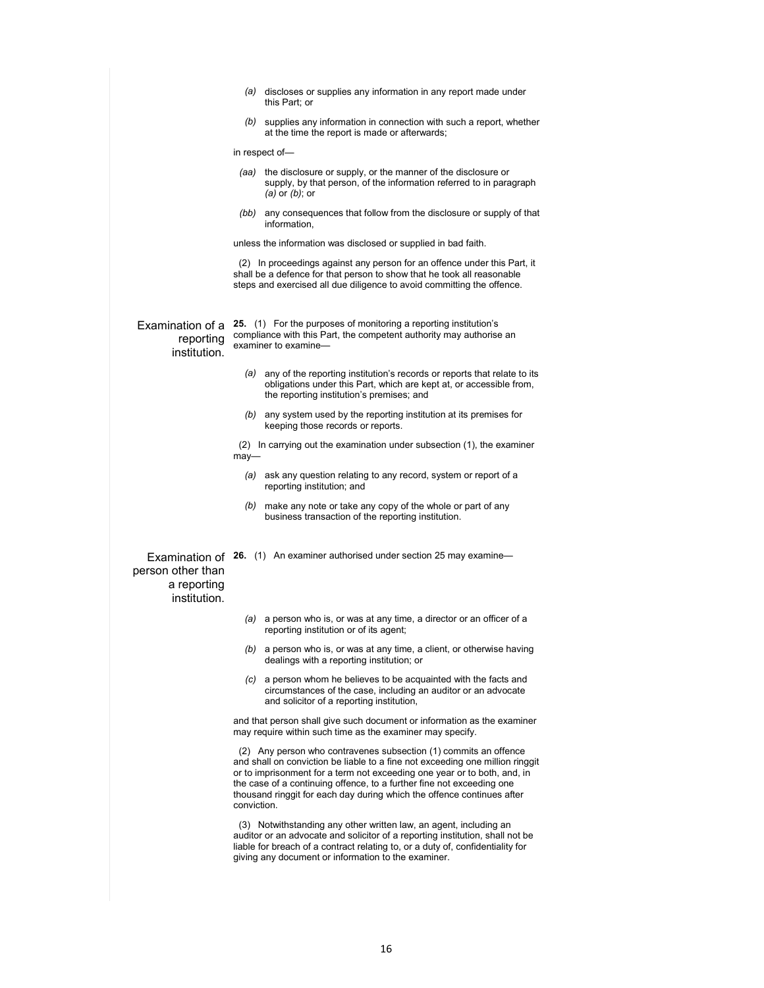|                                                  |             | (a) discloses or supplies any information in any report made under                                                                                                                                                                                                                                                                                                               |
|--------------------------------------------------|-------------|----------------------------------------------------------------------------------------------------------------------------------------------------------------------------------------------------------------------------------------------------------------------------------------------------------------------------------------------------------------------------------|
|                                                  |             | this Part; or                                                                                                                                                                                                                                                                                                                                                                    |
|                                                  |             | $(b)$ supplies any information in connection with such a report, whether<br>at the time the report is made or afterwards;                                                                                                                                                                                                                                                        |
|                                                  |             | in respect of-                                                                                                                                                                                                                                                                                                                                                                   |
|                                                  |             | (aa) the disclosure or supply, or the manner of the disclosure or<br>supply, by that person, of the information referred to in paragraph<br>$(a)$ or $(b)$ ; or                                                                                                                                                                                                                  |
|                                                  |             | (bb) any consequences that follow from the disclosure or supply of that<br>information,                                                                                                                                                                                                                                                                                          |
|                                                  |             | unless the information was disclosed or supplied in bad faith.                                                                                                                                                                                                                                                                                                                   |
|                                                  |             | (2) In proceedings against any person for an offence under this Part, it<br>shall be a defence for that person to show that he took all reasonable<br>steps and exercised all due diligence to avoid committing the offence.                                                                                                                                                     |
| Examination of a<br>reporting<br>institution.    |             | 25. (1) For the purposes of monitoring a reporting institution's<br>compliance with this Part, the competent authority may authorise an<br>examiner to examine-                                                                                                                                                                                                                  |
|                                                  |             | (a) any of the reporting institution's records or reports that relate to its<br>obligations under this Part, which are kept at, or accessible from,<br>the reporting institution's premises; and                                                                                                                                                                                 |
|                                                  |             | $(b)$ any system used by the reporting institution at its premises for<br>keeping those records or reports.                                                                                                                                                                                                                                                                      |
|                                                  | $may-$      | (2) In carrying out the examination under subsection (1), the examiner                                                                                                                                                                                                                                                                                                           |
|                                                  |             | (a) ask any question relating to any record, system or report of a<br>reporting institution; and                                                                                                                                                                                                                                                                                 |
|                                                  |             | $(b)$ make any note or take any copy of the whole or part of any<br>business transaction of the reporting institution.                                                                                                                                                                                                                                                           |
| person other than<br>a reporting<br>institution. |             | Examination of 26. (1) An examiner authorised under section 25 may examine-                                                                                                                                                                                                                                                                                                      |
|                                                  |             | (a) a person who is, or was at any time, a director or an officer of a<br>reporting institution or of its agent;                                                                                                                                                                                                                                                                 |
|                                                  |             | $(b)$ a person who is, or was at any time, a client, or otherwise having<br>dealings with a reporting institution; or                                                                                                                                                                                                                                                            |
|                                                  | (C)         | a person whom he believes to be acquainted with the facts and<br>circumstances of the case, including an auditor or an advocate<br>and solicitor of a reporting institution,                                                                                                                                                                                                     |
|                                                  |             | and that person shall give such document or information as the examiner<br>may require within such time as the examiner may specify.                                                                                                                                                                                                                                             |
|                                                  | conviction. | (2) Any person who contravenes subsection (1) commits an offence<br>and shall on conviction be liable to a fine not exceeding one million ringgit<br>or to imprisonment for a term not exceeding one year or to both, and, in<br>the case of a continuing offence, to a further fine not exceeding one<br>thousand ringgit for each day during which the offence continues after |
|                                                  |             | (3) Notwithstanding any other written law, an agent, including an<br>auditor or an advocate and solicitor of a reporting institution, shall not be<br>liable for breach of a contract relating to, or a duty of, confidentiality for<br>giving any document or information to the examiner.                                                                                      |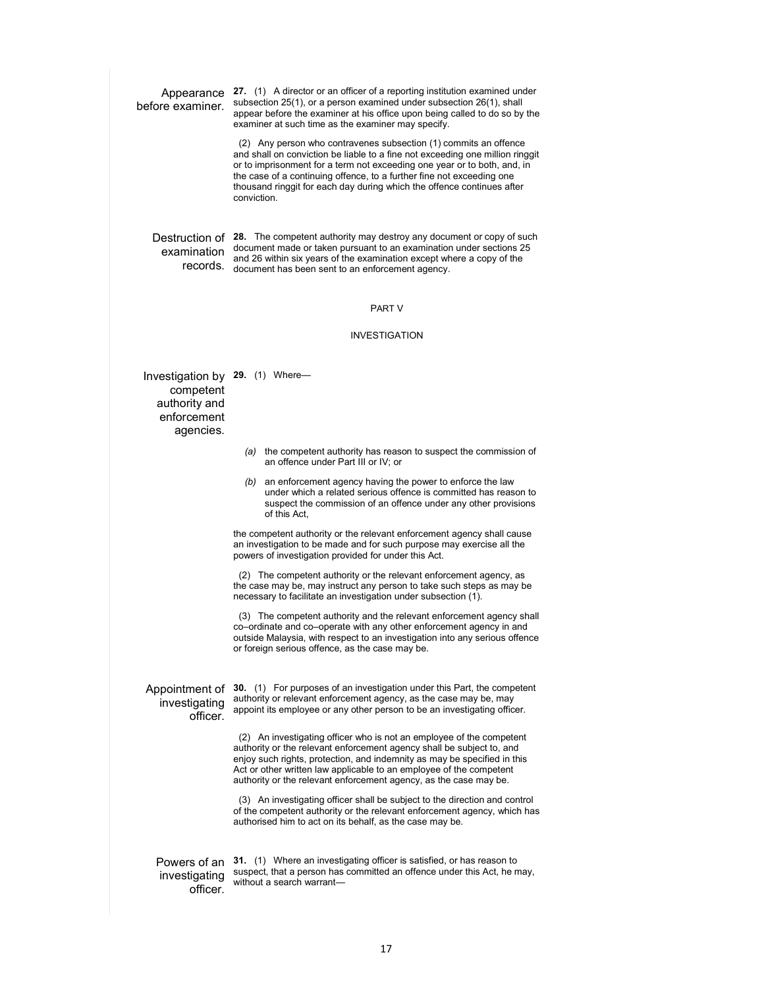Appearance **27.** (1) A director or an officer of a reporting institution examined under before examiner. subsection 25(1), or a person examined under subsection 26(1), shall appear before the examiner at his office upon being called to do so by the examiner at such time as the examiner may specify. (2) Any person who contravenes subsection (1) commits an offence and shall on conviction be liable to a fine not exceeding one million ringgit or to imprisonment for a term not exceeding one year or to both, and, in the case of a continuing offence, to a further fine not exceeding one thousand ringgit for each day during which the offence continues after conviction. Destruction of examination document made or taken pursuant to an examination under sections 25 records. document has been sent to an enforcement agency. Destruction of 28. The competent authority may destroy any document or copy of such and 26 within six years of the examination except where a copy of the PART V INVESTIGATION Investigation by **29.** (1) Where competent authority and enforcement agencies. *(a)* the competent authority has reason to suspect the commission of an offence under Part III or IV; or *(b)* an enforcement agency having the power to enforce the law under which a related serious offence is committed has reason to suspect the commission of an offence under any other provisions of this Act, the competent authority or the relevant enforcement agency shall cause an investigation to be made and for such purpose may exercise all the powers of investigation provided for under this Act. (2) The competent authority or the relevant enforcement agency, as the case may be, may instruct any person to take such steps as may be necessary to facilitate an investigation under subsection (1). (3) The competent authority and the relevant enforcement agency shall co–ordinate and co–operate with any other enforcement agency in and outside Malaysia, with respect to an investigation into any serious offence or foreign serious offence, as the case may be. Appointment of **30.** (1) For purposes of an investigation under this Part, the competent investigating officer. authority or relevant enforcement agency, as the case may be, may appoint its employee or any other person to be an investigating officer. (2) An investigating officer who is not an employee of the competent authority or the relevant enforcement agency shall be subject to, and enjoy such rights, protection, and indemnity as may be specified in this Act or other written law applicable to an employee of the competent authority or the relevant enforcement agency, as the case may be. (3) An investigating officer shall be subject to the direction and control of the competent authority or the relevant enforcement agency, which has authorised him to act on its behalf, as the case may be. Powers of an **31.** (1) Where an investigating officer is satisfied, or has reason to investigating officer. suspect, that a person has committed an offence under this Act, he may, without a search warrant—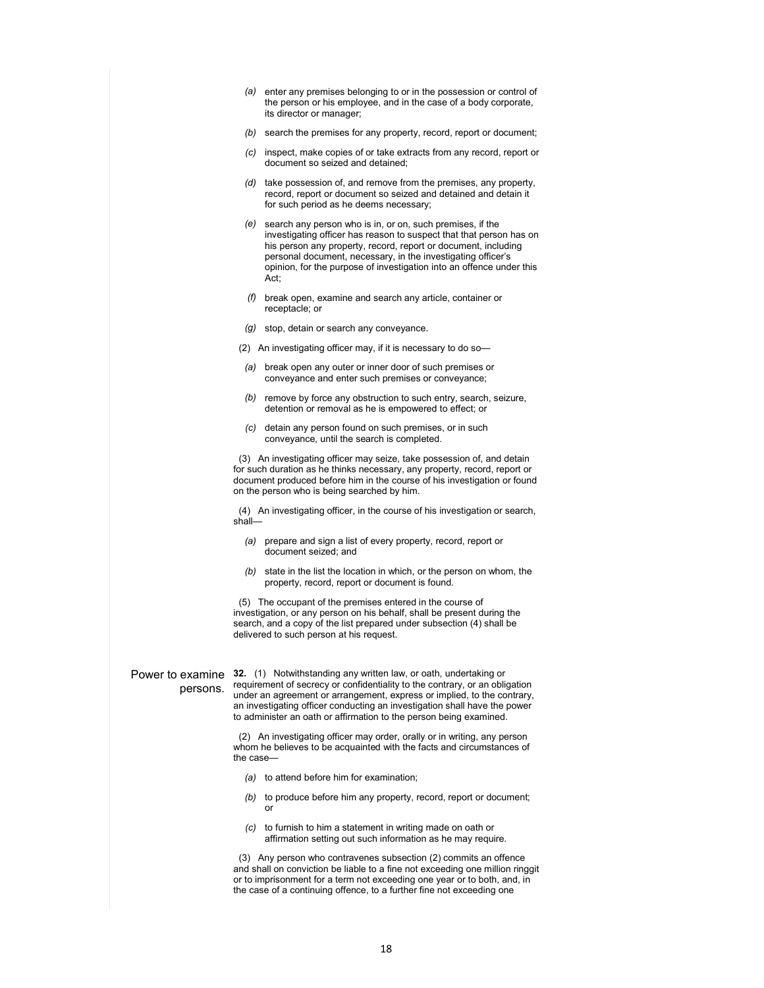- *(a)* enter any premises belonging to or in the possession or control of the person or his employee, and in the case of a body corporate, its director or manager;
- *(b)* search the premises for any property, record, report or document;
- *(c)* inspect, make copies of or take extracts from any record, report or document so seized and detained;
- *(d)* take possession of, and remove from the premises, any property, record, report or document so seized and detained and detain it for such period as he deems necessary;
- *(e)* search any person who is in, or on, such premises, if the investigating officer has reason to suspect that that person has on his person any property, record, report or document, including personal document, necessary, in the investigating officer's opinion, for the purpose of investigation into an offence under this Act;
- *(f)* break open, examine and search any article, container or receptacle; or
- *(g)* stop, detain or search any conveyance.
- (2) An investigating officer may, if it is necessary to do so—
- *(a)* break open any outer or inner door of such premises or conveyance and enter such premises or conveyance;
- *(b)* remove by force any obstruction to such entry, search, seizure, detention or removal as he is empowered to effect; or
- *(c)* detain any person found on such premises, or in such conveyance, until the search is completed.

 (3) An investigating officer may seize, take possession of, and detain for such duration as he thinks necessary, any property, record, report or document produced before him in the course of his investigation or found on the person who is being searched by him.

 (4) An investigating officer, in the course of his investigation or search, shall—

- *(a)* prepare and sign a list of every property, record, report or document seized; and
- *(b)* state in the list the location in which, or the person on whom, the property, record, report or document is found.

 (5) The occupant of the premises entered in the course of investigation, or any person on his behalf, shall be present during the search, and a copy of the list prepared under subsection (4) shall be delivered to such person at his request.

## persons.

Power to examine **32.** (1) Notwithstanding any written law, or oath, undertaking or requirement of secrecy or confidentiality to the contrary, or an obligation under an agreement or arrangement, express or implied, to the contrary, an investigating officer conducting an investigation shall have the power to administer an oath or affirmation to the person being examined.

> (2) An investigating officer may order, orally or in writing, any person whom he believes to be acquainted with the facts and circumstances of the case—

- *(a)* to attend before him for examination;
- *(b)* to produce before him any property, record, report or document; or
- *(c)* to furnish to him a statement in writing made on oath or affirmation setting out such information as he may require.

 (3) Any person who contravenes subsection (2) commits an offence and shall on conviction be liable to a fine not exceeding one million ringgit or to imprisonment for a term not exceeding one year or to both, and, in the case of a continuing offence, to a further fine not exceeding one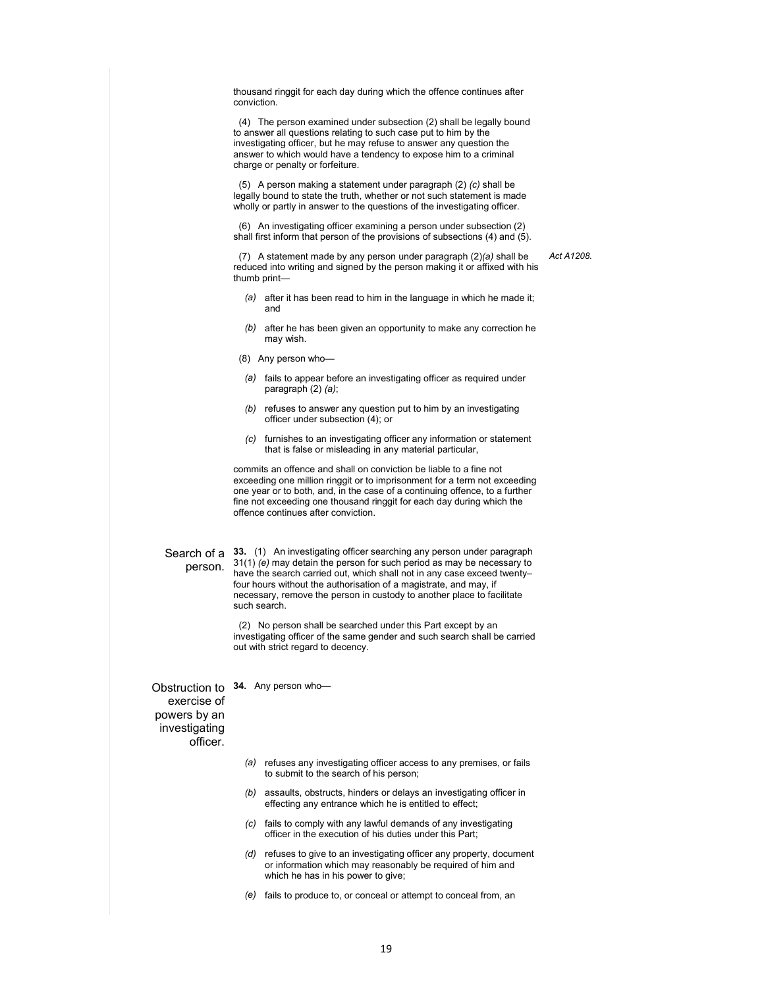thousand ringgit for each day during which the offence continues after conviction.

 (4) The person examined under subsection (2) shall be legally bound to answer all questions relating to such case put to him by the investigating officer, but he may refuse to answer any question the answer to which would have a tendency to expose him to a criminal charge or penalty or forfeiture.

 (5) A person making a statement under paragraph (2) *(c)* shall be legally bound to state the truth, whether or not such statement is made wholly or partly in answer to the questions of the investigating officer.

 (6) An investigating officer examining a person under subsection (2) shall first inform that person of the provisions of subsections (4) and (5).

*Act A1208.* 

 (7) A statement made by any person under paragraph (2)*(a)* shall be reduced into writing and signed by the person making it or affixed with his thumb print—

- *(a)* after it has been read to him in the language in which he made it; and
- *(b)* after he has been given an opportunity to make any correction he may wish.
- (8) Any person who—
- *(a)* fails to appear before an investigating officer as required under paragraph (2) *(a)*;
- *(b)* refuses to answer any question put to him by an investigating officer under subsection (4); or
- *(c)* furnishes to an investigating officer any information or statement that is false or misleading in any material particular,

commits an offence and shall on conviction be liable to a fine not exceeding one million ringgit or to imprisonment for a term not exceeding one year or to both, and, in the case of a continuing offence, to a further fine not exceeding one thousand ringgit for each day during which the offence continues after conviction.

#### Search of a person.

**33.** (1) An investigating officer searching any person under paragraph 31(1) *(e)* may detain the person for such period as may be necessary to have the search carried out, which shall not in any case exceed twenty– four hours without the authorisation of a magistrate, and may, if necessary, remove the person in custody to another place to facilitate such search.

 (2) No person shall be searched under this Part except by an investigating officer of the same gender and such search shall be carried out with strict regard to decency.

Obstruction to **34.** Any person who exercise of powers by an investigating officer.

- *(a)* refuses any investigating officer access to any premises, or fails to submit to the search of his person;
- *(b)* assaults, obstructs, hinders or delays an investigating officer in effecting any entrance which he is entitled to effect;
- *(c)* fails to comply with any lawful demands of any investigating officer in the execution of his duties under this Part;
- *(d)* refuses to give to an investigating officer any property, document or information which may reasonably be required of him and which he has in his power to give;
- *(e)* fails to produce to, or conceal or attempt to conceal from, an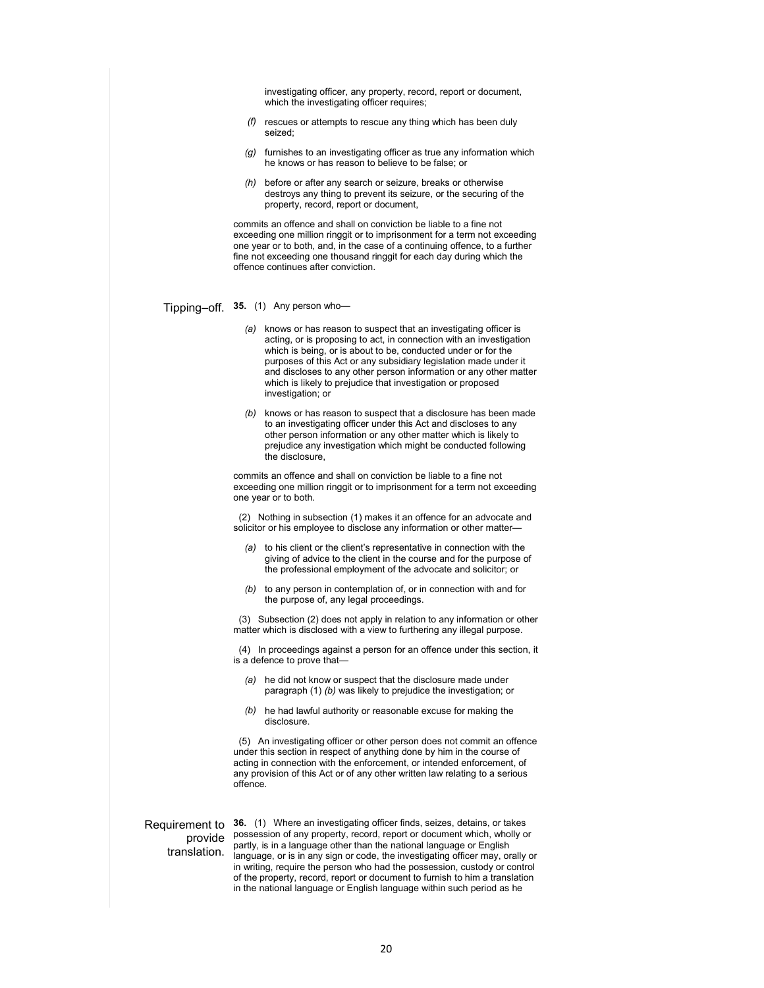investigating officer, any property, record, report or document, which the investigating officer requires;

- *(f)* rescues or attempts to rescue any thing which has been duly seized;
- *(g)* furnishes to an investigating officer as true any information which he knows or has reason to believe to be false; or
- *(h)* before or after any search or seizure, breaks or otherwise destroys any thing to prevent its seizure, or the securing of the property, record, report or document,

commits an offence and shall on conviction be liable to a fine not exceeding one million ringgit or to imprisonment for a term not exceeding one year or to both, and, in the case of a continuing offence, to a further fine not exceeding one thousand ringgit for each day during which the offence continues after conviction.

#### Tipping–off. **35.** (1) Any person who—

- *(a)* knows or has reason to suspect that an investigating officer is acting, or is proposing to act, in connection with an investigation which is being, or is about to be, conducted under or for the purposes of this Act or any subsidiary legislation made under it and discloses to any other person information or any other matter which is likely to prejudice that investigation or proposed investigation; or
- *(b)* knows or has reason to suspect that a disclosure has been made to an investigating officer under this Act and discloses to any other person information or any other matter which is likely to prejudice any investigation which might be conducted following the disclosure,

commits an offence and shall on conviction be liable to a fine not exceeding one million ringgit or to imprisonment for a term not exceeding one year or to both.

 (2) Nothing in subsection (1) makes it an offence for an advocate and solicitor or his employee to disclose any information or other matter—

- *(a)* to his client or the client's representative in connection with the giving of advice to the client in the course and for the purpose of the professional employment of the advocate and solicitor; or
- *(b)* to any person in contemplation of, or in connection with and for the purpose of, any legal proceedings.

 (3) Subsection (2) does not apply in relation to any information or other matter which is disclosed with a view to furthering any illegal purpose.

 (4) In proceedings against a person for an offence under this section, it is a defence to prove that—

- *(a)* he did not know or suspect that the disclosure made under paragraph (1) *(b)* was likely to prejudice the investigation; or
- *(b)* he had lawful authority or reasonable excuse for making the disclosure.

 (5) An investigating officer or other person does not commit an offence under this section in respect of anything done by him in the course of acting in connection with the enforcement, or intended enforcement, of any provision of this Act or of any other written law relating to a serious offence.

## provide translation.

Requirement to **36.** (1) Where an investigating officer finds, seizes, detains, or takes possession of any property, record, report or document which, wholly or partly, is in a language other than the national language or English language, or is in any sign or code, the investigating officer may, orally or in writing, require the person who had the possession, custody or control of the property, record, report or document to furnish to him a translation in the national language or English language within such period as he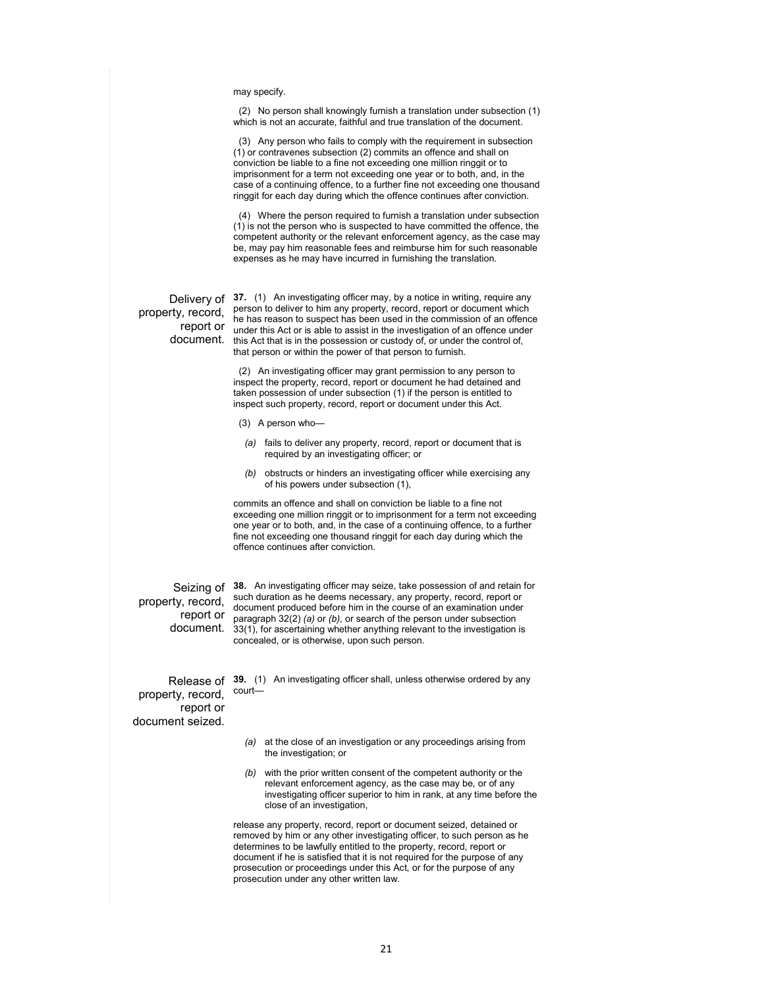may specify.

 (2) No person shall knowingly furnish a translation under subsection (1) which is not an accurate, faithful and true translation of the document.

 (3) Any person who fails to comply with the requirement in subsection (1) or contravenes subsection (2) commits an offence and shall on conviction be liable to a fine not exceeding one million ringgit or to imprisonment for a term not exceeding one year or to both, and, in the case of a continuing offence, to a further fine not exceeding one thousand ringgit for each day during which the offence continues after conviction.

 (4) Where the person required to furnish a translation under subsection (1) is not the person who is suspected to have committed the offence, the competent authority or the relevant enforcement agency, as the case may be, may pay him reasonable fees and reimburse him for such reasonable expenses as he may have incurred in furnishing the translation.

property, record,

Delivery of **37.** (1) An investigating officer may, by a notice in writing, require any report or the has reason to suspect has seen ased in the commission of an offence under document. this Act that is in the possession or custody of, or under the control of, person to deliver to him any property, record, report or document which he has reason to suspect has been used in the commission of an offence that person or within the power of that person to furnish.

> (2) An investigating officer may grant permission to any person to inspect the property, record, report or document he had detained and taken possession of under subsection (1) if the person is entitled to inspect such property, record, report or document under this Act.

(3) A person who—

- *(a)* fails to deliver any property, record, report or document that is required by an investigating officer; or
- *(b)* obstructs or hinders an investigating officer while exercising any of his powers under subsection (1),

commits an offence and shall on conviction be liable to a fine not exceeding one million ringgit or to imprisonment for a term not exceeding one year or to both, and, in the case of a continuing offence, to a further fine not exceeding one thousand ringgit for each day during which the offence continues after conviction.

property, record,

Seizing of **38.** An investigating officer may seize, take possession of and retain for report or paragraph 32(2) *(a)* or *(b)*, or search of the person under subsection document. 33(1), for ascertaining whether anything relevant to the investigation is such duration as he deems necessary, any property, record, report or document produced before him in the course of an examination under concealed, or is otherwise, upon such person.

property, record, report or document seized.

Release of **39.** (1) An investigating officer shall, unless otherwise ordered by any court—

- *(a)* at the close of an investigation or any proceedings arising from the investigation; or
- *(b)* with the prior written consent of the competent authority or the relevant enforcement agency, as the case may be, or of any investigating officer superior to him in rank, at any time before the close of an investigation,

release any property, record, report or document seized, detained or removed by him or any other investigating officer, to such person as he determines to be lawfully entitled to the property, record, report or document if he is satisfied that it is not required for the purpose of any prosecution or proceedings under this Act, or for the purpose of any prosecution under any other written law.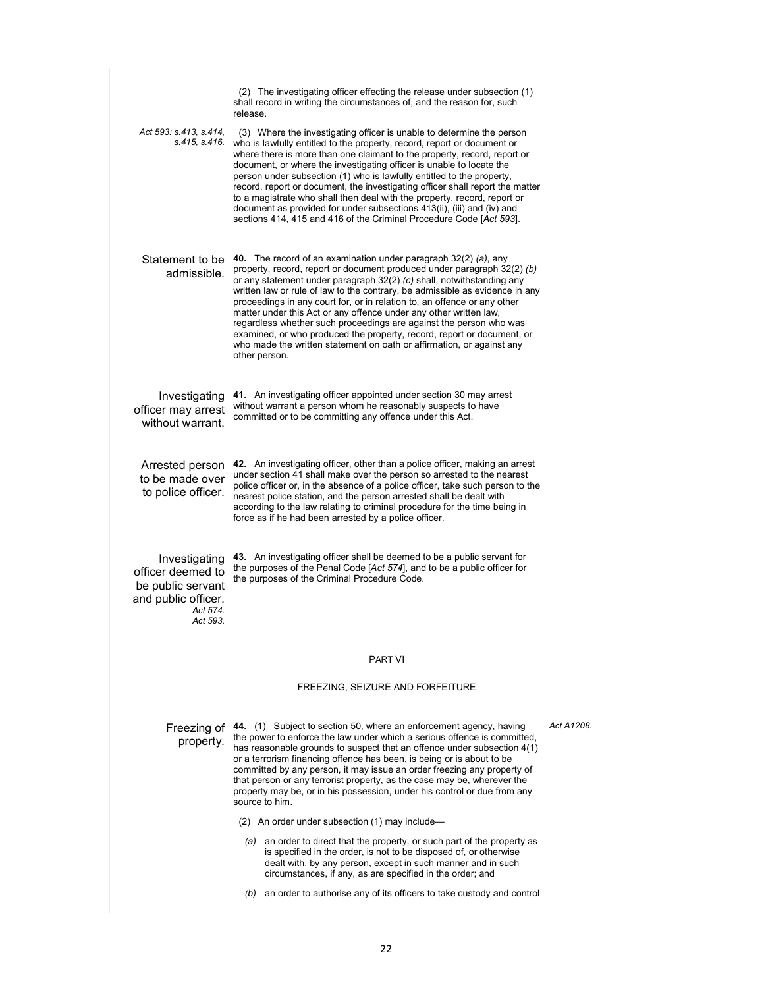|                                                                                                        | (2) The investigating officer effecting the release under subsection (1)<br>shall record in writing the circumstances of, and the reason for, such<br>release.                                                                                                                                                                                                                                                                                                                                                                                                                                                                                                                                 |            |
|--------------------------------------------------------------------------------------------------------|------------------------------------------------------------------------------------------------------------------------------------------------------------------------------------------------------------------------------------------------------------------------------------------------------------------------------------------------------------------------------------------------------------------------------------------------------------------------------------------------------------------------------------------------------------------------------------------------------------------------------------------------------------------------------------------------|------------|
| Act 593: s.413, s.414,<br>s.415. s.416.                                                                | (3) Where the investigating officer is unable to determine the person<br>who is lawfully entitled to the property, record, report or document or<br>where there is more than one claimant to the property, record, report or<br>document, or where the investigating officer is unable to locate the<br>person under subsection (1) who is lawfully entitled to the property,<br>record, report or document, the investigating officer shall report the matter<br>to a magistrate who shall then deal with the property, record, report or<br>document as provided for under subsections 413(ii), (iii) and (iv) and<br>sections 414, 415 and 416 of the Criminal Procedure Code [Act 593].    |            |
| Statement to be<br>admissible.                                                                         | 40. The record of an examination under paragraph 32(2) (a), any<br>property, record, report or document produced under paragraph 32(2) (b)<br>or any statement under paragraph 32(2) (c) shall, notwithstanding any<br>written law or rule of law to the contrary, be admissible as evidence in any<br>proceedings in any court for, or in relation to, an offence or any other<br>matter under this Act or any offence under any other written law,<br>regardless whether such proceedings are against the person who was<br>examined, or who produced the property, record, report or document, or<br>who made the written statement on oath or affirmation, or against any<br>other person. |            |
| Investigating<br>officer may arrest<br>without warrant.                                                | 41. An investigating officer appointed under section 30 may arrest<br>without warrant a person whom he reasonably suspects to have<br>committed or to be committing any offence under this Act.                                                                                                                                                                                                                                                                                                                                                                                                                                                                                                |            |
| Arrested person<br>to be made over<br>to police officer.                                               | 42. An investigating officer, other than a police officer, making an arrest<br>under section 41 shall make over the person so arrested to the nearest<br>police officer or, in the absence of a police officer, take such person to the<br>nearest police station, and the person arrested shall be dealt with<br>according to the law relating to criminal procedure for the time being in<br>force as if he had been arrested by a police officer.                                                                                                                                                                                                                                           |            |
| Investigating<br>officer deemed to<br>be public servant<br>and public officer.<br>Act 574.<br>Act 593. | 43. An investigating officer shall be deemed to be a public servant for<br>the purposes of the Penal Code [Act 574], and to be a public officer for<br>the purposes of the Criminal Procedure Code.                                                                                                                                                                                                                                                                                                                                                                                                                                                                                            |            |
|                                                                                                        | <b>PART VI</b>                                                                                                                                                                                                                                                                                                                                                                                                                                                                                                                                                                                                                                                                                 |            |
|                                                                                                        | FREEZING, SEIZURE AND FORFEITURE                                                                                                                                                                                                                                                                                                                                                                                                                                                                                                                                                                                                                                                               |            |
| Freezing of<br>property.                                                                               | 44. (1) Subject to section 50, where an enforcement agency, having<br>the power to enforce the law under which a serious offence is committed,<br>has reasonable grounds to suspect that an offence under subsection 4(1)<br>or a terrorism financing offence has been, is being or is about to be<br>committed by any person, it may issue an order freezing any property of<br>that person or any terrorist property, as the case may be, wherever the<br>property may be, or in his possession, under his control or due from any<br>source to him.                                                                                                                                         | Act A1208. |
|                                                                                                        | (2) An order under subsection (1) may include-                                                                                                                                                                                                                                                                                                                                                                                                                                                                                                                                                                                                                                                 |            |
|                                                                                                        | (a) an order to direct that the property, or such part of the property as<br>is specified in the order, is not to be disposed of, or otherwise<br>dealt with, by any person, except in such manner and in such<br>circumstances, if any, as are specified in the order; and                                                                                                                                                                                                                                                                                                                                                                                                                    |            |
|                                                                                                        | an order to authorise any of its officers to take custody and control<br>(b)                                                                                                                                                                                                                                                                                                                                                                                                                                                                                                                                                                                                                   |            |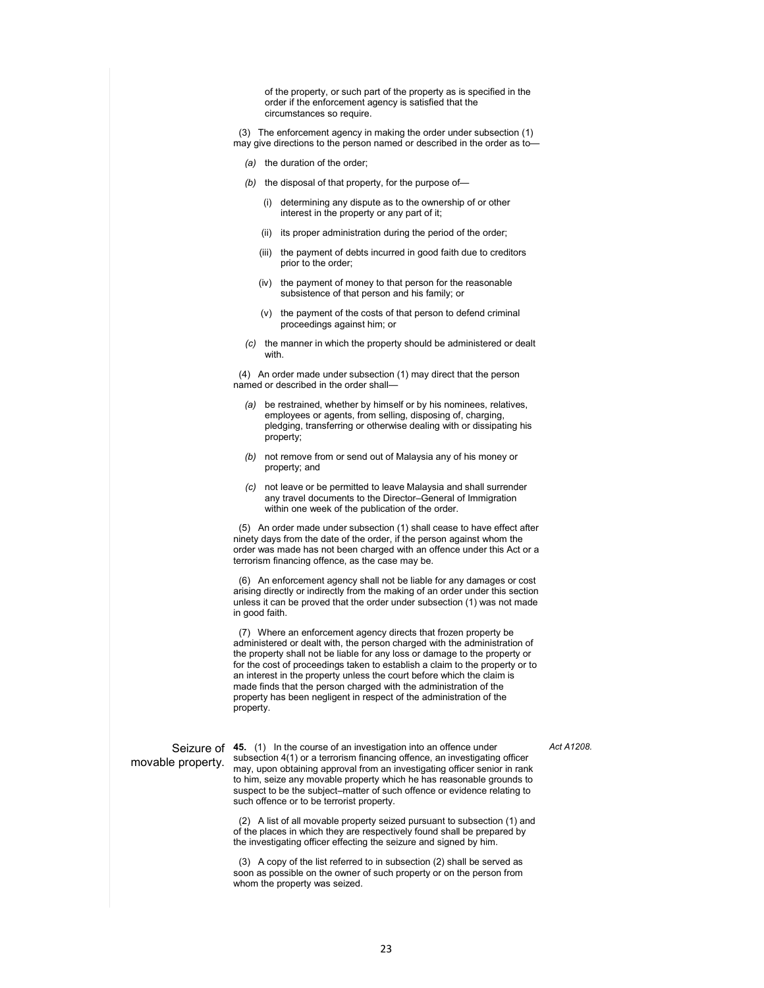of the property, or such part of the property as is specified in the order if the enforcement agency is satisfied that the circumstances so require.

 (3) The enforcement agency in making the order under subsection (1) may give directions to the person named or described in the order as to—

- *(a)* the duration of the order;
- *(b)* the disposal of that property, for the purpose of—
	- (i) determining any dispute as to the ownership of or other interest in the property or any part of it;
	- (ii) its proper administration during the period of the order;
	- (iii) the payment of debts incurred in good faith due to creditors prior to the order;
	- (iv) the payment of money to that person for the reasonable subsistence of that person and his family; or
	- (v) the payment of the costs of that person to defend criminal proceedings against him; or
- *(c)* the manner in which the property should be administered or dealt with.

 (4) An order made under subsection (1) may direct that the person named or described in the order shall—

- *(a)* be restrained, whether by himself or by his nominees, relatives, employees or agents, from selling, disposing of, charging, pledging, transferring or otherwise dealing with or dissipating his property;
- *(b)* not remove from or send out of Malaysia any of his money or property; and
- *(c)* not leave or be permitted to leave Malaysia and shall surrender any travel documents to the Director–General of Immigration within one week of the publication of the order.

 (5) An order made under subsection (1) shall cease to have effect after ninety days from the date of the order, if the person against whom the order was made has not been charged with an offence under this Act or a terrorism financing offence, as the case may be.

 (6) An enforcement agency shall not be liable for any damages or cost arising directly or indirectly from the making of an order under this section unless it can be proved that the order under subsection (1) was not made in good faith.

 (7) Where an enforcement agency directs that frozen property be administered or dealt with, the person charged with the administration of the property shall not be liable for any loss or damage to the property or for the cost of proceedings taken to establish a claim to the property or to an interest in the property unless the court before which the claim is made finds that the person charged with the administration of the property has been negligent in respect of the administration of the property.

*Act A1208.* 

## movable property.

Seizure of **45.** (1) In the course of an investigation into an offence under subsection 4(1) or a terrorism financing offence, an investigating officer may, upon obtaining approval from an investigating officer senior in rank to him, seize any movable property which he has reasonable grounds to suspect to be the subject–matter of such offence or evidence relating to such offence or to be terrorist property.

> (2) A list of all movable property seized pursuant to subsection (1) and of the places in which they are respectively found shall be prepared by the investigating officer effecting the seizure and signed by him.

 (3) A copy of the list referred to in subsection (2) shall be served as soon as possible on the owner of such property or on the person from whom the property was seized.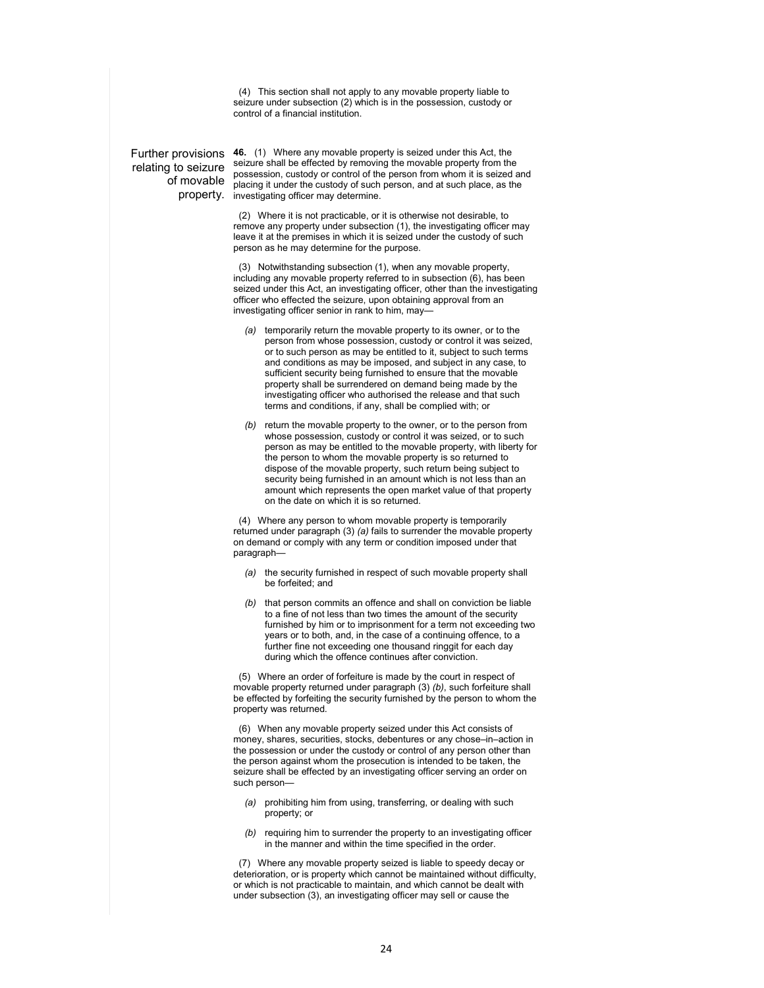(4) This section shall not apply to any movable property liable to seizure under subsection (2) which is in the possession, custody or control of a financial institution.

relating to seizure of movable

Further provisions **46.** (1) Where any movable property is seized under this Act, the property. investigating officer may determine. seizure shall be effected by removing the movable property from the possession, custody or control of the person from whom it is seized and placing it under the custody of such person, and at such place, as the

> (2) Where it is not practicable, or it is otherwise not desirable, to remove any property under subsection (1), the investigating officer may leave it at the premises in which it is seized under the custody of such person as he may determine for the purpose.

 (3) Notwithstanding subsection (1), when any movable property, including any movable property referred to in subsection (6), has been seized under this Act, an investigating officer, other than the investigating officer who effected the seizure, upon obtaining approval from an investigating officer senior in rank to him, may—

- *(a)* temporarily return the movable property to its owner, or to the person from whose possession, custody or control it was seized, or to such person as may be entitled to it, subject to such terms and conditions as may be imposed, and subject in any case, to sufficient security being furnished to ensure that the movable property shall be surrendered on demand being made by the investigating officer who authorised the release and that such terms and conditions, if any, shall be complied with; or
- *(b)* return the movable property to the owner, or to the person from whose possession, custody or control it was seized, or to such person as may be entitled to the movable property, with liberty for the person to whom the movable property is so returned to dispose of the movable property, such return being subject to security being furnished in an amount which is not less than an amount which represents the open market value of that property on the date on which it is so returned.

 (4) Where any person to whom movable property is temporarily returned under paragraph (3) *(a)* fails to surrender the movable property on demand or comply with any term or condition imposed under that paragraph—

- *(a)* the security furnished in respect of such movable property shall be forfeited; and
- *(b)* that person commits an offence and shall on conviction be liable to a fine of not less than two times the amount of the security furnished by him or to imprisonment for a term not exceeding two years or to both, and, in the case of a continuing offence, to a further fine not exceeding one thousand ringgit for each day during which the offence continues after conviction.

 (5) Where an order of forfeiture is made by the court in respect of movable property returned under paragraph (3) *(b)*, such forfeiture shall be effected by forfeiting the security furnished by the person to whom the property was returned.

 (6) When any movable property seized under this Act consists of money, shares, securities, stocks, debentures or any chose–in–action in the possession or under the custody or control of any person other than the person against whom the prosecution is intended to be taken, the seizure shall be effected by an investigating officer serving an order on such person—

- *(a)* prohibiting him from using, transferring, or dealing with such property; or
- *(b)* requiring him to surrender the property to an investigating officer in the manner and within the time specified in the order.

 (7) Where any movable property seized is liable to speedy decay or deterioration, or is property which cannot be maintained without difficulty, or which is not practicable to maintain, and which cannot be dealt with under subsection (3), an investigating officer may sell or cause the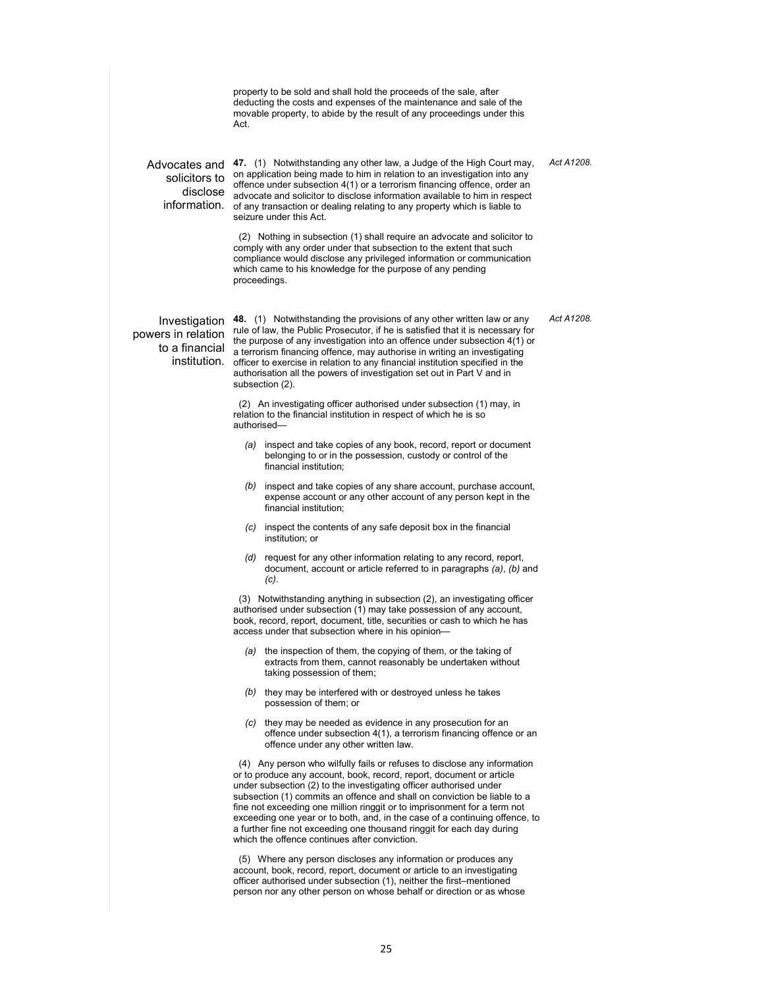|                                                                       | Act. | property to be sold and shall hold the proceeds of the sale, after<br>deducting the costs and expenses of the maintenance and sale of the<br>movable property, to abide by the result of any proceedings under this                                                                                                                                                                                                                                                                                                                                                                     |            |
|-----------------------------------------------------------------------|------|-----------------------------------------------------------------------------------------------------------------------------------------------------------------------------------------------------------------------------------------------------------------------------------------------------------------------------------------------------------------------------------------------------------------------------------------------------------------------------------------------------------------------------------------------------------------------------------------|------------|
| Advocates and<br>solicitors to<br>disclose<br>information.            |      | 47. (1) Notwithstanding any other law, a Judge of the High Court may,<br>on application being made to him in relation to an investigation into any<br>offence under subsection 4(1) or a terrorism financing offence, order an<br>advocate and solicitor to disclose information available to him in respect<br>of any transaction or dealing relating to any property which is liable to<br>seizure under this Act.                                                                                                                                                                    | Act A1208. |
|                                                                       |      | (2) Nothing in subsection (1) shall require an advocate and solicitor to<br>comply with any order under that subsection to the extent that such<br>compliance would disclose any privileged information or communication<br>which came to his knowledge for the purpose of any pending<br>proceedings.                                                                                                                                                                                                                                                                                  |            |
| Investigation<br>powers in relation<br>to a financial<br>institution. |      | 48. (1) Notwithstanding the provisions of any other written law or any<br>rule of law, the Public Prosecutor, if he is satisfied that it is necessary for<br>the purpose of any investigation into an offence under subsection 4(1) or<br>a terrorism financing offence, may authorise in writing an investigating<br>officer to exercise in relation to any financial institution specified in the<br>authorisation all the powers of investigation set out in Part V and in<br>subsection (2).                                                                                        | Act A1208. |
|                                                                       |      | (2) An investigating officer authorised under subsection (1) may, in<br>relation to the financial institution in respect of which he is so<br>authorised-                                                                                                                                                                                                                                                                                                                                                                                                                               |            |
|                                                                       | (a)  | inspect and take copies of any book, record, report or document<br>belonging to or in the possession, custody or control of the<br>financial institution;                                                                                                                                                                                                                                                                                                                                                                                                                               |            |
|                                                                       |      | (b) inspect and take copies of any share account, purchase account,<br>expense account or any other account of any person kept in the<br>financial institution;                                                                                                                                                                                                                                                                                                                                                                                                                         |            |
|                                                                       |      | (c) inspect the contents of any safe deposit box in the financial<br>institution; or                                                                                                                                                                                                                                                                                                                                                                                                                                                                                                    |            |
|                                                                       |      | $(d)$ request for any other information relating to any record, report,<br>document, account or article referred to in paragraphs (a), (b) and<br>$(c)$ .                                                                                                                                                                                                                                                                                                                                                                                                                               |            |
|                                                                       |      | (3) Notwithstanding anything in subsection (2), an investigating officer<br>authorised under subsection (1) may take possession of any account,<br>book, record, report, document, title, securities or cash to which he has<br>access under that subsection where in his opinion-                                                                                                                                                                                                                                                                                                      |            |
|                                                                       |      | (a) the inspection of them, the copying of them, or the taking of<br>extracts from them, cannot reasonably be undertaken without<br>taking possession of them;                                                                                                                                                                                                                                                                                                                                                                                                                          |            |
|                                                                       |      | (b) they may be interfered with or destroyed unless he takes<br>possession of them; or                                                                                                                                                                                                                                                                                                                                                                                                                                                                                                  |            |
|                                                                       |      | (c) they may be needed as evidence in any prosecution for an<br>offence under subsection 4(1), a terrorism financing offence or an<br>offence under any other written law.                                                                                                                                                                                                                                                                                                                                                                                                              |            |
|                                                                       |      | (4) Any person who wilfully fails or refuses to disclose any information<br>or to produce any account, book, record, report, document or article<br>under subsection (2) to the investigating officer authorised under<br>subsection (1) commits an offence and shall on conviction be liable to a<br>fine not exceeding one million ringgit or to imprisonment for a term not<br>exceeding one year or to both, and, in the case of a continuing offence, to<br>a further fine not exceeding one thousand ringgit for each day during<br>which the offence continues after conviction. |            |
|                                                                       |      | (5) Where any person discloses any information or produces any                                                                                                                                                                                                                                                                                                                                                                                                                                                                                                                          |            |

 (5) Where any person discloses any information or produces any account, book, record, report, document or article to an investigating officer authorised under subsection (1), neither the first–mentioned person nor any other person on whose behalf or direction or as whose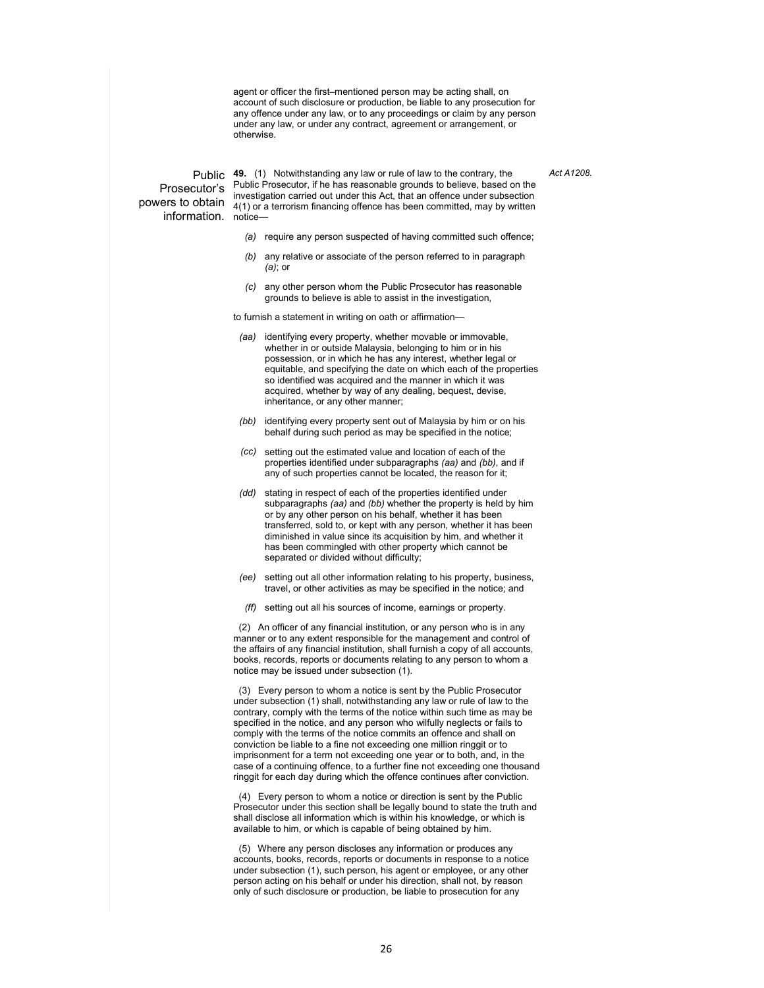agent or officer the first–mentioned person may be acting shall, on account of such disclosure or production, be liable to any prosecution for any offence under any law, or to any proceedings or claim by any person under any law, or under any contract, agreement or arrangement, or otherwise.

*Act A1208.* 

Prosecutor's information. notice—

Public **49.** (1) Notwithstanding any law or rule of law to the contrary, the powers to obtain  $\frac{1}{4(1)}$  or a terrorism financing offence has been committed, may by written Public Prosecutor, if he has reasonable grounds to believe, based on the investigation carried out under this Act, that an offence under subsection

- *(a)* require any person suspected of having committed such offence;
- *(b)* any relative or associate of the person referred to in paragraph *(a)*; or
- *(c)* any other person whom the Public Prosecutor has reasonable grounds to believe is able to assist in the investigation,

to furnish a statement in writing on oath or affirmation—

- *(aa)* identifying every property, whether movable or immovable, whether in or outside Malaysia, belonging to him or in his possession, or in which he has any interest, whether legal or equitable, and specifying the date on which each of the properties so identified was acquired and the manner in which it was acquired, whether by way of any dealing, bequest, devise, inheritance, or any other manner;
- *(bb)* identifying every property sent out of Malaysia by him or on his behalf during such period as may be specified in the notice;
- *(cc)* setting out the estimated value and location of each of the properties identified under subparagraphs *(aa)* and *(bb)*, and if any of such properties cannot be located, the reason for it;
- *(dd)* stating in respect of each of the properties identified under subparagraphs *(aa)* and *(bb)* whether the property is held by him or by any other person on his behalf, whether it has been transferred, sold to, or kept with any person, whether it has been diminished in value since its acquisition by him, and whether it has been commingled with other property which cannot be separated or divided without difficulty;
- *(ee)* setting out all other information relating to his property, business, travel, or other activities as may be specified in the notice; and
- *(ff)* setting out all his sources of income, earnings or property.

 (2) An officer of any financial institution, or any person who is in any manner or to any extent responsible for the management and control of the affairs of any financial institution, shall furnish a copy of all accounts, books, records, reports or documents relating to any person to whom a notice may be issued under subsection (1).

 (3) Every person to whom a notice is sent by the Public Prosecutor under subsection (1) shall, notwithstanding any law or rule of law to the contrary, comply with the terms of the notice within such time as may be specified in the notice, and any person who wilfully neglects or fails to comply with the terms of the notice commits an offence and shall on conviction be liable to a fine not exceeding one million ringgit or to imprisonment for a term not exceeding one year or to both, and, in the case of a continuing offence, to a further fine not exceeding one thousand ringgit for each day during which the offence continues after conviction.

 (4) Every person to whom a notice or direction is sent by the Public Prosecutor under this section shall be legally bound to state the truth and shall disclose all information which is within his knowledge, or which is available to him, or which is capable of being obtained by him.

 (5) Where any person discloses any information or produces any accounts, books, records, reports or documents in response to a notice under subsection (1), such person, his agent or employee, or any other person acting on his behalf or under his direction, shall not, by reason only of such disclosure or production, be liable to prosecution for any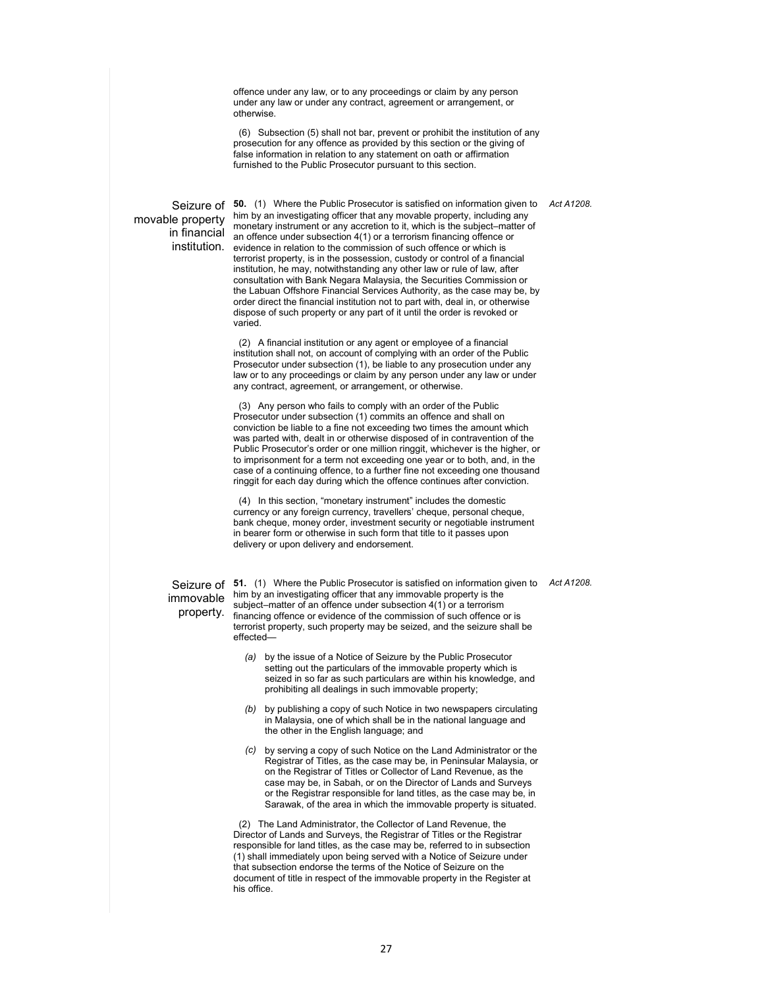offence under any law, or to any proceedings or claim by any person under any law or under any contract, agreement or arrangement, or otherwise.

 (6) Subsection (5) shall not bar, prevent or prohibit the institution of any prosecution for any offence as provided by this section or the giving of false information in relation to any statement on oath or affirmation furnished to the Public Prosecutor pursuant to this section.

movable property

Seizure of 50. (1) Where the Public Prosecutor is satisfied on information given to Act A1208. in financial an offence under subsection 4(1) or a terrorism financing offence or institution. evidence in relation to the commission of such offence or which is him by an investigating officer that any movable property, including any monetary instrument or any accretion to it, which is the subject–matter of terrorist property, is in the possession, custody or control of a financial institution, he may, notwithstanding any other law or rule of law, after consultation with Bank Negara Malaysia, the Securities Commission or the Labuan Offshore Financial Services Authority, as the case may be, by order direct the financial institution not to part with, deal in, or otherwise dispose of such property or any part of it until the order is revoked or varied.

> (2) A financial institution or any agent or employee of a financial institution shall not, on account of complying with an order of the Public Prosecutor under subsection (1), be liable to any prosecution under any law or to any proceedings or claim by any person under any law or under any contract, agreement, or arrangement, or otherwise.

 (3) Any person who fails to comply with an order of the Public Prosecutor under subsection (1) commits an offence and shall on conviction be liable to a fine not exceeding two times the amount which was parted with, dealt in or otherwise disposed of in contravention of the Public Prosecutor's order or one million ringgit, whichever is the higher, or to imprisonment for a term not exceeding one year or to both, and, in the case of a continuing offence, to a further fine not exceeding one thousand ringgit for each day during which the offence continues after conviction.

 (4) In this section, "monetary instrument" includes the domestic currency or any foreign currency, travellers' cheque, personal cheque, bank cheque, money order, investment security or negotiable instrument in bearer form or otherwise in such form that title to it passes upon delivery or upon delivery and endorsement.

immovable property.

Seizure of 51. (1) Where the Public Prosecutor is satisfied on information given to Act A1208. him by an investigating officer that any immovable property is the subject–matter of an offence under subsection 4(1) or a terrorism financing offence or evidence of the commission of such offence or is terrorist property, such property may be seized, and the seizure shall be effected—

- *(a)* by the issue of a Notice of Seizure by the Public Prosecutor setting out the particulars of the immovable property which is seized in so far as such particulars are within his knowledge, and prohibiting all dealings in such immovable property;
- *(b)* by publishing a copy of such Notice in two newspapers circulating in Malaysia, one of which shall be in the national language and the other in the English language; and
- *(c)* by serving a copy of such Notice on the Land Administrator or the Registrar of Titles, as the case may be, in Peninsular Malaysia, or on the Registrar of Titles or Collector of Land Revenue, as the case may be, in Sabah, or on the Director of Lands and Surveys or the Registrar responsible for land titles, as the case may be, in Sarawak, of the area in which the immovable property is situated.

 (2) The Land Administrator, the Collector of Land Revenue, the Director of Lands and Surveys, the Registrar of Titles or the Registrar responsible for land titles, as the case may be, referred to in subsection (1) shall immediately upon being served with a Notice of Seizure under that subsection endorse the terms of the Notice of Seizure on the document of title in respect of the immovable property in the Register at his office.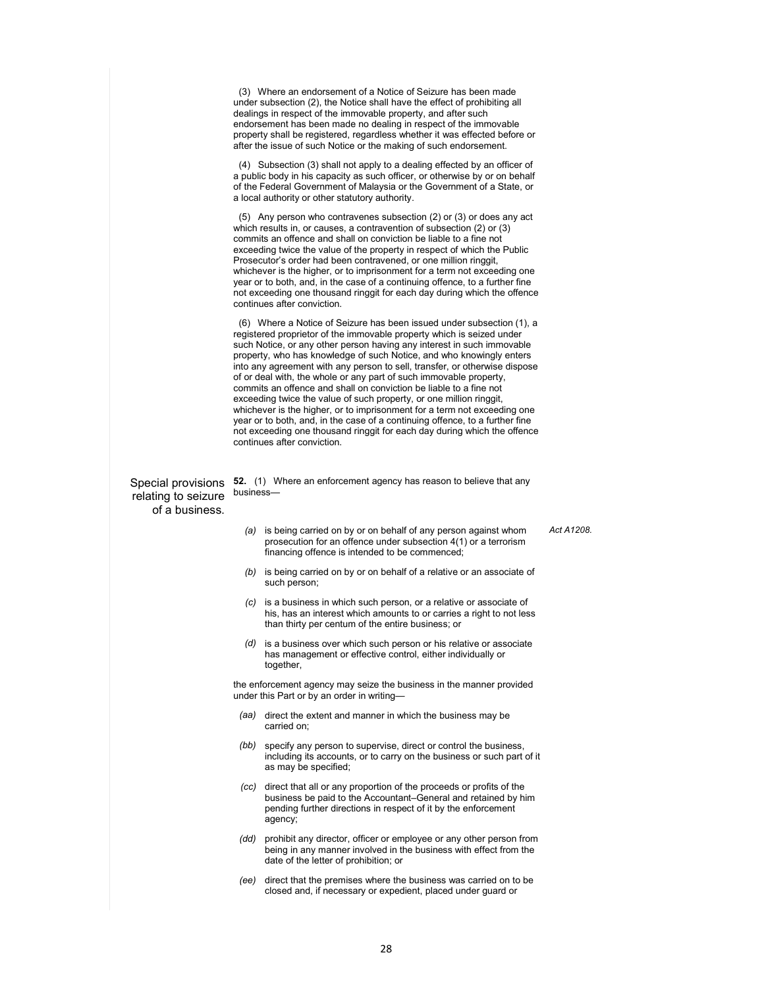(3) Where an endorsement of a Notice of Seizure has been made under subsection (2), the Notice shall have the effect of prohibiting all dealings in respect of the immovable property, and after such endorsement has been made no dealing in respect of the immovable property shall be registered, regardless whether it was effected before or after the issue of such Notice or the making of such endorsement.

 (4) Subsection (3) shall not apply to a dealing effected by an officer of a public body in his capacity as such officer, or otherwise by or on behalf of the Federal Government of Malaysia or the Government of a State, or a local authority or other statutory authority.

 (5) Any person who contravenes subsection (2) or (3) or does any act which results in, or causes, a contravention of subsection (2) or (3) commits an offence and shall on conviction be liable to a fine not exceeding twice the value of the property in respect of which the Public Prosecutor's order had been contravened, or one million ringgit, whichever is the higher, or to imprisonment for a term not exceeding one year or to both, and, in the case of a continuing offence, to a further fine not exceeding one thousand ringgit for each day during which the offence continues after conviction.

 (6) Where a Notice of Seizure has been issued under subsection (1), a registered proprietor of the immovable property which is seized under such Notice, or any other person having any interest in such immovable property, who has knowledge of such Notice, and who knowingly enters into any agreement with any person to sell, transfer, or otherwise dispose of or deal with, the whole or any part of such immovable property, commits an offence and shall on conviction be liable to a fine not exceeding twice the value of such property, or one million ringgit, whichever is the higher, or to imprisonment for a term not exceeding one year or to both, and, in the case of a continuing offence, to a further fine not exceeding one thousand ringgit for each day during which the offence continues after conviction.

relating to seizure of a business.

Special provisions **52.** (1) Where an enforcement agency has reason to believe that any business—

> *(a)* is being carried on by or on behalf of any person against whom prosecution for an offence under subsection 4(1) or a terrorism financing offence is intended to be commenced;

*Act A1208.* 

- *(b)* is being carried on by or on behalf of a relative or an associate of such person;
- is a business in which such person, or a relative or associate of his, has an interest which amounts to or carries a right to not less than thirty per centum of the entire business; or
- *(d)* is a business over which such person or his relative or associate has management or effective control, either individually or together,

the enforcement agency may seize the business in the manner provided under this Part or by an order in writing—

- *(aa)* direct the extent and manner in which the business may be carried on;
- *(bb)* specify any person to supervise, direct or control the business, including its accounts, or to carry on the business or such part of it as may be specified;
- *(cc)* direct that all or any proportion of the proceeds or profits of the business be paid to the Accountant–General and retained by him pending further directions in respect of it by the enforcement agency;
- *(dd)* prohibit any director, officer or employee or any other person from being in any manner involved in the business with effect from the date of the letter of prohibition; or
- *(ee)* direct that the premises where the business was carried on to be closed and, if necessary or expedient, placed under guard or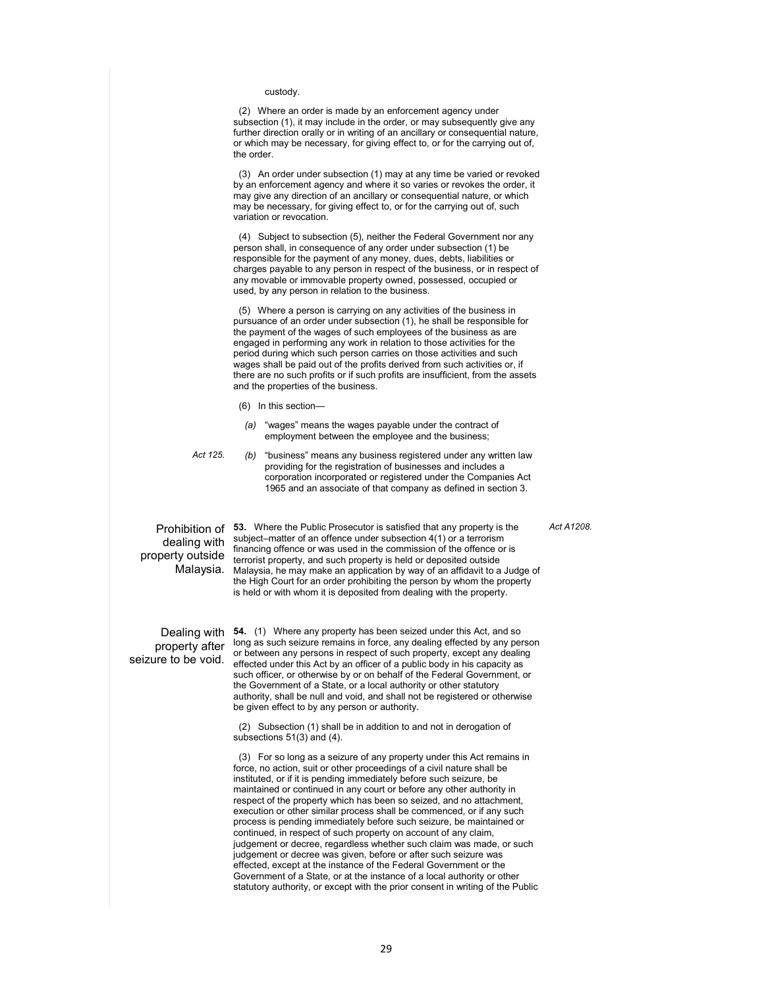#### custody.

 (2) Where an order is made by an enforcement agency under subsection (1), it may include in the order, or may subsequently give any further direction orally or in writing of an ancillary or consequential nature, or which may be necessary, for giving effect to, or for the carrying out of, the order.

 (3) An order under subsection (1) may at any time be varied or revoked by an enforcement agency and where it so varies or revokes the order, it may give any direction of an ancillary or consequential nature, or which may be necessary, for giving effect to, or for the carrying out of, such variation or revocation.

 (4) Subject to subsection (5), neither the Federal Government nor any person shall, in consequence of any order under subsection (1) be responsible for the payment of any money, dues, debts, liabilities or charges payable to any person in respect of the business, or in respect of any movable or immovable property owned, possessed, occupied or used, by any person in relation to the business.

 (5) Where a person is carrying on any activities of the business in pursuance of an order under subsection (1), he shall be responsible for the payment of the wages of such employees of the business as are engaged in performing any work in relation to those activities for the period during which such person carries on those activities and such wages shall be paid out of the profits derived from such activities or, if there are no such profits or if such profits are insufficient, from the assets and the properties of the business.

- (6) In this section—
- *(a)* "wages" means the wages payable under the contract of employment between the employee and the business;

*Act 125. (b)* "business" means any business registered under any written law providing for the registration of businesses and includes a corporation incorporated or registered under the Companies Act 1965 and an associate of that company as defined in section 3.

dealing with property outside Malaysia.

Prohibition of **53.** Where the Public Prosecutor is satisfied that any property is the subject–matter of an offence under subsection 4(1) or a terrorism financing offence or was used in the commission of the offence or is terrorist property, and such property is held or deposited outside Malaysia, he may make an application by way of an affidavit to a Judge of the High Court for an order prohibiting the person by whom the property is held or with whom it is deposited from dealing with the property.

property after seizure to be void.

Dealing with **54.** (1) Where any property has been seized under this Act, and so long as such seizure remains in force, any dealing effected by any person or between any persons in respect of such property, except any dealing effected under this Act by an officer of a public body in his capacity as such officer, or otherwise by or on behalf of the Federal Government, or the Government of a State, or a local authority or other statutory authority, shall be null and void, and shall not be registered or otherwise be given effect to by any person or authority.

> (2) Subsection (1) shall be in addition to and not in derogation of subsections 51(3) and (4).

 (3) For so long as a seizure of any property under this Act remains in force, no action, suit or other proceedings of a civil nature shall be instituted, or if it is pending immediately before such seizure, be maintained or continued in any court or before any other authority in respect of the property which has been so seized, and no attachment, execution or other similar process shall be commenced, or if any such process is pending immediately before such seizure, be maintained or continued, in respect of such property on account of any claim, judgement or decree, regardless whether such claim was made, or such judgement or decree was given, before or after such seizure was effected, except at the instance of the Federal Government or the Government of a State, or at the instance of a local authority or other statutory authority, or except with the prior consent in writing of the Public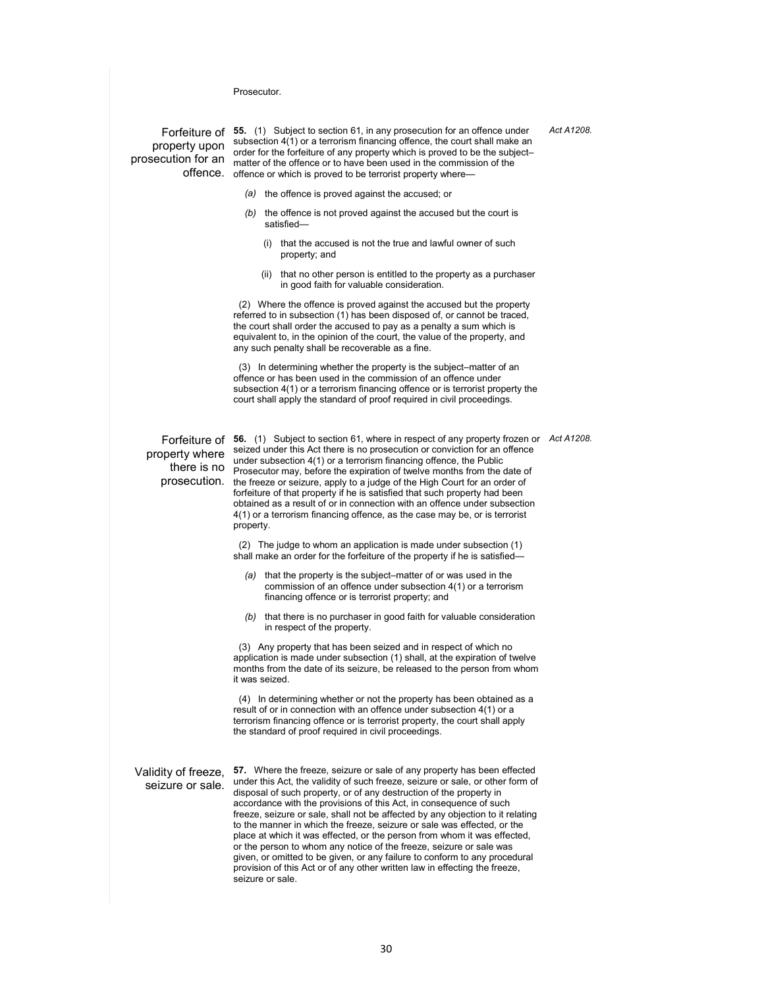**Prosecutor** 

Forfeiture of **55.** (1) Subject to section 61, in any prosecution for an offence under property upon subsection 4(1) or a terrorism financing offence, the court shall make an<br>property upon seder for the forfaiture of any preparty which is proved to be the subject. prosecution for an all matter of the offence or to have been used in the commission of the offence. offence or which is proved to be terrorist property where order for the forfeiture of any property which is proved to be the subject–

- *(a)* the offence is proved against the accused; or
- *(b)* the offence is not proved against the accused but the court is satisfied
	- that the accused is not the true and lawful owner of such property; and
	- (ii) that no other person is entitled to the property as a purchaser in good faith for valuable consideration.

 (2) Where the offence is proved against the accused but the property referred to in subsection (1) has been disposed of, or cannot be traced, the court shall order the accused to pay as a penalty a sum which is equivalent to, in the opinion of the court, the value of the property, and any such penalty shall be recoverable as a fine.

 (3) In determining whether the property is the subject–matter of an offence or has been used in the commission of an offence under subsection 4(1) or a terrorism financing offence or is terrorist property the court shall apply the standard of proof required in civil proceedings.

property where

Forfeiture of **56.** (1) Subject to section 61, where in respect of any property frozen or *Act A1208.*  there is no Prosecutor may, before the expiration of twelve months from the date of prosecution. the freeze or seizure, apply to a judge of the High Court for an order of seized under this Act there is no prosecution or conviction for an offence under subsection 4(1) or a terrorism financing offence, the Public forfeiture of that property if he is satisfied that such property had been obtained as a result of or in connection with an offence under subsection 4(1) or a terrorism financing offence, as the case may be, or is terrorist property.

> (2) The judge to whom an application is made under subsection (1) shall make an order for the forfeiture of the property if he is satisfied—

- that the property is the subject–matter of or was used in the commission of an offence under subsection 4(1) or a terrorism financing offence or is terrorist property; and
- *(b)* that there is no purchaser in good faith for valuable consideration in respect of the property.

 (3) Any property that has been seized and in respect of which no application is made under subsection (1) shall, at the expiration of twelve months from the date of its seizure, be released to the person from whom it was seized.

 (4) In determining whether or not the property has been obtained as a result of or in connection with an offence under subsection 4(1) or a terrorism financing offence or is terrorist property, the court shall apply the standard of proof required in civil proceedings.

Validity of freeze, seizure or sale.

**57.** Where the freeze, seizure or sale of any property has been effected under this Act, the validity of such freeze, seizure or sale, or other form of disposal of such property, or of any destruction of the property in accordance with the provisions of this Act, in consequence of such freeze, seizure or sale, shall not be affected by any objection to it relating to the manner in which the freeze, seizure or sale was effected, or the place at which it was effected, or the person from whom it was effected, or the person to whom any notice of the freeze, seizure or sale was given, or omitted to be given, or any failure to conform to any procedural provision of this Act or of any other written law in effecting the freeze, seizure or sale.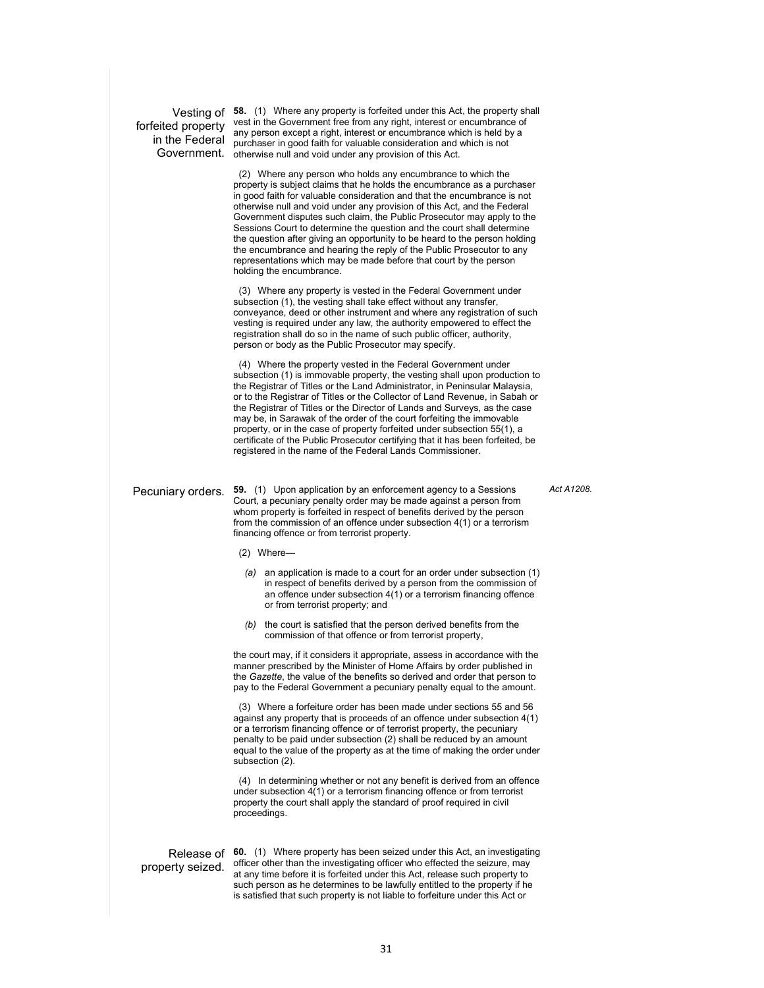Vesting of **58.** (1) Where any property is forfeited under this Act, the property shall forfeited property vest in the Government free from any right, interest or encumbrance of in the Federal purchaser in good faith for valuable consideration and which is not Government. otherwise null and void under any provision of this Act. any person except a right, interest or encumbrance which is held by a

> (2) Where any person who holds any encumbrance to which the property is subject claims that he holds the encumbrance as a purchaser in good faith for valuable consideration and that the encumbrance is not otherwise null and void under any provision of this Act, and the Federal Government disputes such claim, the Public Prosecutor may apply to the Sessions Court to determine the question and the court shall determine the question after giving an opportunity to be heard to the person holding the encumbrance and hearing the reply of the Public Prosecutor to any representations which may be made before that court by the person holding the encumbrance.

> (3) Where any property is vested in the Federal Government under subsection (1), the vesting shall take effect without any transfer, conveyance, deed or other instrument and where any registration of such vesting is required under any law, the authority empowered to effect the registration shall do so in the name of such public officer, authority, person or body as the Public Prosecutor may specify.

> (4) Where the property vested in the Federal Government under subsection (1) is immovable property, the vesting shall upon production to the Registrar of Titles or the Land Administrator, in Peninsular Malaysia, or to the Registrar of Titles or the Collector of Land Revenue, in Sabah or the Registrar of Titles or the Director of Lands and Surveys, as the case may be, in Sarawak of the order of the court forfeiting the immovable property, or in the case of property forfeited under subsection 55(1), a certificate of the Public Prosecutor certifying that it has been forfeited, be registered in the name of the Federal Lands Commissioner.

Pecuniary orders. **59.** (1) Upon application by an enforcement agency to a Sessions Court, a pecuniary penalty order may be made against a person from whom property is forfeited in respect of benefits derived by the person from the commission of an offence under subsection 4(1) or a terrorism financing offence or from terrorist property.

(2) Where—

- *(a)* an application is made to a court for an order under subsection (1) in respect of benefits derived by a person from the commission of an offence under subsection 4(1) or a terrorism financing offence or from terrorist property; and
- *(b)* the court is satisfied that the person derived benefits from the commission of that offence or from terrorist property,

the court may, if it considers it appropriate, assess in accordance with the manner prescribed by the Minister of Home Affairs by order published in the *Gazette*, the value of the benefits so derived and order that person to pay to the Federal Government a pecuniary penalty equal to the amount.

 (3) Where a forfeiture order has been made under sections 55 and 56 against any property that is proceeds of an offence under subsection 4(1) or a terrorism financing offence or of terrorist property, the pecuniary penalty to be paid under subsection (2) shall be reduced by an amount equal to the value of the property as at the time of making the order under subsection (2).

 (4) In determining whether or not any benefit is derived from an offence under subsection  $4(1)$  or a terrorism financing offence or from terrorist property the court shall apply the standard of proof required in civil proceedings.

## property seized.

Release of **60.** (1) Where property has been seized under this Act, an investigating officer other than the investigating officer who effected the seizure, may at any time before it is forfeited under this Act, release such property to such person as he determines to be lawfully entitled to the property if he is satisfied that such property is not liable to forfeiture under this Act or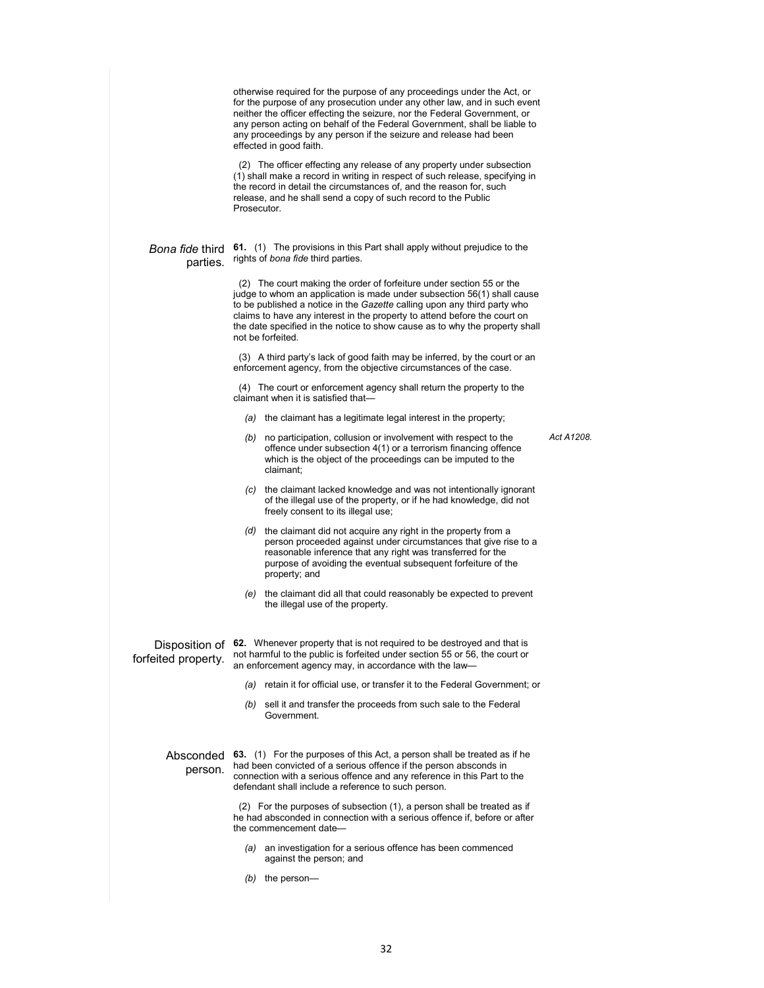|                                    | otherwise required for the purpose of any proceedings under the Act, or<br>for the purpose of any prosecution under any other law, and in such event<br>neither the officer effecting the seizure, nor the Federal Government, or<br>any person acting on behalf of the Federal Government, shall be liable to<br>any proceedings by any person if the seizure and release had been<br>effected in good faith. |            |
|------------------------------------|----------------------------------------------------------------------------------------------------------------------------------------------------------------------------------------------------------------------------------------------------------------------------------------------------------------------------------------------------------------------------------------------------------------|------------|
|                                    | (2) The officer effecting any release of any property under subsection<br>(1) shall make a record in writing in respect of such release, specifying in<br>the record in detail the circumstances of, and the reason for, such<br>release, and he shall send a copy of such record to the Public<br>Prosecutor.                                                                                                 |            |
| <i>Bona fide</i> third<br>parties. | 61. (1) The provisions in this Part shall apply without prejudice to the<br>rights of bona fide third parties.                                                                                                                                                                                                                                                                                                 |            |
|                                    | (2) The court making the order of forfeiture under section 55 or the<br>judge to whom an application is made under subsection 56(1) shall cause<br>to be published a notice in the Gazette calling upon any third party who<br>claims to have any interest in the property to attend before the court on<br>the date specified in the notice to show cause as to why the property shall<br>not be forfeited.   |            |
|                                    | (3) A third party's lack of good faith may be inferred, by the court or an<br>enforcement agency, from the objective circumstances of the case.                                                                                                                                                                                                                                                                |            |
|                                    | (4) The court or enforcement agency shall return the property to the<br>claimant when it is satisfied that-                                                                                                                                                                                                                                                                                                    |            |
|                                    | $(a)$ the claimant has a legitimate legal interest in the property;                                                                                                                                                                                                                                                                                                                                            |            |
|                                    | $(b)$ no participation, collusion or involvement with respect to the<br>offence under subsection 4(1) or a terrorism financing offence<br>which is the object of the proceedings can be imputed to the<br>claimant;                                                                                                                                                                                            | Act A1208. |
|                                    | (c) the claimant lacked knowledge and was not intentionally ignorant<br>of the illegal use of the property, or if he had knowledge, did not<br>freely consent to its illegal use;                                                                                                                                                                                                                              |            |
|                                    | (d) the claimant did not acquire any right in the property from a<br>person proceeded against under circumstances that give rise to a<br>reasonable inference that any right was transferred for the<br>purpose of avoiding the eventual subsequent forfeiture of the<br>property; and                                                                                                                         |            |
|                                    | $(e)$ the claimant did all that could reasonably be expected to prevent<br>the illegal use of the property.                                                                                                                                                                                                                                                                                                    |            |
| forfeited property.                | Disposition of 62. Whenever property that is not required to be destroyed and that is<br>not harmful to the public is forfeited under section 55 or 56, the court or<br>an enforcement agency may, in accordance with the law-                                                                                                                                                                                 |            |
|                                    | (a) retain it for official use, or transfer it to the Federal Government; or                                                                                                                                                                                                                                                                                                                                   |            |
|                                    | (b) sell it and transfer the proceeds from such sale to the Federal<br>Government.                                                                                                                                                                                                                                                                                                                             |            |
| person.                            | Absconded 63. (1) For the purposes of this Act, a person shall be treated as if he<br>had been convicted of a serious offence if the person absconds in<br>connection with a serious offence and any reference in this Part to the<br>defendant shall include a reference to such person.                                                                                                                      |            |
|                                    | (2) For the purposes of subsection (1), a person shall be treated as if<br>he had absconded in connection with a serious offence if, before or after<br>the commencement date-                                                                                                                                                                                                                                 |            |
|                                    | an investigation for a serious offence has been commenced<br>(a)<br>against the person; and                                                                                                                                                                                                                                                                                                                    |            |
|                                    | $(b)$ the person-                                                                                                                                                                                                                                                                                                                                                                                              |            |
|                                    |                                                                                                                                                                                                                                                                                                                                                                                                                |            |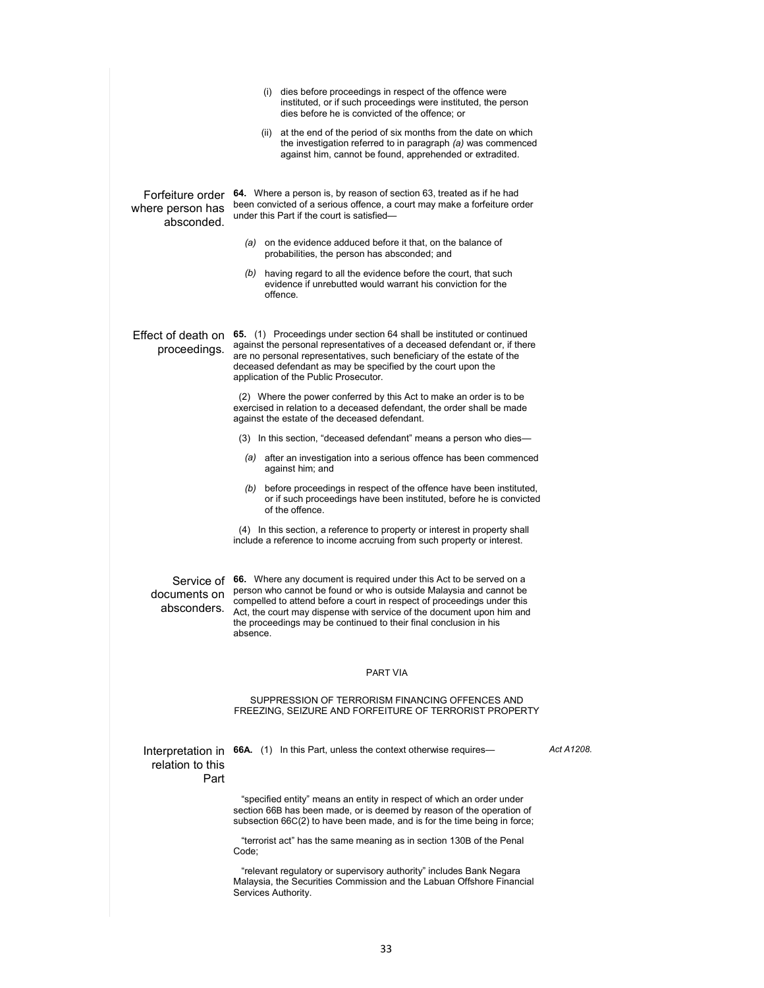|                                                    | (i) dies before proceedings in respect of the offence were<br>instituted, or if such proceedings were instituted, the person<br>dies before he is convicted of the offence; or                                                                                                                                                                                                             |            |
|----------------------------------------------------|--------------------------------------------------------------------------------------------------------------------------------------------------------------------------------------------------------------------------------------------------------------------------------------------------------------------------------------------------------------------------------------------|------------|
|                                                    | (ii) at the end of the period of six months from the date on which<br>the investigation referred to in paragraph (a) was commenced<br>against him, cannot be found, apprehended or extradited.                                                                                                                                                                                             |            |
| Forfeiture order<br>where person has<br>absconded. | 64. Where a person is, by reason of section 63, treated as if he had<br>been convicted of a serious offence, a court may make a forfeiture order<br>under this Part if the court is satisfied-                                                                                                                                                                                             |            |
|                                                    | (a) on the evidence adduced before it that, on the balance of<br>probabilities, the person has absconded; and                                                                                                                                                                                                                                                                              |            |
|                                                    | (b) having regard to all the evidence before the court, that such<br>evidence if unrebutted would warrant his conviction for the<br>offence.                                                                                                                                                                                                                                               |            |
| Effect of death on<br>proceedings.                 | 65. (1) Proceedings under section 64 shall be instituted or continued<br>against the personal representatives of a deceased defendant or, if there<br>are no personal representatives, such beneficiary of the estate of the<br>deceased defendant as may be specified by the court upon the<br>application of the Public Prosecutor.                                                      |            |
|                                                    | (2) Where the power conferred by this Act to make an order is to be<br>exercised in relation to a deceased defendant, the order shall be made<br>against the estate of the deceased defendant.                                                                                                                                                                                             |            |
|                                                    | (3) In this section, "deceased defendant" means a person who dies—                                                                                                                                                                                                                                                                                                                         |            |
|                                                    | (a) after an investigation into a serious offence has been commenced<br>against him; and                                                                                                                                                                                                                                                                                                   |            |
|                                                    | before proceedings in respect of the offence have been instituted,<br>(b)<br>or if such proceedings have been instituted, before he is convicted<br>of the offence.                                                                                                                                                                                                                        |            |
|                                                    | (4) In this section, a reference to property or interest in property shall<br>include a reference to income accruing from such property or interest.                                                                                                                                                                                                                                       |            |
| documents on<br>absconders.                        | Service of 66. Where any document is required under this Act to be served on a<br>person who cannot be found or who is outside Malaysia and cannot be<br>compelled to attend before a court in respect of proceedings under this<br>Act, the court may dispense with service of the document upon him and<br>the proceedings may be continued to their final conclusion in his<br>absence. |            |
|                                                    | PART VIA                                                                                                                                                                                                                                                                                                                                                                                   |            |
|                                                    | SUPPRESSION OF TERRORISM FINANCING OFFENCES AND<br>FREEZING. SEIZURE AND FORFEITURE OF TERRORIST PROPERTY                                                                                                                                                                                                                                                                                  |            |
| Interpretation in<br>relation to this<br>Part      | <b>66A.</b> (1) In this Part, unless the context otherwise requires—                                                                                                                                                                                                                                                                                                                       | Act A1208. |
|                                                    | "specified entity" means an entity in respect of which an order under<br>section 66B has been made, or is deemed by reason of the operation of<br>subsection 66C(2) to have been made, and is for the time being in force;                                                                                                                                                                 |            |
|                                                    | "terrorist act" has the same meaning as in section 130B of the Penal<br>Code:                                                                                                                                                                                                                                                                                                              |            |
|                                                    | "relevant regulatory or supervisory authority" includes Bank Negara<br>Malaysia, the Securities Commission and the Labuan Offshore Financial<br>Services Authority.                                                                                                                                                                                                                        |            |
|                                                    |                                                                                                                                                                                                                                                                                                                                                                                            |            |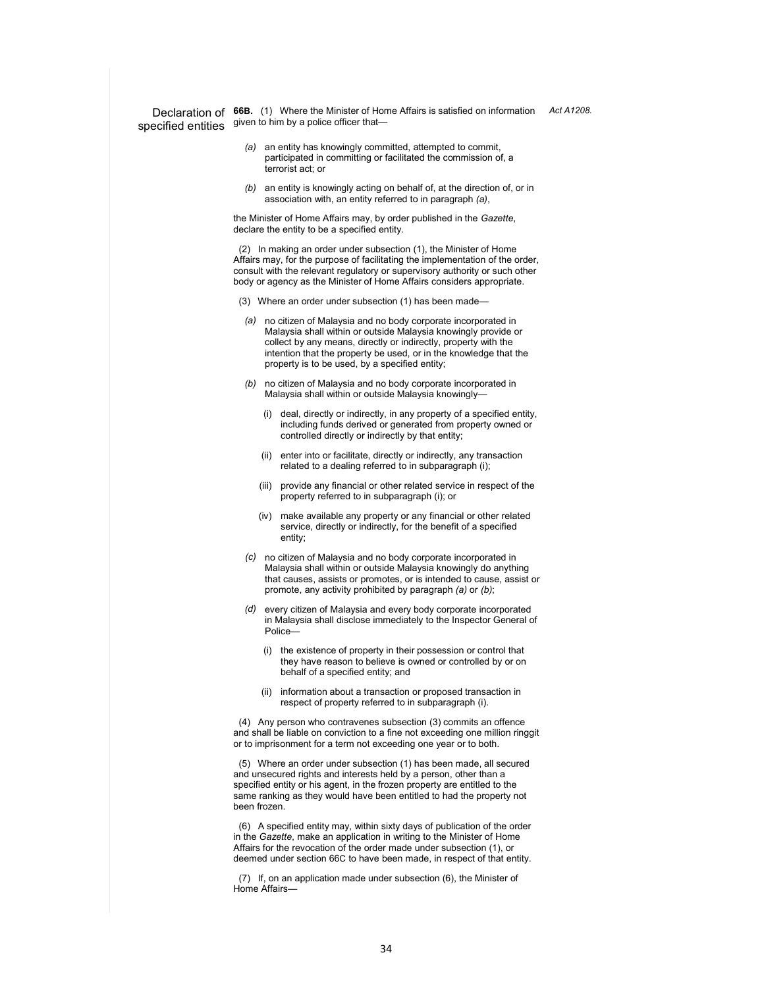specified entities given to him by a police officer that-

Declaration of **66B.** (1) Where the Minister of Home Affairs is satisfied on information *Act A1208.* 

- *(a)* an entity has knowingly committed, attempted to commit, participated in committing or facilitated the commission of, a terrorist act; or
- *(b)* an entity is knowingly acting on behalf of, at the direction of, or in association with, an entity referred to in paragraph *(a)*,

the Minister of Home Affairs may, by order published in the *Gazette*, declare the entity to be a specified entity.

 (2) In making an order under subsection (1), the Minister of Home Affairs may, for the purpose of facilitating the implementation of the order, consult with the relevant regulatory or supervisory authority or such other body or agency as the Minister of Home Affairs considers appropriate.

- (3) Where an order under subsection (1) has been made-
- *(a)* no citizen of Malaysia and no body corporate incorporated in Malaysia shall within or outside Malaysia knowingly provide or collect by any means, directly or indirectly, property with the intention that the property be used, or in the knowledge that the property is to be used, by a specified entity;
- *(b)* no citizen of Malaysia and no body corporate incorporated in Malaysia shall within or outside Malaysia knowingly—
	- (i) deal, directly or indirectly, in any property of a specified entity, including funds derived or generated from property owned or controlled directly or indirectly by that entity;
	- (ii) enter into or facilitate, directly or indirectly, any transaction related to a dealing referred to in subparagraph (i);
	- (iii) provide any financial or other related service in respect of the property referred to in subparagraph (i); or
	- (iv) make available any property or any financial or other related service, directly or indirectly, for the benefit of a specified entity;
- *(c)* no citizen of Malaysia and no body corporate incorporated in Malaysia shall within or outside Malaysia knowingly do anything that causes, assists or promotes, or is intended to cause, assist or promote, any activity prohibited by paragraph *(a)* or *(b)*;
- *(d)* every citizen of Malaysia and every body corporate incorporated in Malaysia shall disclose immediately to the Inspector General of Police—
	- (i) the existence of property in their possession or control that they have reason to believe is owned or controlled by or on behalf of a specified entity; and
	- (ii) information about a transaction or proposed transaction in respect of property referred to in subparagraph (i).

 (4) Any person who contravenes subsection (3) commits an offence and shall be liable on conviction to a fine not exceeding one million ringgit or to imprisonment for a term not exceeding one year or to both.

 (5) Where an order under subsection (1) has been made, all secured and unsecured rights and interests held by a person, other than a specified entity or his agent, in the frozen property are entitled to the same ranking as they would have been entitled to had the property not been frozen.

 (6) A specified entity may, within sixty days of publication of the order in the *Gazette*, make an application in writing to the Minister of Home Affairs for the revocation of the order made under subsection (1), or deemed under section 66C to have been made, in respect of that entity.

 (7) If, on an application made under subsection (6), the Minister of Home Affairs—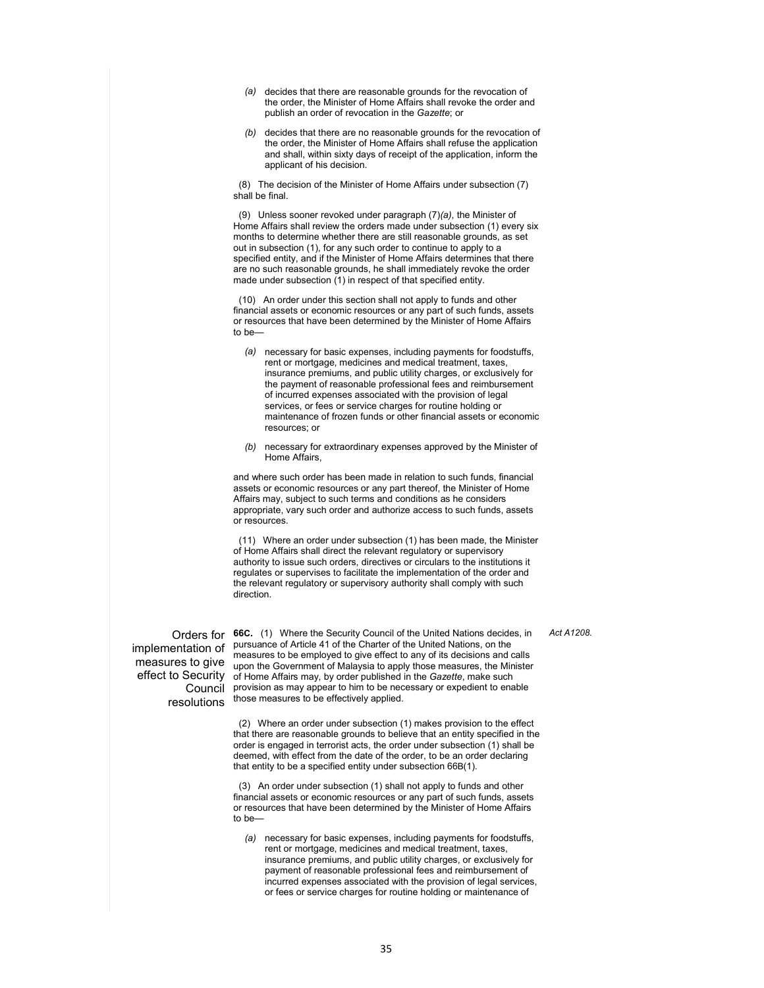- *(a)* decides that there are reasonable grounds for the revocation of the order, the Minister of Home Affairs shall revoke the order and publish an order of revocation in the *Gazette*; or
- *(b)* decides that there are no reasonable grounds for the revocation of the order, the Minister of Home Affairs shall refuse the application and shall, within sixty days of receipt of the application, inform the applicant of his decision.

 (8) The decision of the Minister of Home Affairs under subsection (7) shall be final.

 (9) Unless sooner revoked under paragraph (7)*(a)*, the Minister of Home Affairs shall review the orders made under subsection (1) every six months to determine whether there are still reasonable grounds, as set out in subsection (1), for any such order to continue to apply to a specified entity, and if the Minister of Home Affairs determines that there are no such reasonable grounds, he shall immediately revoke the order made under subsection (1) in respect of that specified entity.

 (10) An order under this section shall not apply to funds and other financial assets or economic resources or any part of such funds, assets or resources that have been determined by the Minister of Home Affairs to be—

- *(a)* necessary for basic expenses, including payments for foodstuffs, rent or mortgage, medicines and medical treatment, taxes, insurance premiums, and public utility charges, or exclusively for the payment of reasonable professional fees and reimbursement of incurred expenses associated with the provision of legal services, or fees or service charges for routine holding or maintenance of frozen funds or other financial assets or economic resources; or
- *(b)* necessary for extraordinary expenses approved by the Minister of Home Affairs,

and where such order has been made in relation to such funds, financial assets or economic resources or any part thereof, the Minister of Home Affairs may, subject to such terms and conditions as he considers appropriate, vary such order and authorize access to such funds, assets or resources.

 (11) Where an order under subsection (1) has been made, the Minister of Home Affairs shall direct the relevant regulatory or supervisory authority to issue such orders, directives or circulars to the institutions it regulates or supervises to facilitate the implementation of the order and the relevant regulatory or supervisory authority shall comply with such direction.

implementation of

Orders for **66C.** (1) Where the Security Council of the United Nations decides, in measures to give upon the Government of Malaysia to apply those measures, the Minister effect to Security of Home Affairs may, by order published in the *Gazette*, make such Council provision as may appear to him to be necessary or expedient to enable resolutions those measures to be effectively applied. pursuance of Article 41 of the Charter of the United Nations, on the measures to be employed to give effect to any of its decisions and calls

> (2) Where an order under subsection (1) makes provision to the effect that there are reasonable grounds to believe that an entity specified in the order is engaged in terrorist acts, the order under subsection (1) shall be deemed, with effect from the date of the order, to be an order declaring that entity to be a specified entity under subsection 66B(1).

 (3) An order under subsection (1) shall not apply to funds and other financial assets or economic resources or any part of such funds, assets or resources that have been determined by the Minister of Home Affairs to be—

*(a)* necessary for basic expenses, including payments for foodstuffs, rent or mortgage, medicines and medical treatment, taxes, insurance premiums, and public utility charges, or exclusively for payment of reasonable professional fees and reimbursement of incurred expenses associated with the provision of legal services, or fees or service charges for routine holding or maintenance of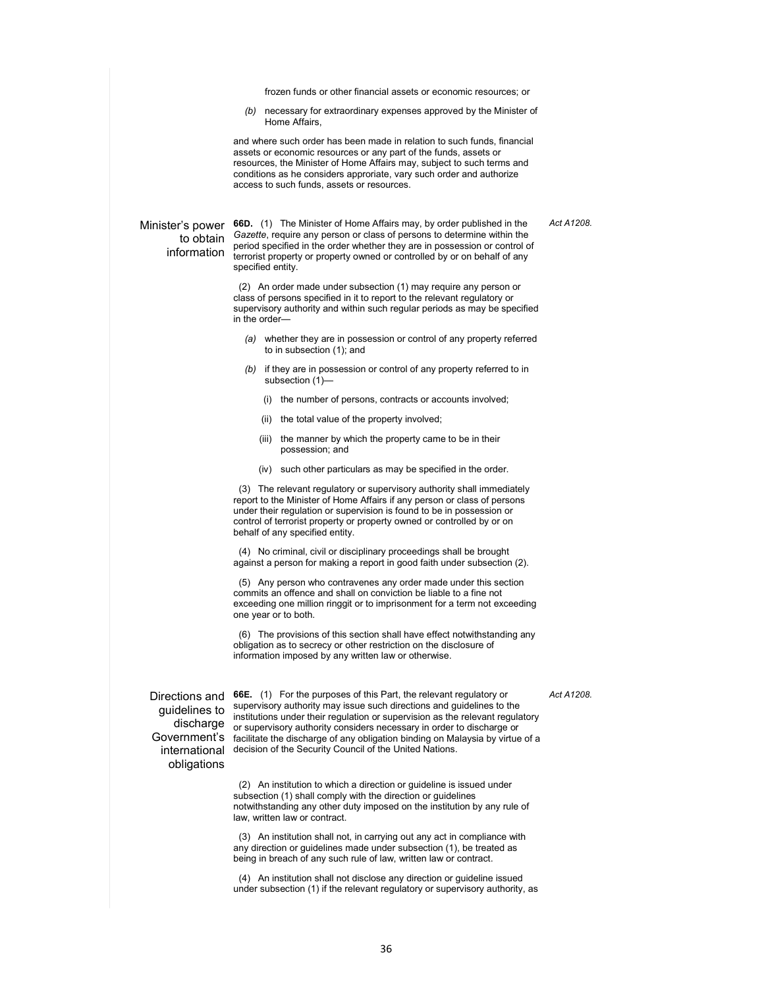frozen funds or other financial assets or economic resources; or

*(b)* necessary for extraordinary expenses approved by the Minister of Home Affairs,

and where such order has been made in relation to such funds, financial assets or economic resources or any part of the funds, assets or resources, the Minister of Home Affairs may, subject to such terms and conditions as he considers approriate, vary such order and authorize access to such funds, assets or resources.

#### *Act A1208.*

### to obtain information

Minister's power **66D.** (1) The Minister of Home Affairs may, by order published in the *Gazette*, require any person or class of persons to determine within the period specified in the order whether they are in possession or control of terrorist property or property owned or controlled by or on behalf of any specified entity.

> (2) An order made under subsection (1) may require any person or class of persons specified in it to report to the relevant regulatory or supervisory authority and within such regular periods as may be specified in the order—

- *(a)* whether they are in possession or control of any property referred to in subsection (1); and
- *(b)* if they are in possession or control of any property referred to in subsection (1)—
	- (i) the number of persons, contracts or accounts involved;
	- (ii) the total value of the property involved;
	- (iii) the manner by which the property came to be in their possession; and
	- (iv) such other particulars as may be specified in the order.

 (3) The relevant regulatory or supervisory authority shall immediately report to the Minister of Home Affairs if any person or class of persons under their regulation or supervision is found to be in possession or control of terrorist property or property owned or controlled by or on behalf of any specified entity.

 (4) No criminal, civil or disciplinary proceedings shall be brought against a person for making a report in good faith under subsection (2).

 (5) Any person who contravenes any order made under this section commits an offence and shall on conviction be liable to a fine not exceeding one million ringgit or to imprisonment for a term not exceeding one year or to both.

 (6) The provisions of this section shall have effect notwithstanding any obligation as to secrecy or other restriction on the disclosure of information imposed by any written law or otherwise.

guidelines to obligations

Directions and **66E.** (1) For the purposes of this Part, the relevant regulatory or discharge or supervisory authority considers necessary in order to discharge or Government's facilitate the discharge of any obligation binding on Malaysia by virtue of a international decision of the Security Council of the United Nations. supervisory authority may issue such directions and guidelines to the institutions under their regulation or supervision as the relevant regulatory

> (2) An institution to which a direction or guideline is issued under subsection (1) shall comply with the direction or guidelines notwithstanding any other duty imposed on the institution by any rule of law, written law or contract.

> (3) An institution shall not, in carrying out any act in compliance with any direction or guidelines made under subsection (1), be treated as being in breach of any such rule of law, written law or contract.

 (4) An institution shall not disclose any direction or guideline issued under subsection (1) if the relevant regulatory or supervisory authority, as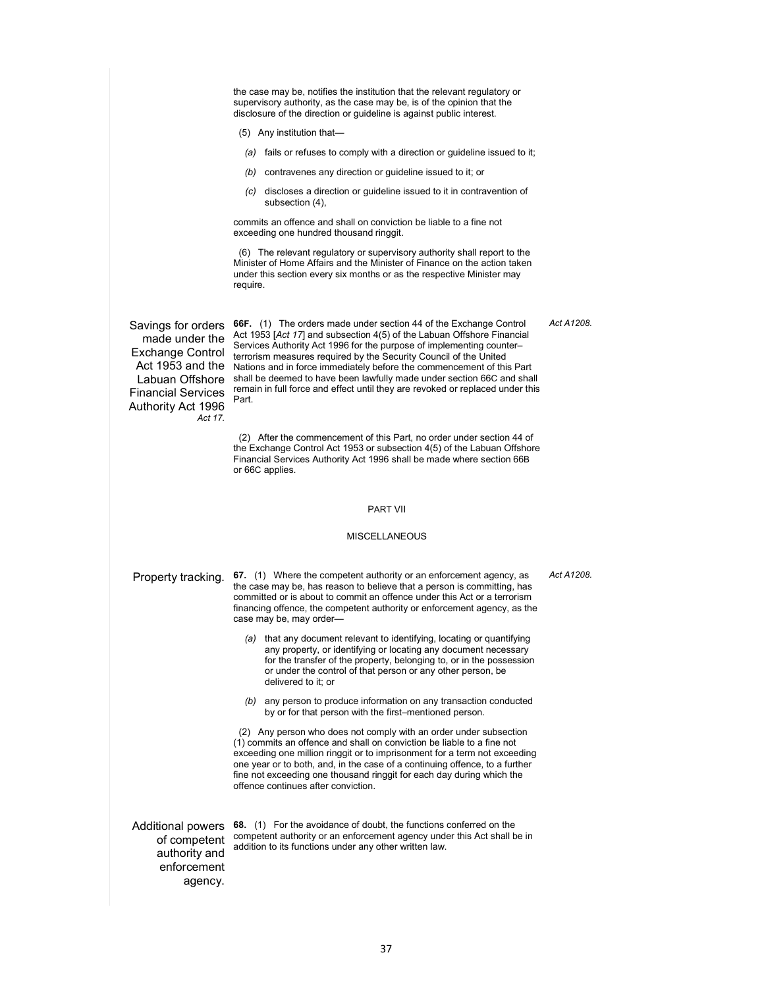the case may be, notifies the institution that the relevant regulatory or supervisory authority, as the case may be, is of the opinion that the disclosure of the direction or guideline is against public interest.

- (5) Any institution that—
- *(a)* fails or refuses to comply with a direction or guideline issued to it;
- *(b)* contravenes any direction or guideline issued to it; or
- *(c)* discloses a direction or guideline issued to it in contravention of subsection (4),

commits an offence and shall on conviction be liable to a fine not exceeding one hundred thousand ringgit.

 (6) The relevant regulatory or supervisory authority shall report to the Minister of Home Affairs and the Minister of Finance on the action taken under this section every six months or as the respective Minister may require.

made under the Exchange Control Financial Services Authority Act 1996 *Act 17.* 

Savings for orders **66F.** (1) The orders made under section 44 of the Exchange Control Act 1953 and the Nations and in force immediately before the commencement of this Part Labuan Offshore shall be deemed to have been lawfully made under section 66C and shall Act 1953 [*Act 17*] and subsection 4(5) of the Labuan Offshore Financial Services Authority Act 1996 for the purpose of implementing counter– terrorism measures required by the Security Council of the United remain in full force and effect until they are revoked or replaced under this Part.

> (2) After the commencement of this Part, no order under section 44 of the Exchange Control Act 1953 or subsection 4(5) of the Labuan Offshore Financial Services Authority Act 1996 shall be made where section 66B or 66C applies.

#### PART VII

#### MISCELLANEOUS

Property tracking. **67.** (1) Where the competent authority or an enforcement agency, as the case may be, has reason to believe that a person is committing, has committed or is about to commit an offence under this Act or a terrorism financing offence, the competent authority or enforcement agency, as the case may be, may order—

- *(a)* that any document relevant to identifying, locating or quantifying any property, or identifying or locating any document necessary for the transfer of the property, belonging to, or in the possession or under the control of that person or any other person, be delivered to it; or
- *(b)* any person to produce information on any transaction conducted by or for that person with the first–mentioned person.

 (2) Any person who does not comply with an order under subsection (1) commits an offence and shall on conviction be liable to a fine not exceeding one million ringgit or to imprisonment for a term not exceeding one year or to both, and, in the case of a continuing offence, to a further fine not exceeding one thousand ringgit for each day during which the offence continues after conviction.

Additional powers of competent authority and enforcement agency.

**68.** (1) For the avoidance of doubt, the functions conferred on the competent authority or an enforcement agency under this Act shall be in addition to its functions under any other written law.

*Act A1208.*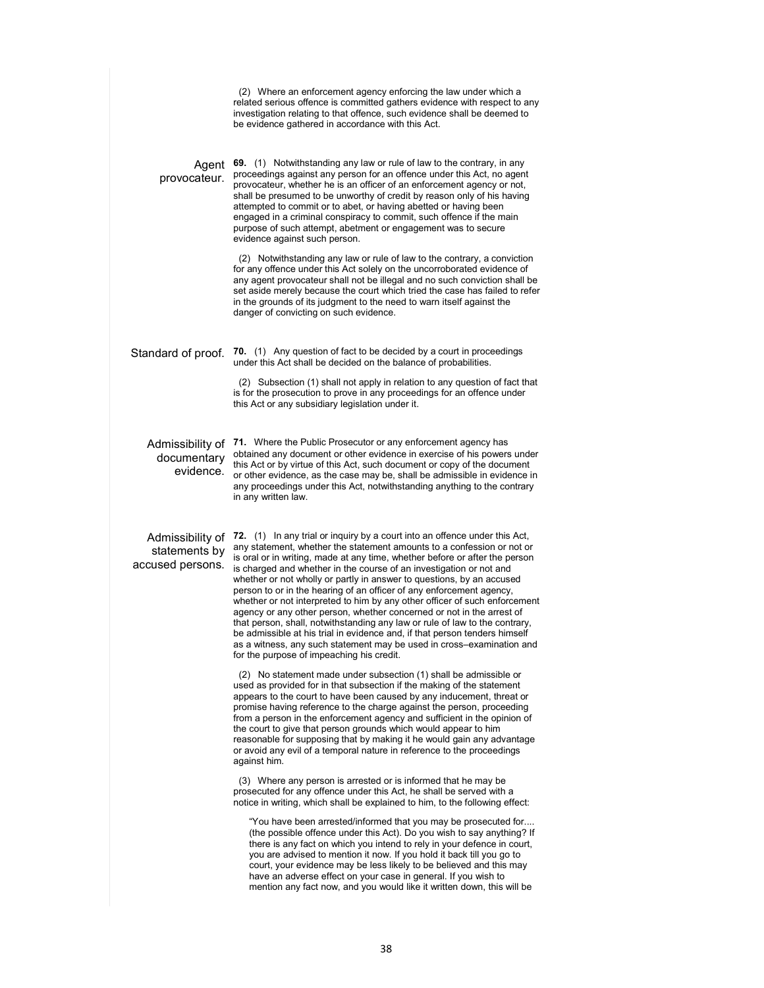|                                                       | (2) Where an enforcement agency enforcing the law under which a<br>related serious offence is committed gathers evidence with respect to any<br>investigation relating to that offence, such evidence shall be deemed to<br>be evidence gathered in accordance with this Act.                                                                                                                                                                                                                                                                                                                                                                                                                                                                                                                                                                                                                         |
|-------------------------------------------------------|-------------------------------------------------------------------------------------------------------------------------------------------------------------------------------------------------------------------------------------------------------------------------------------------------------------------------------------------------------------------------------------------------------------------------------------------------------------------------------------------------------------------------------------------------------------------------------------------------------------------------------------------------------------------------------------------------------------------------------------------------------------------------------------------------------------------------------------------------------------------------------------------------------|
| Agent<br>provocateur.                                 | 69. (1) Notwithstanding any law or rule of law to the contrary, in any<br>proceedings against any person for an offence under this Act, no agent<br>provocateur, whether he is an officer of an enforcement agency or not,<br>shall be presumed to be unworthy of credit by reason only of his having<br>attempted to commit or to abet, or having abetted or having been<br>engaged in a criminal conspiracy to commit, such offence if the main<br>purpose of such attempt, abetment or engagement was to secure<br>evidence against such person.                                                                                                                                                                                                                                                                                                                                                   |
|                                                       | (2) Notwithstanding any law or rule of law to the contrary, a conviction<br>for any offence under this Act solely on the uncorroborated evidence of<br>any agent provocateur shall not be illegal and no such conviction shall be<br>set aside merely because the court which tried the case has failed to refer<br>in the grounds of its judgment to the need to warn itself against the<br>danger of convicting on such evidence.                                                                                                                                                                                                                                                                                                                                                                                                                                                                   |
| Standard of proof.                                    | <b>70.</b> (1) Any question of fact to be decided by a court in proceedings<br>under this Act shall be decided on the balance of probabilities.                                                                                                                                                                                                                                                                                                                                                                                                                                                                                                                                                                                                                                                                                                                                                       |
|                                                       | (2) Subsection (1) shall not apply in relation to any question of fact that<br>is for the prosecution to prove in any proceedings for an offence under<br>this Act or any subsidiary legislation under it.                                                                                                                                                                                                                                                                                                                                                                                                                                                                                                                                                                                                                                                                                            |
| Admissibility of<br>documentary<br>evidence.          | <b>71.</b> Where the Public Prosecutor or any enforcement agency has<br>obtained any document or other evidence in exercise of his powers under<br>this Act or by virtue of this Act, such document or copy of the document<br>or other evidence, as the case may be, shall be admissible in evidence in<br>any proceedings under this Act, notwithstanding anything to the contrary<br>in any written law.                                                                                                                                                                                                                                                                                                                                                                                                                                                                                           |
| Admissibility of<br>statements by<br>accused persons. | 72. (1) In any trial or inquiry by a court into an offence under this Act,<br>any statement, whether the statement amounts to a confession or not or<br>is oral or in writing, made at any time, whether before or after the person<br>is charged and whether in the course of an investigation or not and<br>whether or not wholly or partly in answer to questions, by an accused<br>person to or in the hearing of an officer of any enforcement agency,<br>whether or not interpreted to him by any other officer of such enforcement<br>agency or any other person, whether concerned or not in the arrest of<br>that person, shall, notwithstanding any law or rule of law to the contrary,<br>be admissible at his trial in evidence and, if that person tenders himself<br>as a witness, any such statement may be used in cross-examination and<br>for the purpose of impeaching his credit. |
|                                                       | (2) No statement made under subsection (1) shall be admissible or<br>used as provided for in that subsection if the making of the statement<br>appears to the court to have been caused by any inducement, threat or<br>promise having reference to the charge against the person, proceeding<br>from a person in the enforcement agency and sufficient in the opinion of<br>the court to give that person grounds which would appear to him<br>reasonable for supposing that by making it he would gain any advantage<br>or avoid any evil of a temporal nature in reference to the proceedings<br>against him.                                                                                                                                                                                                                                                                                      |
|                                                       | (3) Where any person is arrested or is informed that he may be<br>prosecuted for any offence under this Act, he shall be served with a<br>notice in writing, which shall be explained to him, to the following effect:                                                                                                                                                                                                                                                                                                                                                                                                                                                                                                                                                                                                                                                                                |
|                                                       | "You have been arrested/informed that you may be prosecuted for<br>(the possible offence under this Act). Do you wish to say anything? If<br>there is any fact on which you intend to rely in your defence in court,<br>you are advised to mention it now. If you hold it back till you go to<br>court, your evidence may be less likely to be believed and this may<br>have an adverse effect on your case in general. If you wish to<br>mention any fact now, and you would like it written down, this will be                                                                                                                                                                                                                                                                                                                                                                                      |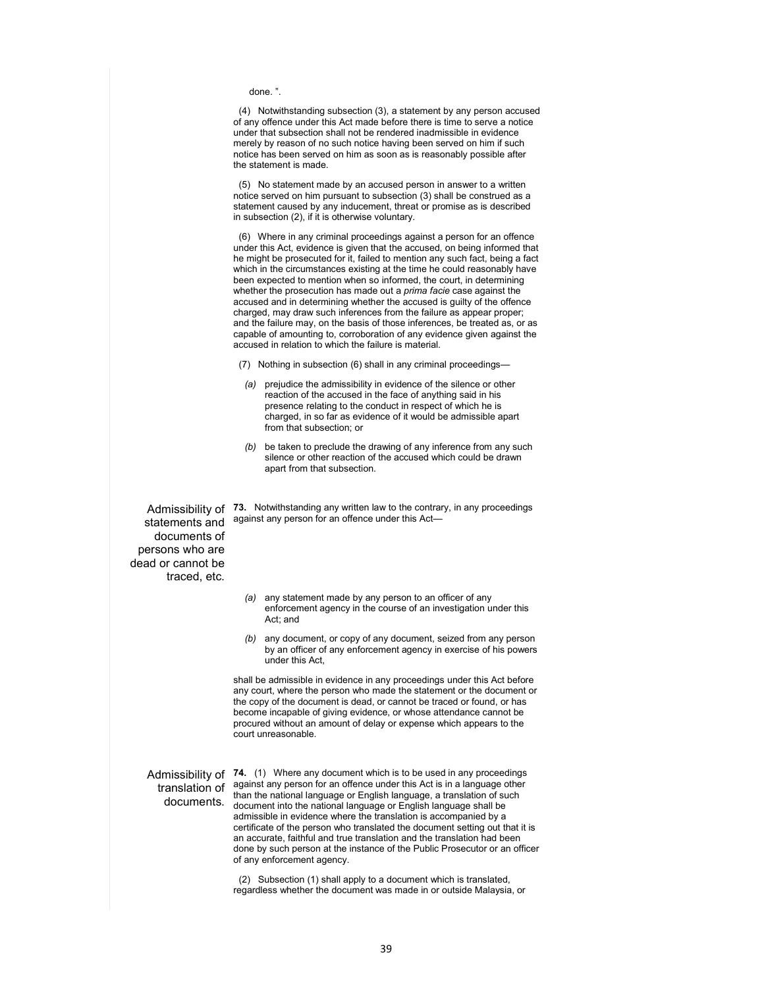done. ".

 (4) Notwithstanding subsection (3), a statement by any person accused of any offence under this Act made before there is time to serve a notice under that subsection shall not be rendered inadmissible in evidence merely by reason of no such notice having been served on him if such notice has been served on him as soon as is reasonably possible after the statement is made.

 (5) No statement made by an accused person in answer to a written notice served on him pursuant to subsection (3) shall be construed as a statement caused by any inducement, threat or promise as is described in subsection (2), if it is otherwise voluntary.

 (6) Where in any criminal proceedings against a person for an offence under this Act, evidence is given that the accused, on being informed that he might be prosecuted for it, failed to mention any such fact, being a fact which in the circumstances existing at the time he could reasonably have been expected to mention when so informed, the court, in determining whether the prosecution has made out a *prima facie* case against the accused and in determining whether the accused is guilty of the offence charged, may draw such inferences from the failure as appear proper; and the failure may, on the basis of those inferences, be treated as, or as capable of amounting to, corroboration of any evidence given against the accused in relation to which the failure is material.

- (7) Nothing in subsection (6) shall in any criminal proceedings—
- *(a)* prejudice the admissibility in evidence of the silence or other reaction of the accused in the face of anything said in his presence relating to the conduct in respect of which he is charged, in so far as evidence of it would be admissible apart from that subsection; or
- *(b)* be taken to preclude the drawing of any inference from any such silence or other reaction of the accused which could be drawn apart from that subsection.

Admissibility of **73.** Notwithstanding any written law to the contrary, in any proceedings against any person for an offence under this Act—

statements and documents of persons who are dead or cannot be traced, etc.

- *(a)* any statement made by any person to an officer of any enforcement agency in the course of an investigation under this Act; and
- *(b)* any document, or copy of any document, seized from any person by an officer of any enforcement agency in exercise of his powers under this Act,

shall be admissible in evidence in any proceedings under this Act before any court, where the person who made the statement or the document or the copy of the document is dead, or cannot be traced or found, or has become incapable of giving evidence, or whose attendance cannot be procured without an amount of delay or expense which appears to the court unreasonable.

translation of documents.

Admissibility of **74.** (1) Where any document which is to be used in any proceedings against any person for an offence under this Act is in a language other than the national language or English language, a translation of such document into the national language or English language shall be admissible in evidence where the translation is accompanied by a certificate of the person who translated the document setting out that it is an accurate, faithful and true translation and the translation had been done by such person at the instance of the Public Prosecutor or an officer of any enforcement agency.

> (2) Subsection (1) shall apply to a document which is translated, regardless whether the document was made in or outside Malaysia, or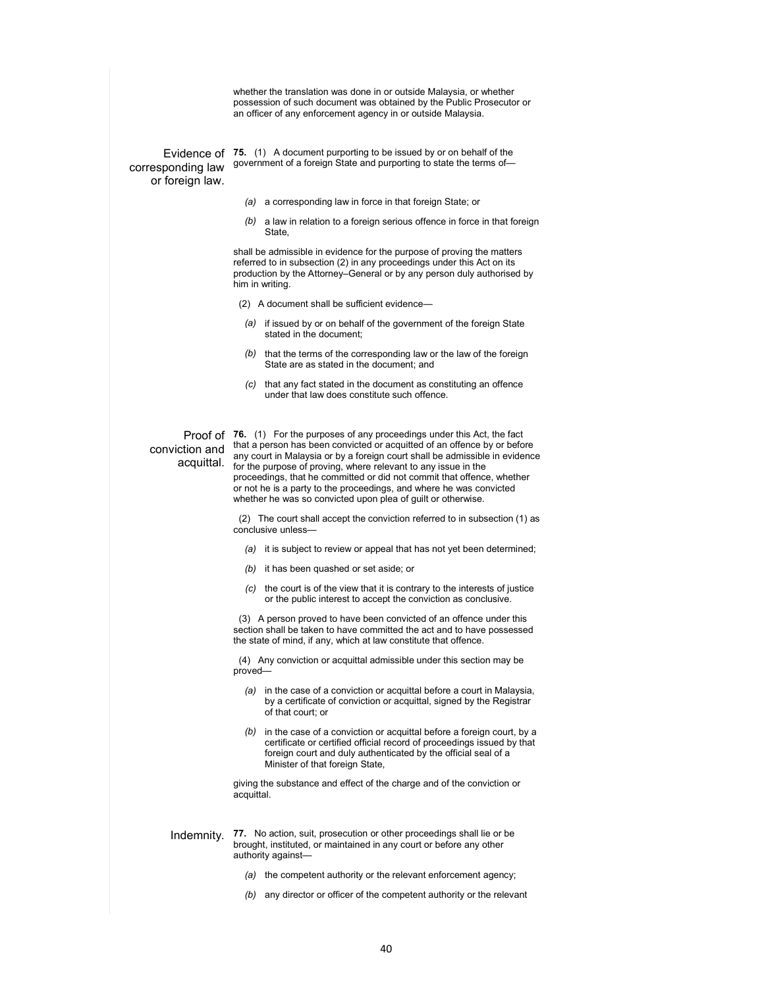whether the translation was done in or outside Malaysia, or whether possession of such document was obtained by the Public Prosecutor or an officer of any enforcement agency in or outside Malaysia.

corresponding law or foreign law.

Evidence of **75.** (1) A document purporting to be issued by or on behalf of the government of a foreign State and purporting to state the terms of—

- *(a)* a corresponding law in force in that foreign State; or
- *(b)* a law in relation to a foreign serious offence in force in that foreign State,

shall be admissible in evidence for the purpose of proving the matters referred to in subsection (2) in any proceedings under this Act on its production by the Attorney–General or by any person duly authorised by him in writing.

- (2) A document shall be sufficient evidence—
- *(a)* if issued by or on behalf of the government of the foreign State stated in the document;
- *(b)* that the terms of the corresponding law or the law of the foreign State are as stated in the document; and
- *(c)* that any fact stated in the document as constituting an offence under that law does constitute such offence.

conviction and acquittal.

Proof of **76.** (1) For the purposes of any proceedings under this Act, the fact that a person has been convicted or acquitted of an offence by or before any court in Malaysia or by a foreign court shall be admissible in evidence for the purpose of proving, where relevant to any issue in the proceedings, that he committed or did not commit that offence, whether or not he is a party to the proceedings, and where he was convicted whether he was so convicted upon plea of guilt or otherwise.

> (2) The court shall accept the conviction referred to in subsection (1) as conclusive unless—

- *(a)* it is subject to review or appeal that has not yet been determined;
- *(b)* it has been quashed or set aside; or
- *(c)* the court is of the view that it is contrary to the interests of justice or the public interest to accept the conviction as conclusive.

 (3) A person proved to have been convicted of an offence under this section shall be taken to have committed the act and to have possessed the state of mind, if any, which at law constitute that offence.

 (4) Any conviction or acquittal admissible under this section may be proved—

- *(a)* in the case of a conviction or acquittal before a court in Malaysia, by a certificate of conviction or acquittal, signed by the Registrar of that court; or
- *(b)* in the case of a conviction or acquittal before a foreign court, by a certificate or certified official record of proceedings issued by that foreign court and duly authenticated by the official seal of a Minister of that foreign State,

giving the substance and effect of the charge and of the conviction or acquittal.

Indemnity. **77.** No action, suit, prosecution or other proceedings shall lie or be brought, instituted, or maintained in any court or before any other authority against—

- *(a)* the competent authority or the relevant enforcement agency;
- *(b)* any director or officer of the competent authority or the relevant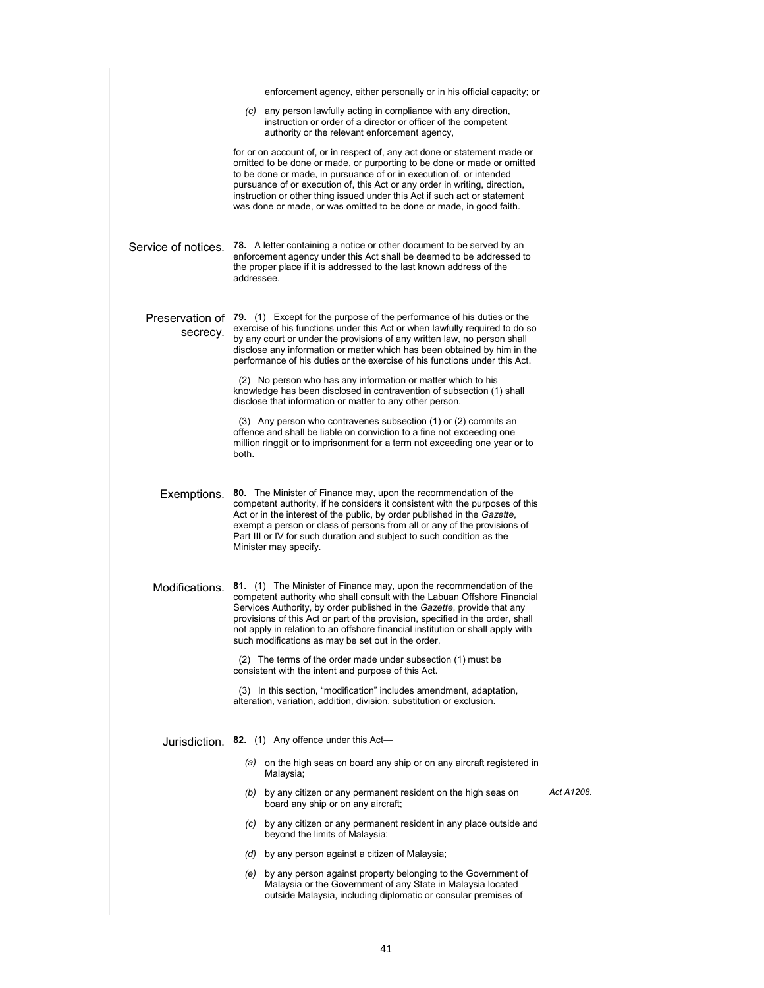|                     | enforcement agency, either personally or in his official capacity; or                                                                                                                                                                                                                                                                                                                                                                                                                                                |            |
|---------------------|----------------------------------------------------------------------------------------------------------------------------------------------------------------------------------------------------------------------------------------------------------------------------------------------------------------------------------------------------------------------------------------------------------------------------------------------------------------------------------------------------------------------|------------|
|                     | (c) any person lawfully acting in compliance with any direction,<br>instruction or order of a director or officer of the competent<br>authority or the relevant enforcement agency,                                                                                                                                                                                                                                                                                                                                  |            |
|                     | for or on account of, or in respect of, any act done or statement made or<br>omitted to be done or made, or purporting to be done or made or omitted<br>to be done or made, in pursuance of or in execution of, or intended<br>pursuance of or execution of, this Act or any order in writing, direction,<br>instruction or other thing issued under this Act if such act or statement<br>was done or made, or was omitted to be done or made, in good faith.                                                        |            |
| Service of notices. | <b>78.</b> A letter containing a notice or other document to be served by an<br>enforcement agency under this Act shall be deemed to be addressed to<br>the proper place if it is addressed to the last known address of the<br>addressee.                                                                                                                                                                                                                                                                           |            |
| secrecy.            | Preservation of 79. (1) Except for the purpose of the performance of his duties or the<br>exercise of his functions under this Act or when lawfully required to do so<br>by any court or under the provisions of any written law, no person shall<br>disclose any information or matter which has been obtained by him in the<br>performance of his duties or the exercise of his functions under this Act.                                                                                                          |            |
|                     | (2) No person who has any information or matter which to his<br>knowledge has been disclosed in contravention of subsection (1) shall<br>disclose that information or matter to any other person.                                                                                                                                                                                                                                                                                                                    |            |
|                     | (3) Any person who contravenes subsection (1) or (2) commits an<br>offence and shall be liable on conviction to a fine not exceeding one<br>million ringgit or to imprisonment for a term not exceeding one year or to<br>both.                                                                                                                                                                                                                                                                                      |            |
| Exemptions.         | 80. The Minister of Finance may, upon the recommendation of the<br>competent authority, if he considers it consistent with the purposes of this<br>Act or in the interest of the public, by order published in the Gazette,<br>exempt a person or class of persons from all or any of the provisions of<br>Part III or IV for such duration and subject to such condition as the<br>Minister may specify.                                                                                                            |            |
| Modifications.      | 81. (1) The Minister of Finance may, upon the recommendation of the<br>competent authority who shall consult with the Labuan Offshore Financial<br>Services Authority, by order published in the Gazette, provide that any<br>provisions of this Act or part of the provision, specified in the order, shall<br>not apply in relation to an offshore financial institution or shall apply with<br>such modifications as may be set out in the order.<br>(2) The terms of the order made under subsection (1) must be |            |
|                     | consistent with the intent and purpose of this Act.                                                                                                                                                                                                                                                                                                                                                                                                                                                                  |            |
|                     | (3) In this section, "modification" includes amendment, adaptation,<br>alteration, variation, addition, division, substitution or exclusion.                                                                                                                                                                                                                                                                                                                                                                         |            |
|                     | Jurisdiction. 82. (1) Any offence under this Act-                                                                                                                                                                                                                                                                                                                                                                                                                                                                    |            |
|                     | (a) on the high seas on board any ship or on any aircraft registered in<br>Malaysia;                                                                                                                                                                                                                                                                                                                                                                                                                                 |            |
|                     | (b) by any citizen or any permanent resident on the high seas on<br>board any ship or on any aircraft;                                                                                                                                                                                                                                                                                                                                                                                                               | Act A1208. |
|                     | (c) by any citizen or any permanent resident in any place outside and<br>beyond the limits of Malaysia;                                                                                                                                                                                                                                                                                                                                                                                                              |            |
|                     | (d) by any person against a citizen of Malaysia;                                                                                                                                                                                                                                                                                                                                                                                                                                                                     |            |
|                     | (e) by any person against property belonging to the Government of<br>Malaysia or the Government of any State in Malaysia located<br>outside Malaysia, including diplomatic or consular premises of                                                                                                                                                                                                                                                                                                                   |            |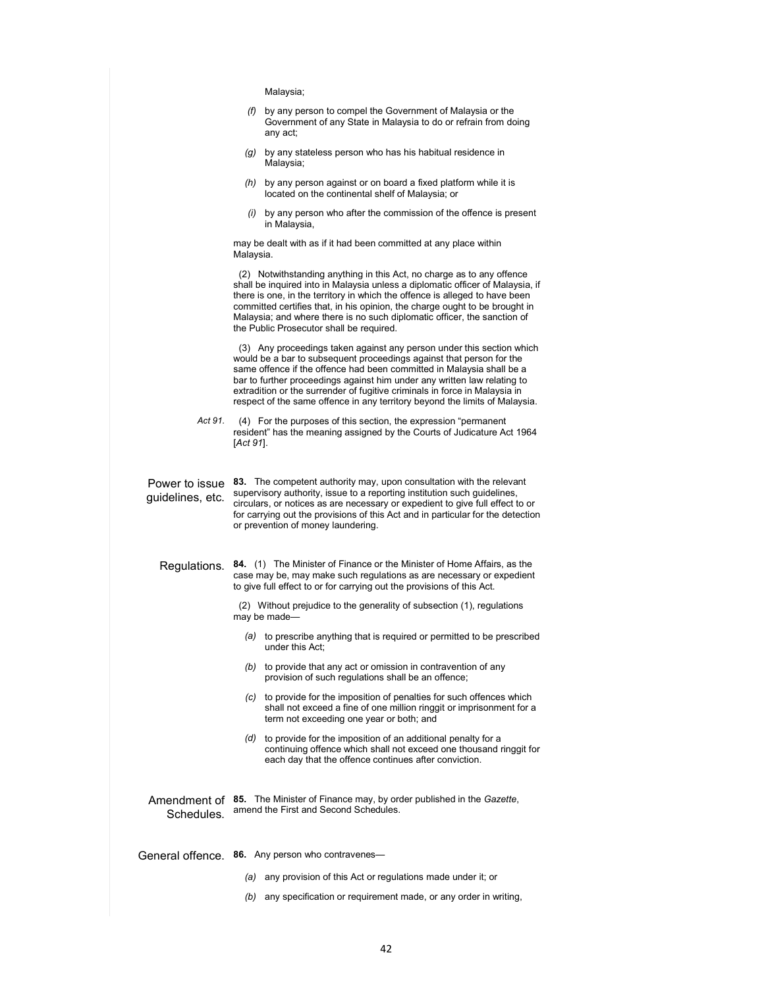Malaysia;

| $(f)$ by any person to compel the Government of Malaysia or the |
|-----------------------------------------------------------------|
| Government of any State in Malaysia to do or refrain from doing |
| any act:                                                        |

- *(g)* by any stateless person who has his habitual residence in Malaysia;
- *(h)* by any person against or on board a fixed platform while it is located on the continental shelf of Malaysia; or
- *(i)* by any person who after the commission of the offence is present in Malaysia,

may be dealt with as if it had been committed at any place within Malaysia.

 (2) Notwithstanding anything in this Act, no charge as to any offence shall be inquired into in Malaysia unless a diplomatic officer of Malaysia, if there is one, in the territory in which the offence is alleged to have been committed certifies that, in his opinion, the charge ought to be brought in Malaysia; and where there is no such diplomatic officer, the sanction of the Public Prosecutor shall be required.

 (3) Any proceedings taken against any person under this section which would be a bar to subsequent proceedings against that person for the same offence if the offence had been committed in Malaysia shall be a bar to further proceedings against him under any written law relating to extradition or the surrender of fugitive criminals in force in Malaysia in respect of the same offence in any territory beyond the limits of Malaysia.

*Act 91.* (4) For the purposes of this section, the expression "permanent resident" has the meaning assigned by the Courts of Judicature Act 1964 [*Act 91*].

guidelines, etc.

Power to issue **83.** The competent authority may, upon consultation with the relevant supervisory authority, issue to a reporting institution such guidelines, circulars, or notices as are necessary or expedient to give full effect to or for carrying out the provisions of this Act and in particular for the detection or prevention of money laundering.

Regulations. **84.** (1) The Minister of Finance or the Minister of Home Affairs, as the case may be, may make such regulations as are necessary or expedient to give full effect to or for carrying out the provisions of this Act.

> (2) Without prejudice to the generality of subsection (1), regulations may be made

- *(a)* to prescribe anything that is required or permitted to be prescribed under this Act;
- *(b)* to provide that any act or omission in contravention of any provision of such regulations shall be an offence;
- *(c)* to provide for the imposition of penalties for such offences which shall not exceed a fine of one million ringgit or imprisonment for a term not exceeding one year or both; and
- *(d)* to provide for the imposition of an additional penalty for a continuing offence which shall not exceed one thousand ringgit for each day that the offence continues after conviction.
- Amendment of **85.** The Minister of Finance may, by order published in the *Gazette*, Schedules. amend the First and Second Schedules.
- General offence. **86.** Any person who contravenes—
	- *(a)* any provision of this Act or regulations made under it; or
	- *(b)* any specification or requirement made, or any order in writing,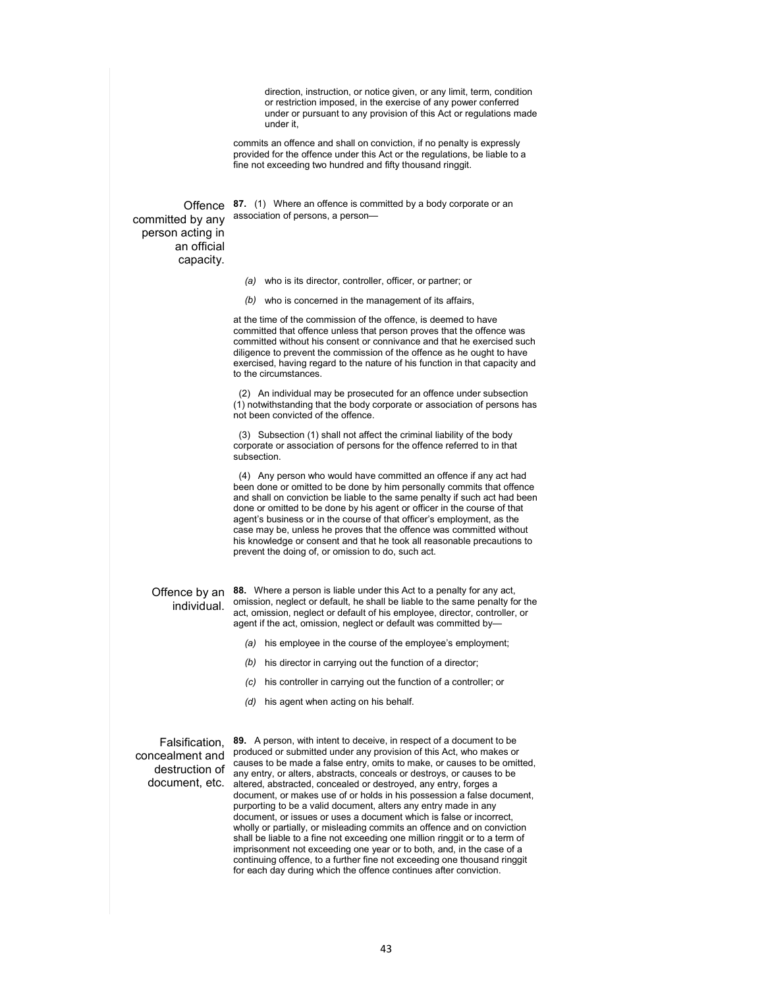direction, instruction, or notice given, or any limit, term, condition or restriction imposed, in the exercise of any power conferred under or pursuant to any provision of this Act or regulations made under it,

commits an offence and shall on conviction, if no penalty is expressly provided for the offence under this Act or the regulations, be liable to a fine not exceeding two hundred and fifty thousand ringgit.

Offence **87.** (1) Where an offence is committed by a body corporate or an association of persons, a person—

committed by any person acting in an official capacity.

*(a)* who is its director, controller, officer, or partner; or

*(b)* who is concerned in the management of its affairs,

at the time of the commission of the offence, is deemed to have committed that offence unless that person proves that the offence was committed without his consent or connivance and that he exercised such diligence to prevent the commission of the offence as he ought to have exercised, having regard to the nature of his function in that capacity and to the circumstances.

 (2) An individual may be prosecuted for an offence under subsection (1) notwithstanding that the body corporate or association of persons has not been convicted of the offence.

 (3) Subsection (1) shall not affect the criminal liability of the body corporate or association of persons for the offence referred to in that subsection.

 (4) Any person who would have committed an offence if any act had been done or omitted to be done by him personally commits that offence and shall on conviction be liable to the same penalty if such act had been done or omitted to be done by his agent or officer in the course of that agent's business or in the course of that officer's employment, as the case may be, unless he proves that the offence was committed without his knowledge or consent and that he took all reasonable precautions to prevent the doing of, or omission to do, such act.

## individual.

Offence by an **88.** Where a person is liable under this Act to a penalty for any act, omission, neglect or default, he shall be liable to the same penalty for the act, omission, neglect or default of his employee, director, controller, or agent if the act, omission, neglect or default was committed by—

- *(a)* his employee in the course of the employee's employment;
- *(b)* his director in carrying out the function of a director;
- *(c)* his controller in carrying out the function of a controller; or
- *(d)* his agent when acting on his behalf.

destruction of

Falsification, **89.** A person, with intent to deceive, in respect of a document to be concealment and produced or submitted under any provision of this Act, who makes or document, etc. altered, abstracted, concealed or destroyed, any entry, forges a causes to be made a false entry, omits to make, or causes to be omitted, any entry, or alters, abstracts, conceals or destroys, or causes to be document, or makes use of or holds in his possession a false document, purporting to be a valid document, alters any entry made in any document, or issues or uses a document which is false or incorrect, wholly or partially, or misleading commits an offence and on conviction shall be liable to a fine not exceeding one million ringgit or to a term of imprisonment not exceeding one year or to both, and, in the case of a continuing offence, to a further fine not exceeding one thousand ringgit for each day during which the offence continues after conviction.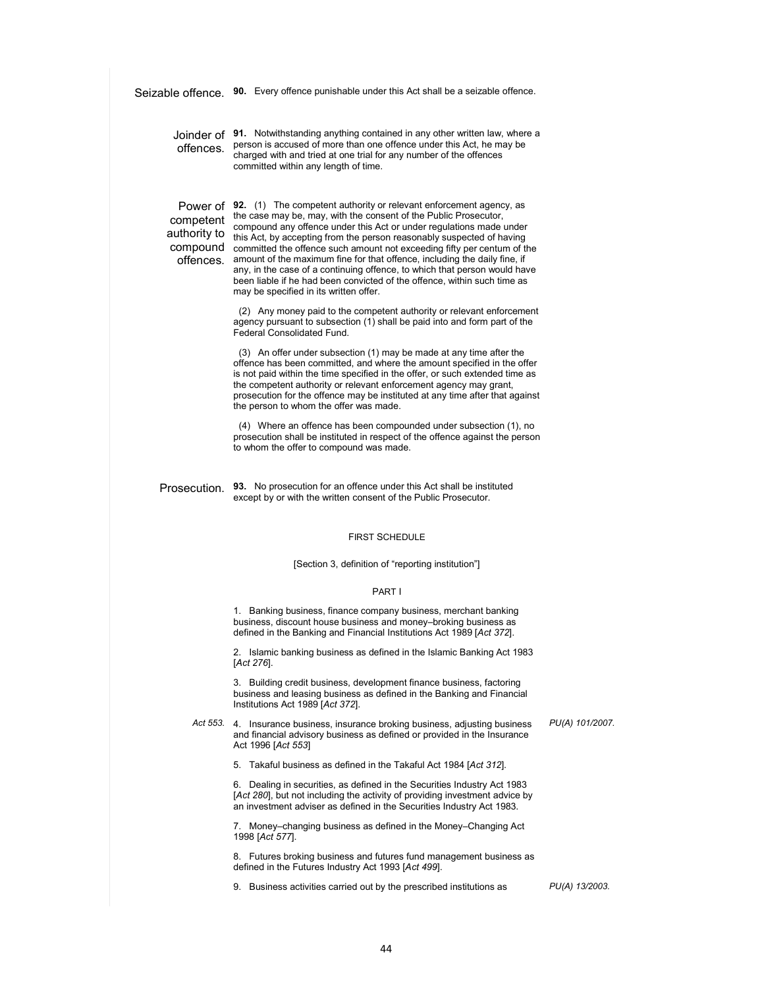|                                                                | Seizable offence. 90. Every offence punishable under this Act shall be a seizable offence.                                                                                                                                                                                                                                                                                                                                                                                                                                                                                                                                                               |                 |
|----------------------------------------------------------------|----------------------------------------------------------------------------------------------------------------------------------------------------------------------------------------------------------------------------------------------------------------------------------------------------------------------------------------------------------------------------------------------------------------------------------------------------------------------------------------------------------------------------------------------------------------------------------------------------------------------------------------------------------|-----------------|
| offences.                                                      | Joinder of 91. Notwithstanding anything contained in any other written law, where a<br>person is accused of more than one offence under this Act, he may be<br>charged with and tried at one trial for any number of the offences<br>committed within any length of time.                                                                                                                                                                                                                                                                                                                                                                                |                 |
| Power of<br>competent<br>authority to<br>compound<br>offences. | <b>92.</b> (1) The competent authority or relevant enforcement agency, as<br>the case may be, may, with the consent of the Public Prosecutor,<br>compound any offence under this Act or under regulations made under<br>this Act, by accepting from the person reasonably suspected of having<br>committed the offence such amount not exceeding fifty per centum of the<br>amount of the maximum fine for that offence, including the daily fine, if<br>any, in the case of a continuing offence, to which that person would have<br>been liable if he had been convicted of the offence, within such time as<br>may be specified in its written offer. |                 |
|                                                                | (2) Any money paid to the competent authority or relevant enforcement<br>agency pursuant to subsection (1) shall be paid into and form part of the<br>Federal Consolidated Fund.                                                                                                                                                                                                                                                                                                                                                                                                                                                                         |                 |
|                                                                | (3) An offer under subsection (1) may be made at any time after the<br>offence has been committed, and where the amount specified in the offer<br>is not paid within the time specified in the offer, or such extended time as<br>the competent authority or relevant enforcement agency may grant,<br>prosecution for the offence may be instituted at any time after that against<br>the person to whom the offer was made.                                                                                                                                                                                                                            |                 |
|                                                                | (4) Where an offence has been compounded under subsection (1), no<br>prosecution shall be instituted in respect of the offence against the person<br>to whom the offer to compound was made.                                                                                                                                                                                                                                                                                                                                                                                                                                                             |                 |
|                                                                | Prosecution. 93. No prosecution for an offence under this Act shall be instituted<br>except by or with the written consent of the Public Prosecutor.                                                                                                                                                                                                                                                                                                                                                                                                                                                                                                     |                 |
|                                                                | <b>FIRST SCHEDULE</b>                                                                                                                                                                                                                                                                                                                                                                                                                                                                                                                                                                                                                                    |                 |
|                                                                | [Section 3, definition of "reporting institution"]                                                                                                                                                                                                                                                                                                                                                                                                                                                                                                                                                                                                       |                 |
|                                                                | PART I                                                                                                                                                                                                                                                                                                                                                                                                                                                                                                                                                                                                                                                   |                 |
|                                                                | 1. Banking business, finance company business, merchant banking<br>business, discount house business and money-broking business as<br>defined in the Banking and Financial Institutions Act 1989 [Act 372].                                                                                                                                                                                                                                                                                                                                                                                                                                              |                 |
|                                                                | 2. Islamic banking business as defined in the Islamic Banking Act 1983<br>$[Act 276]$ .                                                                                                                                                                                                                                                                                                                                                                                                                                                                                                                                                                  |                 |
|                                                                | 3. Building credit business, development finance business, factoring<br>business and leasing business as defined in the Banking and Financial<br>Institutions Act 1989 [Act 372].                                                                                                                                                                                                                                                                                                                                                                                                                                                                        |                 |
|                                                                | Act 553. 4. Insurance business, insurance broking business, adjusting business<br>and financial advisory business as defined or provided in the Insurance<br>Act 1996 [Act 553]                                                                                                                                                                                                                                                                                                                                                                                                                                                                          | PU(A) 101/2007. |
|                                                                | 5. Takaful business as defined in the Takaful Act 1984 [Act 312].                                                                                                                                                                                                                                                                                                                                                                                                                                                                                                                                                                                        |                 |
|                                                                | 6. Dealing in securities, as defined in the Securities Industry Act 1983<br>[Act 280], but not including the activity of providing investment advice by<br>an investment adviser as defined in the Securities Industry Act 1983.                                                                                                                                                                                                                                                                                                                                                                                                                         |                 |
|                                                                | 7. Money–changing business as defined in the Money–Changing Act<br>1998 [Act 577].                                                                                                                                                                                                                                                                                                                                                                                                                                                                                                                                                                       |                 |
|                                                                | 8. Futures broking business and futures fund management business as<br>defined in the Futures Industry Act 1993 [Act 499].                                                                                                                                                                                                                                                                                                                                                                                                                                                                                                                               |                 |
|                                                                | 9. Business activities carried out by the prescribed institutions as                                                                                                                                                                                                                                                                                                                                                                                                                                                                                                                                                                                     | PU(A) 13/2003.  |
|                                                                |                                                                                                                                                                                                                                                                                                                                                                                                                                                                                                                                                                                                                                                          |                 |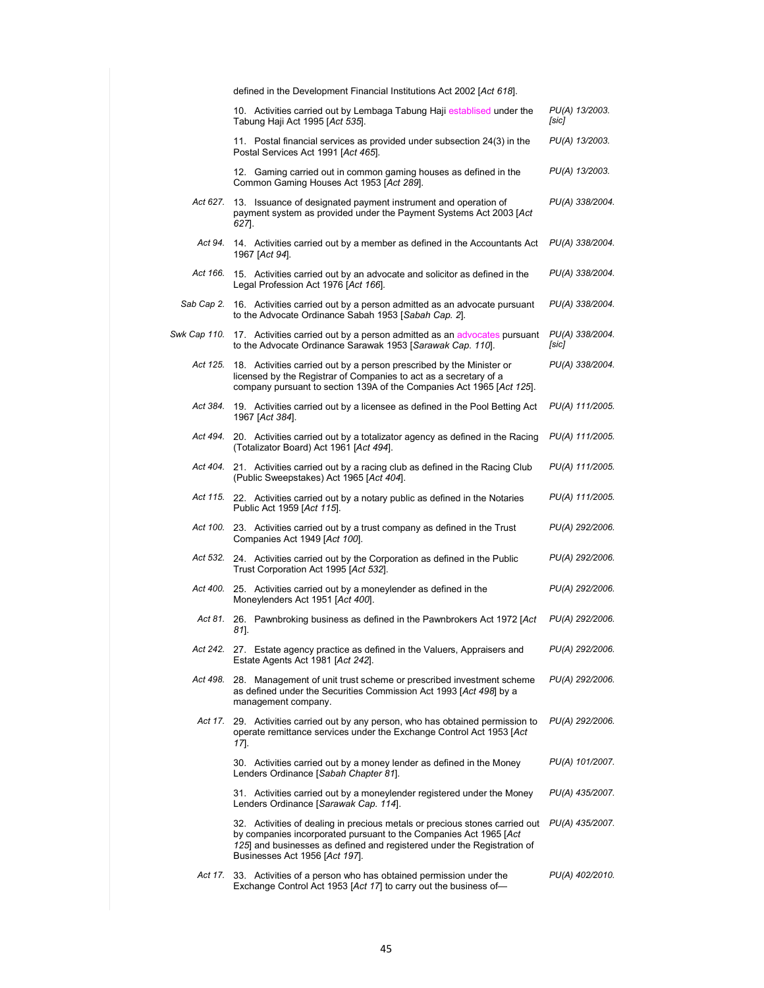|              | defined in the Development Financial Institutions Act 2002 [Act 618].                                                                                                                                                                                         |                          |
|--------------|---------------------------------------------------------------------------------------------------------------------------------------------------------------------------------------------------------------------------------------------------------------|--------------------------|
|              | 10. Activities carried out by Lembaga Tabung Haji establised under the<br>Tabung Haji Act 1995 [Act 535].                                                                                                                                                     | PU(A) 13/2003.<br>[sic]  |
|              | 11. Postal financial services as provided under subsection 24(3) in the<br>Postal Services Act 1991 [Act 465].                                                                                                                                                | PU(A) 13/2003.           |
|              | 12. Gaming carried out in common gaming houses as defined in the<br>Common Gaming Houses Act 1953 [Act 289].                                                                                                                                                  | PU(A) 13/2003.           |
| Act 627.     | 13. Issuance of designated payment instrument and operation of<br>payment system as provided under the Payment Systems Act 2003 [Act<br>627.                                                                                                                  | PU(A) 338/2004.          |
| Act 94.      | 14. Activities carried out by a member as defined in the Accountants Act<br>1967 [Act 94].                                                                                                                                                                    | PU(A) 338/2004.          |
| Act 166.     | 15. Activities carried out by an advocate and solicitor as defined in the<br>Legal Profession Act 1976 [Act 166].                                                                                                                                             | PU(A) 338/2004.          |
| Sab Cap 2.   | 16. Activities carried out by a person admitted as an advocate pursuant<br>to the Advocate Ordinance Sabah 1953 [Sabah Cap. 2].                                                                                                                               | PU(A) 338/2004.          |
| Swk Cap 110. | 17. Activities carried out by a person admitted as an advocates pursuant<br>to the Advocate Ordinance Sarawak 1953 [Sarawak Cap. 110].                                                                                                                        | PU(A) 338/2004.<br>[sic] |
| Act 125.     | 18. Activities carried out by a person prescribed by the Minister or<br>licensed by the Registrar of Companies to act as a secretary of a<br>company pursuant to section 139A of the Companies Act 1965 [Act 125].                                            | PU(A) 338/2004.          |
| Act 384.     | 19. Activities carried out by a licensee as defined in the Pool Betting Act<br>1967 [Act 384].                                                                                                                                                                | PU(A) 111/2005.          |
| Act 494.     | 20. Activities carried out by a totalizator agency as defined in the Racing<br>(Totalizator Board) Act 1961 [Act 494].                                                                                                                                        | PU(A) 111/2005.          |
| Act 404.     | 21. Activities carried out by a racing club as defined in the Racing Club<br>(Public Sweepstakes) Act 1965 [Act 404].                                                                                                                                         | PU(A) 111/2005.          |
| Act 115.     | 22. Activities carried out by a notary public as defined in the Notaries<br>Public Act 1959 [Act 115].                                                                                                                                                        | PU(A) 111/2005.          |
| Act 100.     | 23. Activities carried out by a trust company as defined in the Trust<br>Companies Act 1949 [Act 100].                                                                                                                                                        | PU(A) 292/2006.          |
|              | Act 532. 24. Activities carried out by the Corporation as defined in the Public<br>Trust Corporation Act 1995 [Act 532].                                                                                                                                      | PU(A) 292/2006.          |
| Act 400.     | 25. Activities carried out by a moneylender as defined in the<br>Moneylenders Act 1951 [Act 400].                                                                                                                                                             | PU(A) 292/2006.          |
| Act 81.      | 26. Pawnbroking business as defined in the Pawnbrokers Act 1972 [Act]<br>81].                                                                                                                                                                                 | PU(A) 292/2006.          |
|              | Act 242. 27. Estate agency practice as defined in the Valuers, Appraisers and<br>Estate Agents Act 1981 [Act 242].                                                                                                                                            | PU(A) 292/2006.          |
| Act 498.     | 28. Management of unit trust scheme or prescribed investment scheme<br>as defined under the Securities Commission Act 1993 [Act 498] by a<br>management company.                                                                                              | PU(A) 292/2006.          |
| Act 17.      | 29. Activities carried out by any person, who has obtained permission to<br>operate remittance services under the Exchange Control Act 1953 [Act<br>17].                                                                                                      | PU(A) 292/2006.          |
|              | 30. Activities carried out by a money lender as defined in the Money<br>Lenders Ordinance [Sabah Chapter 81].                                                                                                                                                 | PU(A) 101/2007.          |
|              | 31. Activities carried out by a moneylender registered under the Money<br>Lenders Ordinance [Sarawak Cap. 114].                                                                                                                                               | PU(A) 435/2007.          |
|              | 32. Activities of dealing in precious metals or precious stones carried out<br>by companies incorporated pursuant to the Companies Act 1965 [Act<br>125] and businesses as defined and registered under the Registration of<br>Businesses Act 1956 [Act 197]. | PU(A) 435/2007.          |
| Act 17.      | 33. Activities of a person who has obtained permission under the<br>Exchange Control Act 1953 [Act 17] to carry out the business of-                                                                                                                          | PU(A) 402/2010.          |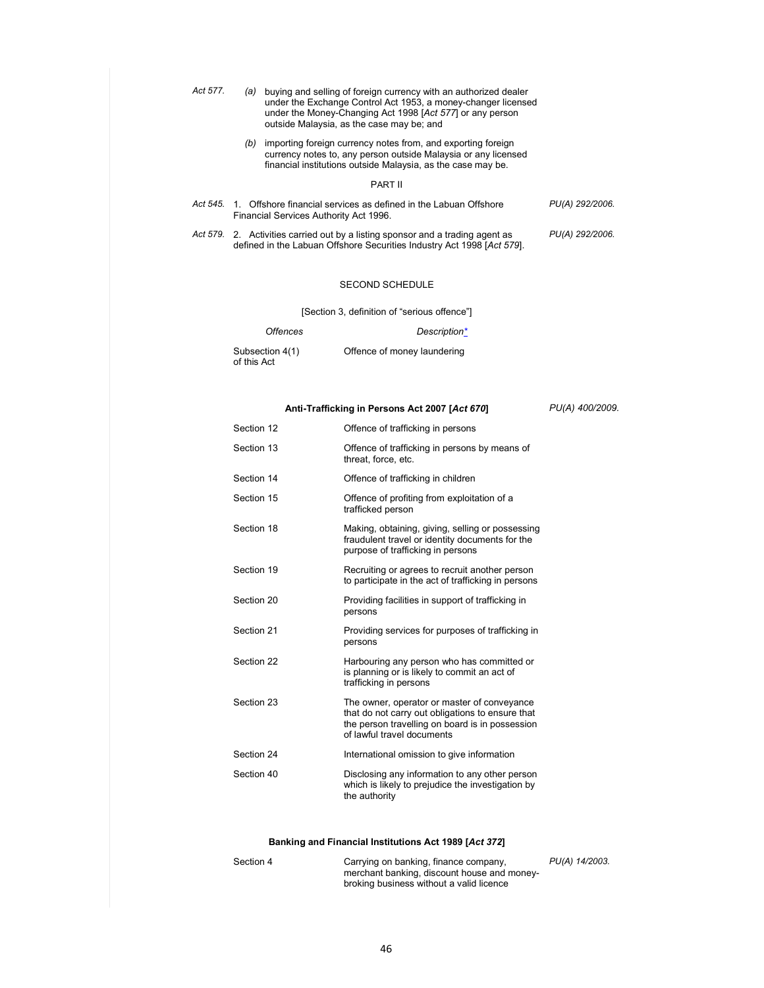| Act 577. | (a)            | buying and selling of foreign currency with an authorized dealer<br>under the Exchange Control Act 1953, a money-changer licensed<br>under the Money-Changing Act 1998 [Act 577] or any person<br>outside Malaysia, as the case may be; and |                 |
|----------|----------------|---------------------------------------------------------------------------------------------------------------------------------------------------------------------------------------------------------------------------------------------|-----------------|
|          | (b)            | importing foreign currency notes from, and exporting foreign<br>currency notes to, any person outside Malaysia or any licensed<br>financial institutions outside Malaysia, as the case may be.                                              |                 |
|          |                | <b>PART II</b>                                                                                                                                                                                                                              |                 |
| Act 545. | $\mathbf{1}$ . | Offshore financial services as defined in the Labuan Offshore<br>Financial Services Authority Act 1996.                                                                                                                                     | PU(A) 292/2006. |
|          |                | Act 579. 2. Activities carried out by a listing sponsor and a trading agent as                                                                                                                                                              | PU(A) 292/2006. |

#### SECOND SCHEDULE

defined in the Labuan Offshore Securities Industry Act 1998 [*Act 579*].

[Section 3, definition of "serious offence"]

| <i><b>Offences</b></i>         | Description*                |
|--------------------------------|-----------------------------|
| Subsection 4(1)<br>of this Act | Offence of money laundering |

### **Anti-Trafficking in Persons Act 2007 [***Act 670***]**

*PU(A) 400/2009.* 

| Section 12 | Offence of trafficking in persons                                                                                                                                                |
|------------|----------------------------------------------------------------------------------------------------------------------------------------------------------------------------------|
| Section 13 | Offence of trafficking in persons by means of<br>threat, force, etc.                                                                                                             |
| Section 14 | Offence of trafficking in children                                                                                                                                               |
| Section 15 | Offence of profiting from exploitation of a<br>trafficked person                                                                                                                 |
| Section 18 | Making, obtaining, giving, selling or possessing<br>fraudulent travel or identity documents for the<br>purpose of trafficking in persons                                         |
| Section 19 | Recruiting or agrees to recruit another person<br>to participate in the act of trafficking in persons                                                                            |
| Section 20 | Providing facilities in support of trafficking in<br>persons                                                                                                                     |
| Section 21 | Providing services for purposes of trafficking in<br>persons                                                                                                                     |
| Section 22 | Harbouring any person who has committed or<br>is planning or is likely to commit an act of<br>trafficking in persons                                                             |
| Section 23 | The owner, operator or master of conveyance<br>that do not carry out obligations to ensure that<br>the person travelling on board is in possession<br>of lawful travel documents |
| Section 24 | International omission to give information                                                                                                                                       |
| Section 40 | Disclosing any information to any other person<br>which is likely to prejudice the investigation by<br>the authority                                                             |

### **Banking and Financial Institutions Act 1989 [***Act 372***]**

| Section 4 | Carrying on banking, finance company,       | PU(A) 14/2003. |
|-----------|---------------------------------------------|----------------|
|           | merchant banking, discount house and money- |                |
|           | broking business without a valid licence    |                |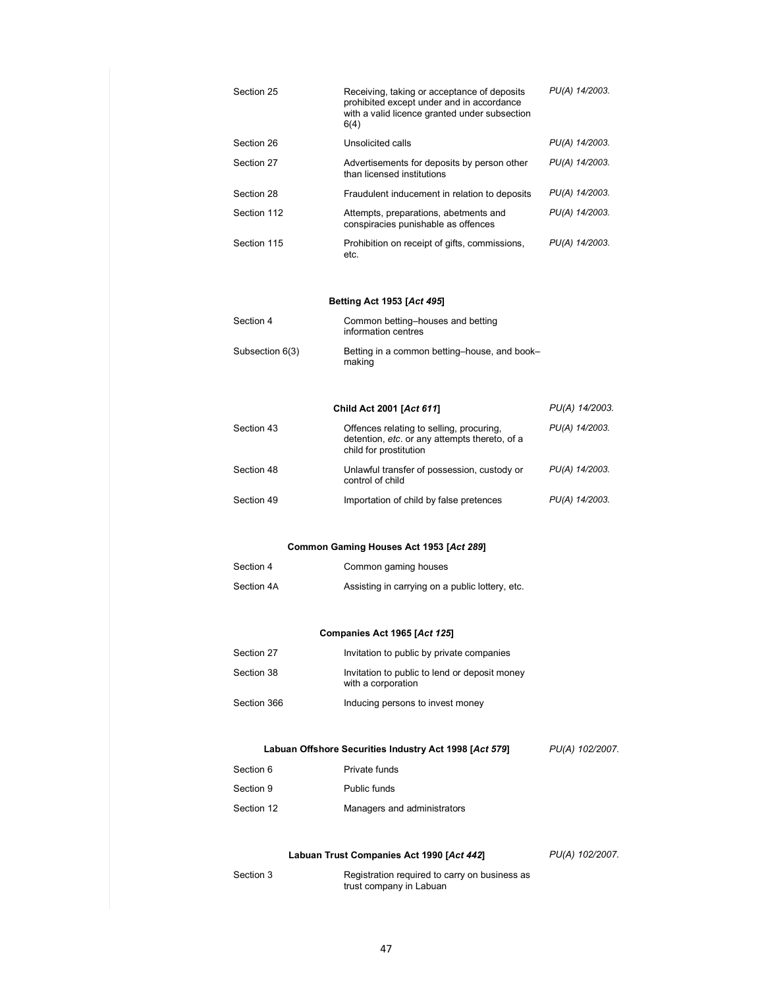| Section 25      | Receiving, taking or acceptance of deposits<br>prohibited except under and in accordance<br>with a valid licence granted under subsection<br>6(4) | PU(A) 14/2003.  |
|-----------------|---------------------------------------------------------------------------------------------------------------------------------------------------|-----------------|
| Section 26      | Unsolicited calls                                                                                                                                 | PU(A) 14/2003.  |
| Section 27      | Advertisements for deposits by person other<br>than licensed institutions                                                                         | PU(A) 14/2003.  |
| Section 28      | Fraudulent inducement in relation to deposits                                                                                                     | PU(A) 14/2003.  |
| Section 112     | Attempts, preparations, abetments and<br>conspiracies punishable as offences                                                                      | PU(A) 14/2003.  |
| Section 115     | Prohibition on receipt of gifts, commissions,<br>etc.                                                                                             | PU(A) 14/2003.  |
|                 | Betting Act 1953 [Act 495]                                                                                                                        |                 |
| Section 4       | Common betting-houses and betting<br>information centres                                                                                          |                 |
| Subsection 6(3) | Betting in a common betting-house, and book-<br>making                                                                                            |                 |
|                 | Child Act 2001 [Act 611]                                                                                                                          | PU(A) 14/2003.  |
| Section 43      | Offences relating to selling, procuring,<br>detention, etc. or any attempts thereto, of a<br>child for prostitution                               | PU(A) 14/2003.  |
| Section 48      | Unlawful transfer of possession, custody or<br>control of child                                                                                   | PU(A) 14/2003.  |
| Section 49      | Importation of child by false pretences                                                                                                           | PU(A) 14/2003.  |
|                 | Common Gaming Houses Act 1953 [Act 289]                                                                                                           |                 |
| Section 4       | Common gaming houses                                                                                                                              |                 |
| Section 4A      | Assisting in carrying on a public lottery, etc.                                                                                                   |                 |
|                 | Companies Act 1965 [Act 125]                                                                                                                      |                 |
| Section 27      | Invitation to public by private companies                                                                                                         |                 |
| Section 38      | Invitation to public to lend or deposit money<br>with a corporation                                                                               |                 |
| Section 366     | Inducing persons to invest money                                                                                                                  |                 |
|                 | Labuan Offshore Securities Industry Act 1998 [Act 579]                                                                                            | PU(A) 102/2007. |
| Section 6       | Private funds                                                                                                                                     |                 |
| Section 9       | Public funds                                                                                                                                      |                 |
| Section 12      | Managers and administrators                                                                                                                       |                 |
|                 | Labuan Trust Companies Act 1990 [Act 442]                                                                                                         | PU(A) 102/2007. |
| Section 3       | Registration required to carry on business as<br>trust company in Labuan                                                                          |                 |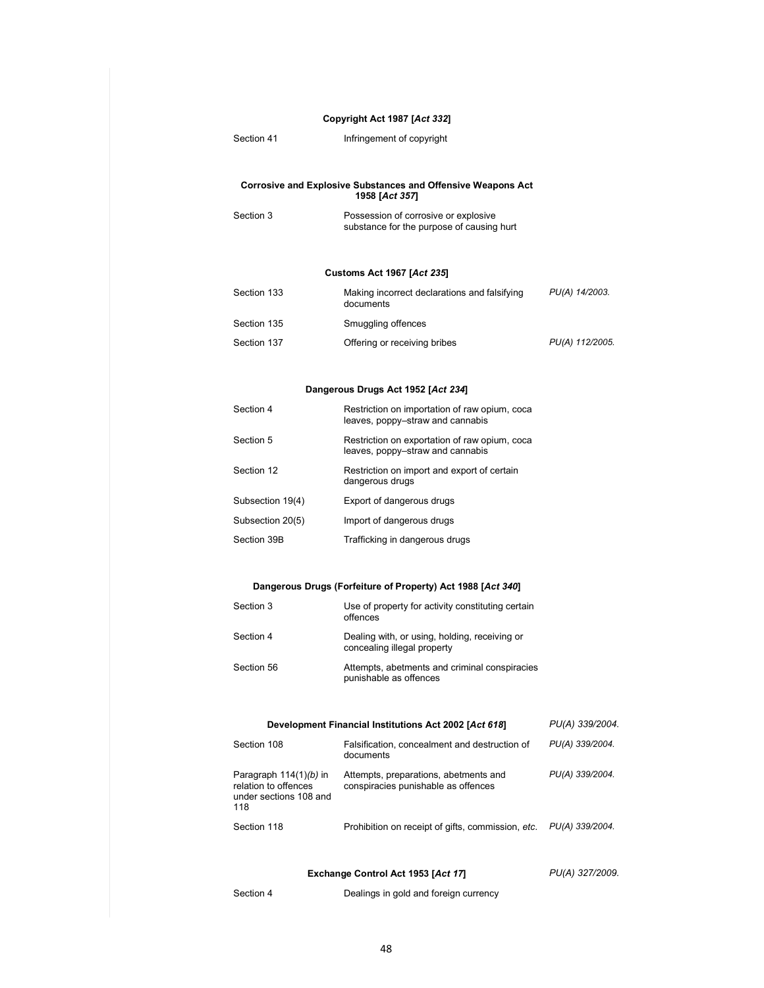#### **Copyright Act 1987 [***Act 332***]**

Section 41 **Infringement of copyright** 

#### **Corrosive and Explosive Substances and Offensive Weapons Act 1958 [***Act 357***]**

Section 3 **Possession of corrosive or explosive** substance for the purpose of causing hurt

#### **Customs Act 1967 [***Act 235***]**

| Section 133 | Making incorrect declarations and falsifying<br>documents | PU(A) 14/2003.  |
|-------------|-----------------------------------------------------------|-----------------|
| Section 135 | Smuggling offences                                        |                 |
| Section 137 | Offering or receiving bribes                              | PU(A) 112/2005. |

#### **Dangerous Drugs Act 1952 [***Act 234***]**

| Section 4        | Restriction on importation of raw opium, cocal<br>leaves, poppy-straw and cannabis |
|------------------|------------------------------------------------------------------------------------|
| Section 5        | Restriction on exportation of raw opium, coca<br>leaves, poppy-straw and cannabis  |
| Section 12       | Restriction on import and export of certain<br>dangerous drugs                     |
| Subsection 19(4) | Export of dangerous drugs                                                          |
| Subsection 20(5) | Import of dangerous drugs                                                          |
| Section 39B      | Trafficking in dangerous drugs                                                     |

#### **Dangerous Drugs (Forfeiture of Property) Act 1988 [***Act 340***]**

| Section 3  | Use of property for activity constituting certain<br>offences                |
|------------|------------------------------------------------------------------------------|
| Section 4  | Dealing with, or using, holding, receiving or<br>concealing illegal property |
| Section 56 | Attempts, abetments and criminal conspiracies<br>punishable as offences      |

#### **Development Financial Institutions Act 2002 [***Act 618***]** *PU(A) 339/2004.*

| Section 108                                                                       | Falsification, concealment and destruction of<br>documents                   | PU(A) 339/2004. |
|-----------------------------------------------------------------------------------|------------------------------------------------------------------------------|-----------------|
| Paragraph $114(1)(b)$ in<br>relation to offences<br>under sections 108 and<br>118 | Attempts, preparations, abetments and<br>conspiracies punishable as offences | PU(A) 339/2004. |
| Section 118                                                                       | Prohibition on receipt of gifts, commission, etc.                            | PU(A) 339/2004. |

#### **Exchange Control Act 1953 [***Act 17***]**

*PU(A) 327/2009.* 

Section 4 **Dealings in gold and foreign currency**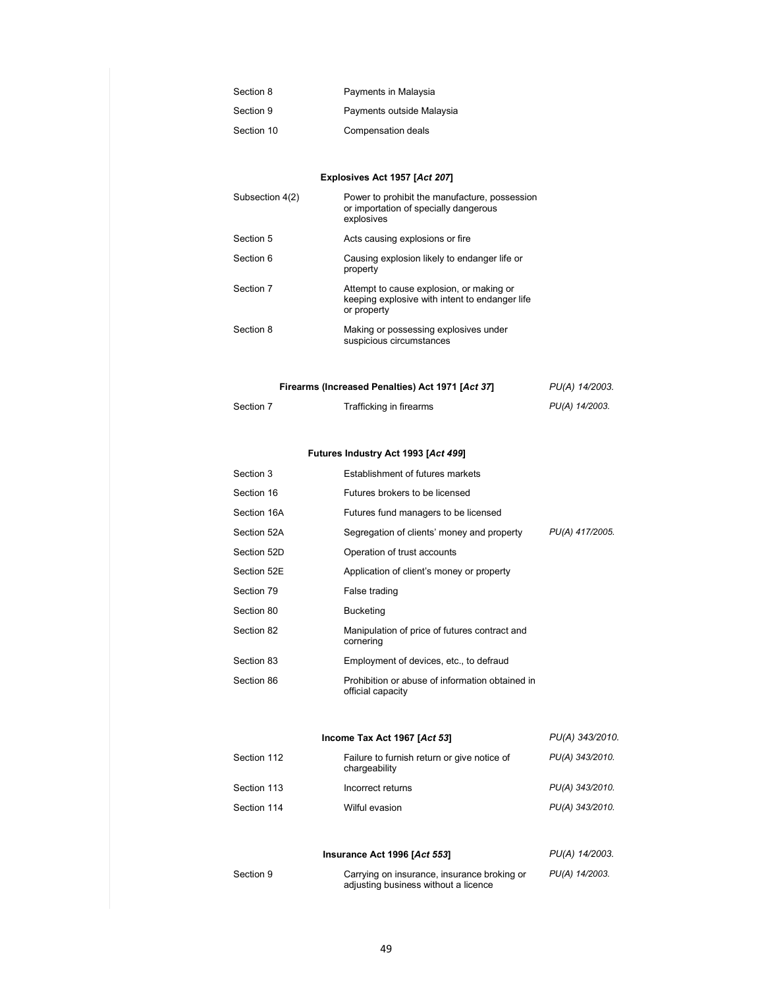| Section 8  | Payments in Malaysia      |
|------------|---------------------------|
| Section 9  | Payments outside Malaysia |
| Section 10 | Compensation deals        |

### **Explosives Act 1957 [***Act 207***]**

| Subsection 4(2) | Power to prohibit the manufacture, possession<br>or importation of specially dangerous<br>explosives      |
|-----------------|-----------------------------------------------------------------------------------------------------------|
| Section 5       | Acts causing explosions or fire                                                                           |
| Section 6       | Causing explosion likely to endanger life or<br>property                                                  |
| Section 7       | Attempt to cause explosion, or making or<br>keeping explosive with intent to endanger life<br>or property |
| Section 8       | Making or possessing explosives under<br>suspicious circumstances                                         |

| Firearms (Increased Penalties) Act 1971 [Act 37] | PU(A) 14/2003. |
|--------------------------------------------------|----------------|
|                                                  |                |

| Section 7 | Trafficking in firearms | PU(A) 14/2003. |
|-----------|-------------------------|----------------|
|           |                         |                |

### **Futures Industry Act 1993 [***Act 499***]**

| Section 3   | Establishment of futures markets                                     |                 |
|-------------|----------------------------------------------------------------------|-----------------|
| Section 16  | Futures brokers to be licensed                                       |                 |
| Section 16A | Futures fund managers to be licensed                                 |                 |
| Section 52A | Segregation of clients' money and property                           | PU(A) 417/2005. |
| Section 52D | Operation of trust accounts                                          |                 |
| Section 52E | Application of client's money or property                            |                 |
| Section 79  | False trading                                                        |                 |
| Section 80  | Bucketing                                                            |                 |
| Section 82  | Manipulation of price of futures contract and<br>cornering           |                 |
| Section 83  | Employment of devices, etc., to defraud                              |                 |
| Section 86  | Prohibition or abuse of information obtained in<br>official capacity |                 |

#### **Income Tax Act 1967 [***Act 53***]** *PU(A) 343/2010.*  Section 112 Failure to furnish return or give notice of chargeability *PU(A) 343/2010.*  Section 113 **Incorrect returns** *PU(A) 343/2010.* Section 114 Wilful evasion *PU(A) 343/2010.*

|           | Insurance Act 1996 [Act 553]                                                        | PU(A) 14/2003. |
|-----------|-------------------------------------------------------------------------------------|----------------|
| Section 9 | Carrying on insurance, insurance broking or<br>adjusting business without a licence | PU(A) 14/2003. |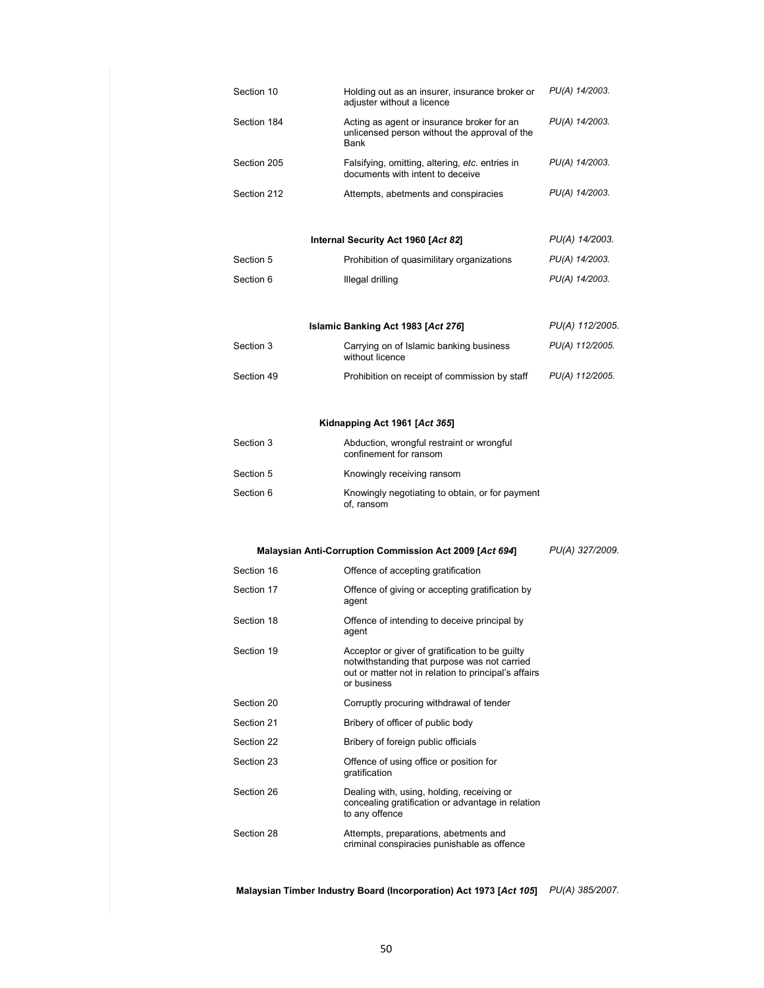|             | Internal Security Act 1960 [Act 82]                                                                 | PU(A) 14/2003. |
|-------------|-----------------------------------------------------------------------------------------------------|----------------|
| Section 212 | Attempts, abetments and conspiracies                                                                | PU(A) 14/2003. |
| Section 205 | Falsifying, omitting, altering, etc. entries in<br>documents with intent to deceive                 | PU(A) 14/2003. |
| Section 184 | Acting as agent or insurance broker for an<br>unlicensed person without the approval of the<br>Bank | PU(A) 14/2003. |
| Section 10  | Holding out as an insurer, insurance broker or<br>adjuster without a licence                        | PU(A) 14/2003. |

| Section 5 | Prohibition of quasimilitary organizations | PU(A) 14/2003. |
|-----------|--------------------------------------------|----------------|
| Section 6 | Illegal drilling                           | PU(A) 14/2003. |

|            | Islamic Banking Act 1983 [Act 276]                         | PU(A) 112/2005. |
|------------|------------------------------------------------------------|-----------------|
| Section 3  | Carrying on of Islamic banking business<br>without licence | PU(A) 112/2005. |
| Section 49 | Prohibition on receipt of commission by staff              | PU(A) 112/2005. |

### **Kidnapping Act 1961 [***Act 365***]**

| Section 3 | Abduction, wrongful restraint or wrongful<br>confinement for ransom |
|-----------|---------------------------------------------------------------------|
| Section 5 | Knowingly receiving ransom                                          |
| Section 6 | Knowingly negotiating to obtain, or for payment<br>of, ransom       |

#### **Malaysian Anti-Corruption Commission Act 2009 [***Act 694***]** *PU(A) 327/2009.*

| Section 16 | Offence of accepting gratification                                                                                                                                     |
|------------|------------------------------------------------------------------------------------------------------------------------------------------------------------------------|
| Section 17 | Offence of giving or accepting gratification by<br>agent                                                                                                               |
| Section 18 | Offence of intending to deceive principal by<br>agent                                                                                                                  |
| Section 19 | Acceptor or giver of gratification to be guilty<br>notwithstanding that purpose was not carried<br>out or matter not in relation to principal's affairs<br>or business |
| Section 20 | Corruptly procuring withdrawal of tender                                                                                                                               |
| Section 21 | Bribery of officer of public body                                                                                                                                      |
| Section 22 | Bribery of foreign public officials                                                                                                                                    |
| Section 23 | Offence of using office or position for<br>gratification                                                                                                               |
| Section 26 | Dealing with, using, holding, receiving or<br>concealing gratification or advantage in relation<br>to any offence                                                      |
| Section 28 | Attempts, preparations, abetments and<br>criminal conspiracies punishable as offence                                                                                   |

**Malaysian Timber Industry Board (Incorporation) Act 1973 [***Act 105***]**  *PU(A) 385/2007.* 

50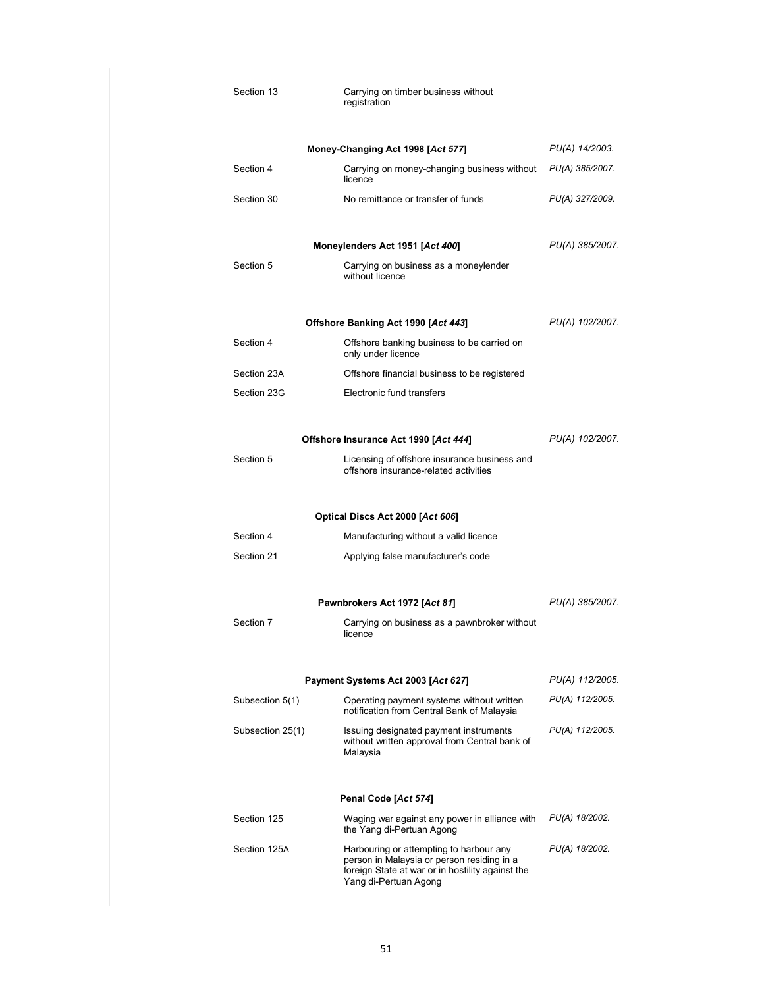| Section 13       | Carrying on timber business without<br>registration                                                                                                                |                 |
|------------------|--------------------------------------------------------------------------------------------------------------------------------------------------------------------|-----------------|
|                  | Money-Changing Act 1998 [Act 577]                                                                                                                                  | PU(A) 14/2003.  |
| Section 4        | Carrying on money-changing business without<br>licence                                                                                                             | PU(A) 385/2007. |
| Section 30       | No remittance or transfer of funds                                                                                                                                 | PU(A) 327/2009. |
|                  | Moneylenders Act 1951 [Act 400]                                                                                                                                    | PU(A) 385/2007. |
| Section 5        | Carrying on business as a moneylender<br>without licence                                                                                                           |                 |
|                  | Offshore Banking Act 1990 [Act 443]                                                                                                                                | PU(A) 102/2007. |
| Section 4        | Offshore banking business to be carried on<br>only under licence                                                                                                   |                 |
| Section 23A      | Offshore financial business to be registered                                                                                                                       |                 |
| Section 23G      | Electronic fund transfers                                                                                                                                          |                 |
|                  | Offshore Insurance Act 1990 [Act 444]                                                                                                                              | PU(A) 102/2007. |
| Section 5        | Licensing of offshore insurance business and<br>offshore insurance-related activities                                                                              |                 |
|                  |                                                                                                                                                                    |                 |
|                  | Optical Discs Act 2000 [Act 606]                                                                                                                                   |                 |
| Section 4        | Manufacturing without a valid licence                                                                                                                              |                 |
| Section 21       | Applying false manufacturer's code                                                                                                                                 |                 |
|                  | Pawnbrokers Act 1972 [Act 81]                                                                                                                                      | PU(A) 385/2007. |
| Section 7        | Carrying on business as a pawnbroker without<br>licence                                                                                                            |                 |
|                  |                                                                                                                                                                    |                 |
|                  | Payment Systems Act 2003 [Act 627]                                                                                                                                 | PU(A) 112/2005. |
| Subsection 5(1)  | Operating payment systems without written<br>notification from Central Bank of Malaysia                                                                            | PU(A) 112/2005. |
| Subsection 25(1) | Issuing designated payment instruments<br>without written approval from Central bank of<br>Malaysia                                                                | PU(A) 112/2005. |
|                  | Penal Code [Act 574]                                                                                                                                               |                 |
| Section 125      | Waging war against any power in alliance with<br>the Yang di-Pertuan Agong                                                                                         | PU(A) 18/2002.  |
| Section 125A     | Harbouring or attempting to harbour any<br>person in Malaysia or person residing in a<br>foreign State at war or in hostility against the<br>Yang di-Pertuan Agong | PU(A) 18/2002.  |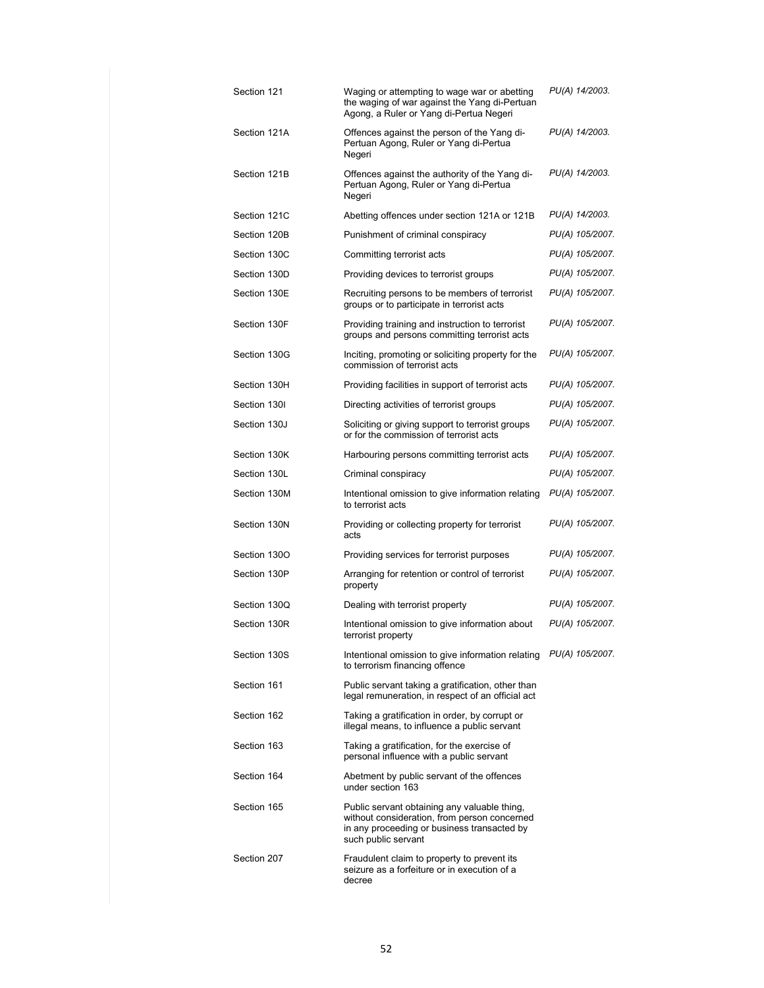| Section 121  | Waging or attempting to wage war or abetting<br>the waging of war against the Yang di-Pertuan<br>Agong, a Ruler or Yang di-Pertua Negeri                           | PU(A) 14/2003.  |
|--------------|--------------------------------------------------------------------------------------------------------------------------------------------------------------------|-----------------|
| Section 121A | Offences against the person of the Yang di-<br>Pertuan Agong, Ruler or Yang di-Pertua<br>Negeri                                                                    | PU(A) 14/2003.  |
| Section 121B | Offences against the authority of the Yang di-<br>Pertuan Agong, Ruler or Yang di-Pertua<br>Negeri                                                                 | PU(A) 14/2003.  |
| Section 121C | Abetting offences under section 121A or 121B                                                                                                                       | PU(A) 14/2003.  |
| Section 120B | Punishment of criminal conspiracy                                                                                                                                  | PU(A) 105/2007. |
| Section 130C | Committing terrorist acts                                                                                                                                          | PU(A) 105/2007. |
| Section 130D | Providing devices to terrorist groups                                                                                                                              | PU(A) 105/2007. |
| Section 130E | Recruiting persons to be members of terrorist<br>groups or to participate in terrorist acts                                                                        | PU(A) 105/2007. |
| Section 130F | Providing training and instruction to terrorist<br>groups and persons committing terrorist acts                                                                    | PU(A) 105/2007. |
| Section 130G | Inciting, promoting or soliciting property for the<br>commission of terrorist acts                                                                                 | PU(A) 105/2007. |
| Section 130H | Providing facilities in support of terrorist acts                                                                                                                  | PU(A) 105/2007. |
| Section 1301 | Directing activities of terrorist groups                                                                                                                           | PU(A) 105/2007. |
| Section 130J | Soliciting or giving support to terrorist groups<br>or for the commission of terrorist acts                                                                        | PU(A) 105/2007. |
| Section 130K | Harbouring persons committing terrorist acts                                                                                                                       | PU(A) 105/2007. |
| Section 130L | Criminal conspiracy                                                                                                                                                | PU(A) 105/2007. |
| Section 130M | Intentional omission to give information relating<br>to terrorist acts                                                                                             | PU(A) 105/2007. |
| Section 130N | Providing or collecting property for terrorist<br>acts                                                                                                             | PU(A) 105/2007. |
| Section 1300 | Providing services for terrorist purposes                                                                                                                          | PU(A) 105/2007. |
| Section 130P | Arranging for retention or control of terrorist<br>property                                                                                                        | PU(A) 105/2007. |
| Section 1300 | Dealing with terrorist property                                                                                                                                    | PU(A) 105/2007. |
| Section 130R | Intentional omission to give information about<br>terrorist property                                                                                               | PU(A) 105/2007. |
| Section 130S | Intentional omission to give information relating PU(A) 105/2007.<br>to terrorism financing offence                                                                |                 |
| Section 161  | Public servant taking a gratification, other than<br>legal remuneration, in respect of an official act                                                             |                 |
| Section 162  | Taking a gratification in order, by corrupt or<br>illegal means, to influence a public servant                                                                     |                 |
| Section 163  | Taking a gratification, for the exercise of<br>personal influence with a public servant                                                                            |                 |
| Section 164  | Abetment by public servant of the offences<br>under section 163                                                                                                    |                 |
| Section 165  | Public servant obtaining any valuable thing,<br>without consideration, from person concerned<br>in any proceeding or business transacted by<br>such public servant |                 |
| Section 207  | Fraudulent claim to property to prevent its<br>seizure as a forfeiture or in execution of a<br>decree                                                              |                 |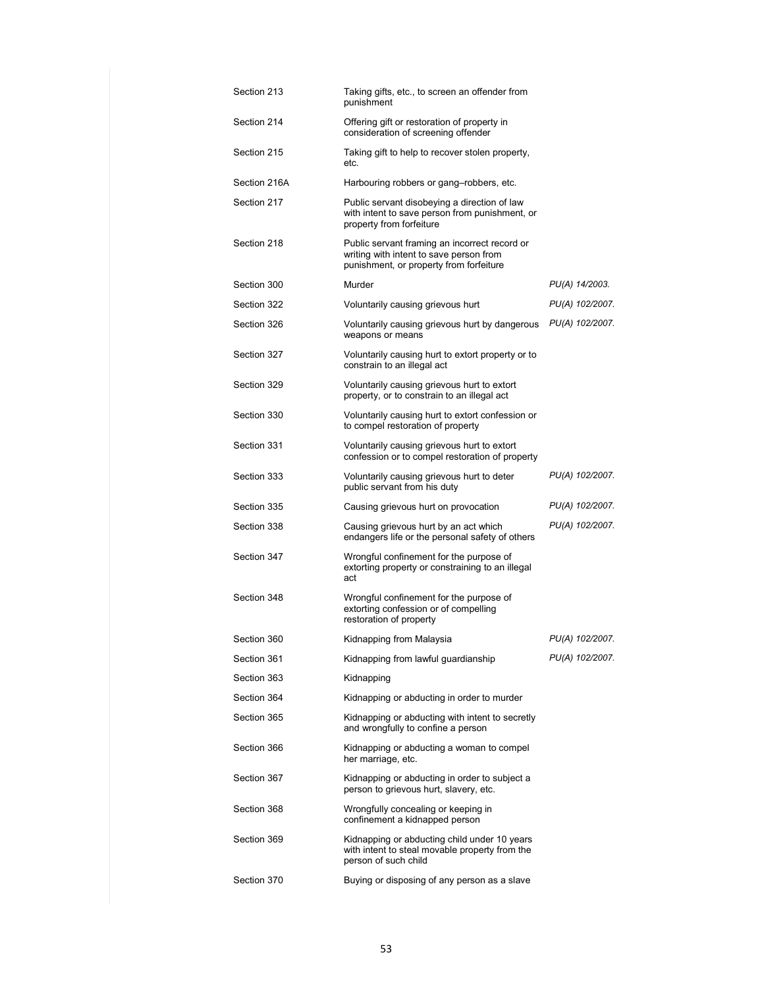| Section 213  | Taking gifts, etc., to screen an offender from<br>punishment                                                                        |                 |
|--------------|-------------------------------------------------------------------------------------------------------------------------------------|-----------------|
| Section 214  | Offering gift or restoration of property in<br>consideration of screening offender                                                  |                 |
| Section 215  | Taking gift to help to recover stolen property,<br>etc.                                                                             |                 |
| Section 216A | Harbouring robbers or gang-robbers, etc.                                                                                            |                 |
| Section 217  | Public servant disobeying a direction of law<br>with intent to save person from punishment, or<br>property from forfeiture          |                 |
| Section 218  | Public servant framing an incorrect record or<br>writing with intent to save person from<br>punishment, or property from forfeiture |                 |
| Section 300  | Murder                                                                                                                              | PU(A) 14/2003.  |
| Section 322  | Voluntarily causing grievous hurt                                                                                                   | PU(A) 102/2007. |
| Section 326  | Voluntarily causing grievous hurt by dangerous<br>weapons or means                                                                  | PU(A) 102/2007. |
| Section 327  | Voluntarily causing hurt to extort property or to<br>constrain to an illegal act                                                    |                 |
| Section 329  | Voluntarily causing grievous hurt to extort<br>property, or to constrain to an illegal act                                          |                 |
| Section 330  | Voluntarily causing hurt to extort confession or<br>to compel restoration of property                                               |                 |
| Section 331  | Voluntarily causing grievous hurt to extort<br>confession or to compel restoration of property                                      |                 |
| Section 333  | Voluntarily causing grievous hurt to deter<br>public servant from his duty                                                          | PU(A) 102/2007. |
| Section 335  | Causing grievous hurt on provocation                                                                                                | PU(A) 102/2007. |
| Section 338  | Causing grievous hurt by an act which<br>endangers life or the personal safety of others                                            | PU(A) 102/2007. |
| Section 347  | Wrongful confinement for the purpose of<br>extorting property or constraining to an illegal<br>act                                  |                 |
| Section 348  | Wrongful confinement for the purpose of<br>extorting confession or of compelling<br>restoration of property                         |                 |
| Section 360  | Kidnapping from Malaysia                                                                                                            | PU(A) 102/2007. |
| Section 361  | Kidnapping from lawful guardianship                                                                                                 | PU(A) 102/2007. |
| Section 363  | Kidnapping                                                                                                                          |                 |
| Section 364  | Kidnapping or abducting in order to murder                                                                                          |                 |
| Section 365  | Kidnapping or abducting with intent to secretly<br>and wrongfully to confine a person                                               |                 |
| Section 366  | Kidnapping or abducting a woman to compel<br>her marriage, etc.                                                                     |                 |
| Section 367  | Kidnapping or abducting in order to subject a<br>person to grievous hurt, slavery, etc.                                             |                 |
| Section 368  | Wrongfully concealing or keeping in<br>confinement a kidnapped person                                                               |                 |
| Section 369  | Kidnapping or abducting child under 10 years<br>with intent to steal movable property from the<br>person of such child              |                 |
| Section 370  | Buying or disposing of any person as a slave                                                                                        |                 |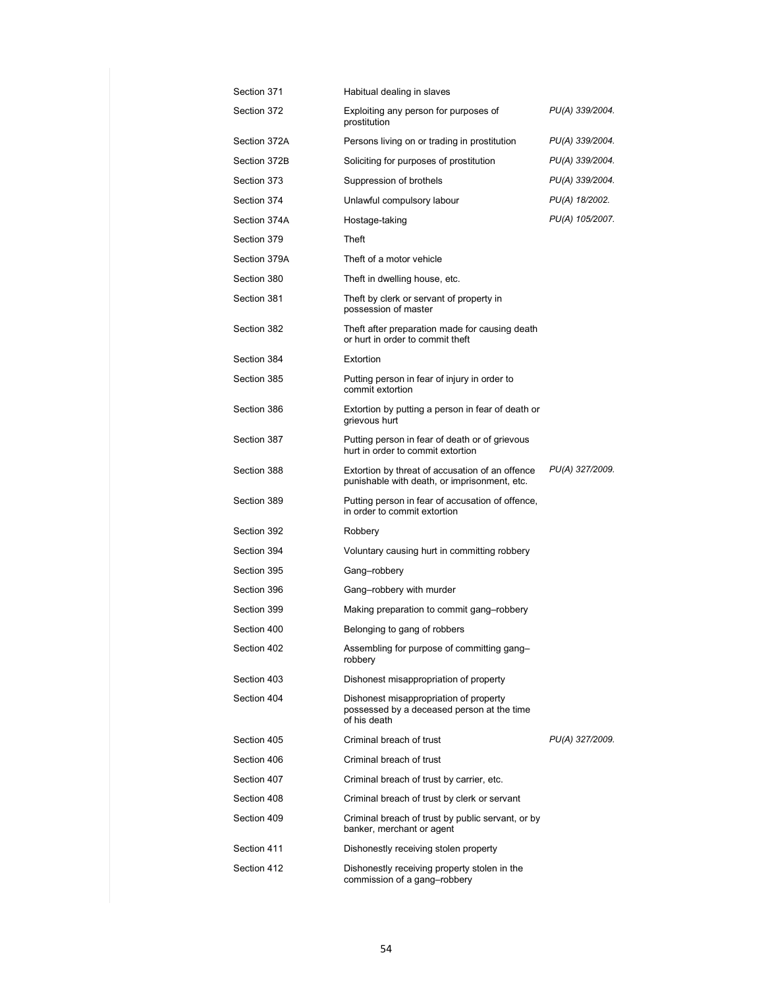| Section 371  | Habitual dealing in slaves                                                                           |                 |
|--------------|------------------------------------------------------------------------------------------------------|-----------------|
| Section 372  | Exploiting any person for purposes of<br>prostitution                                                | PU(A) 339/2004. |
| Section 372A | Persons living on or trading in prostitution                                                         | PU(A) 339/2004. |
| Section 372B | Soliciting for purposes of prostitution                                                              | PU(A) 339/2004. |
| Section 373  | Suppression of brothels                                                                              | PU(A) 339/2004. |
| Section 374  | Unlawful compulsory labour                                                                           | PU(A) 18/2002.  |
| Section 374A | Hostage-taking                                                                                       | PU(A) 105/2007. |
| Section 379  | Theft                                                                                                |                 |
| Section 379A | Theft of a motor vehicle                                                                             |                 |
| Section 380  | Theft in dwelling house, etc.                                                                        |                 |
| Section 381  | Theft by clerk or servant of property in<br>possession of master                                     |                 |
| Section 382  | Theft after preparation made for causing death<br>or hurt in order to commit theft                   |                 |
| Section 384  | Extortion                                                                                            |                 |
| Section 385  | Putting person in fear of injury in order to<br>commit extortion                                     |                 |
| Section 386  | Extortion by putting a person in fear of death or<br>grievous hurt                                   |                 |
| Section 387  | Putting person in fear of death or of grievous<br>hurt in order to commit extortion                  |                 |
| Section 388  | Extortion by threat of accusation of an offence<br>punishable with death, or imprisonment, etc.      | PU(A) 327/2009. |
| Section 389  | Putting person in fear of accusation of offence,<br>in order to commit extortion                     |                 |
| Section 392  | Robbery                                                                                              |                 |
| Section 394  | Voluntary causing hurt in committing robbery                                                         |                 |
| Section 395  | Gang-robbery                                                                                         |                 |
| Section 396  | Gang-robbery with murder                                                                             |                 |
| Section 399  | Making preparation to commit gang-robbery                                                            |                 |
| Section 400  | Belonging to gang of robbers                                                                         |                 |
| Section 402  | Assembling for purpose of committing gang-<br>robbery                                                |                 |
| Section 403  | Dishonest misappropriation of property                                                               |                 |
| Section 404  | Dishonest misappropriation of property<br>possessed by a deceased person at the time<br>of his death |                 |
| Section 405  | Criminal breach of trust                                                                             | PU(A) 327/2009. |
| Section 406  | Criminal breach of trust                                                                             |                 |
| Section 407  | Criminal breach of trust by carrier, etc.                                                            |                 |
| Section 408  | Criminal breach of trust by clerk or servant                                                         |                 |
| Section 409  | Criminal breach of trust by public servant, or by<br>banker, merchant or agent                       |                 |
| Section 411  | Dishonestly receiving stolen property                                                                |                 |
| Section 412  | Dishonestly receiving property stolen in the<br>commission of a gang-robbery                         |                 |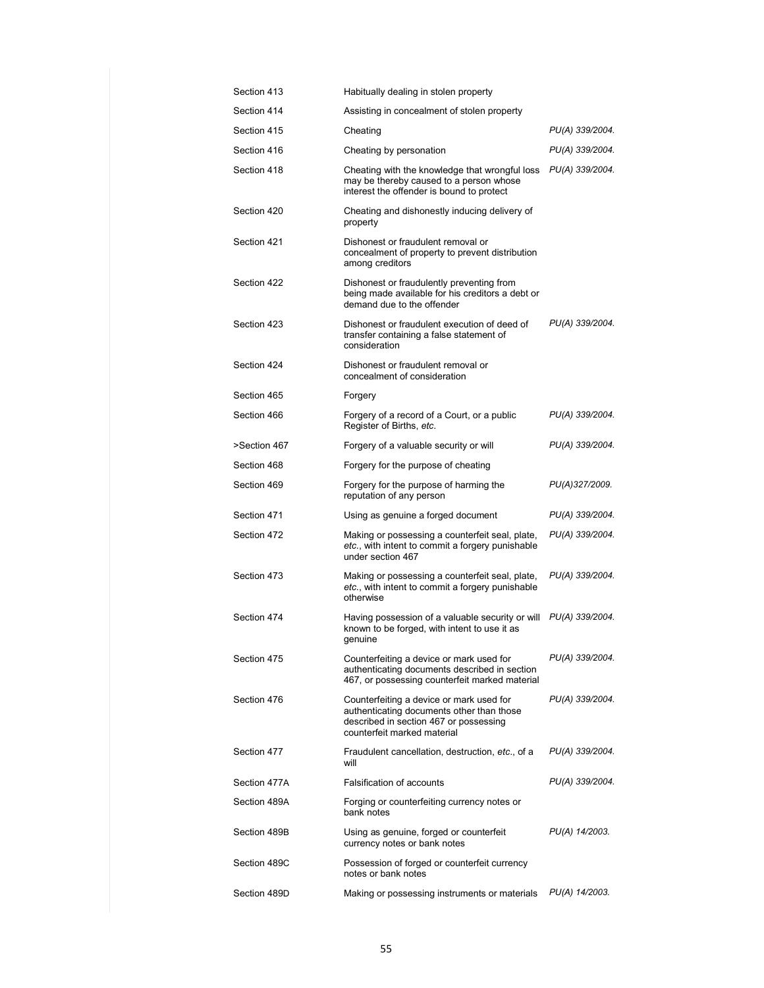| Section 413  | Habitually dealing in stolen property                                                                                                                          |                 |
|--------------|----------------------------------------------------------------------------------------------------------------------------------------------------------------|-----------------|
| Section 414  | Assisting in concealment of stolen property                                                                                                                    |                 |
| Section 415  | Cheating                                                                                                                                                       | PU(A) 339/2004. |
| Section 416  | Cheating by personation                                                                                                                                        | PU(A) 339/2004. |
| Section 418  | Cheating with the knowledge that wrongful loss<br>may be thereby caused to a person whose<br>interest the offender is bound to protect                         | PU(A) 339/2004. |
| Section 420  | Cheating and dishonestly inducing delivery of<br>property                                                                                                      |                 |
| Section 421  | Dishonest or fraudulent removal or<br>concealment of property to prevent distribution<br>among creditors                                                       |                 |
| Section 422  | Dishonest or fraudulently preventing from<br>being made available for his creditors a debt or<br>demand due to the offender                                    |                 |
| Section 423  | Dishonest or fraudulent execution of deed of<br>transfer containing a false statement of<br>consideration                                                      | PU(A) 339/2004. |
| Section 424  | Dishonest or fraudulent removal or<br>concealment of consideration                                                                                             |                 |
| Section 465  | Forgery                                                                                                                                                        |                 |
| Section 466  | Forgery of a record of a Court, or a public<br>Register of Births, etc.                                                                                        | PU(A) 339/2004. |
| >Section 467 | Forgery of a valuable security or will                                                                                                                         | PU(A) 339/2004. |
| Section 468  | Forgery for the purpose of cheating                                                                                                                            |                 |
| Section 469  | Forgery for the purpose of harming the<br>reputation of any person                                                                                             | PU(A)327/2009.  |
| Section 471  | Using as genuine a forged document                                                                                                                             | PU(A) 339/2004. |
| Section 472  | Making or possessing a counterfeit seal, plate,<br>etc., with intent to commit a forgery punishable<br>under section 467                                       | PU(A) 339/2004. |
| Section 473  | Making or possessing a counterfeit seal, plate,<br>etc., with intent to commit a forgery punishable<br>otherwise                                               | PU(A) 339/2004. |
| Section 474  | Having possession of a valuable security or will<br>known to be forged, with intent to use it as<br>qenuine                                                    | PU(A) 339/2004. |
| Section 475  | Counterfeiting a device or mark used for<br>authenticating documents described in section<br>467, or possessing counterfeit marked material                    | PU(A) 339/2004. |
| Section 476  | Counterfeiting a device or mark used for<br>authenticating documents other than those<br>described in section 467 or possessing<br>counterfeit marked material | PU(A) 339/2004. |
| Section 477  | Fraudulent cancellation, destruction, etc., of a<br>will                                                                                                       | PU(A) 339/2004. |
| Section 477A | Falsification of accounts                                                                                                                                      | PU(A) 339/2004. |
| Section 489A | Forging or counterfeiting currency notes or<br>bank notes                                                                                                      |                 |
| Section 489B | Using as genuine, forged or counterfeit<br>currency notes or bank notes                                                                                        | PU(A) 14/2003.  |
| Section 489C | Possession of forged or counterfeit currency<br>notes or bank notes                                                                                            |                 |
| Section 489D | Making or possessing instruments or materials                                                                                                                  | PU(A) 14/2003.  |